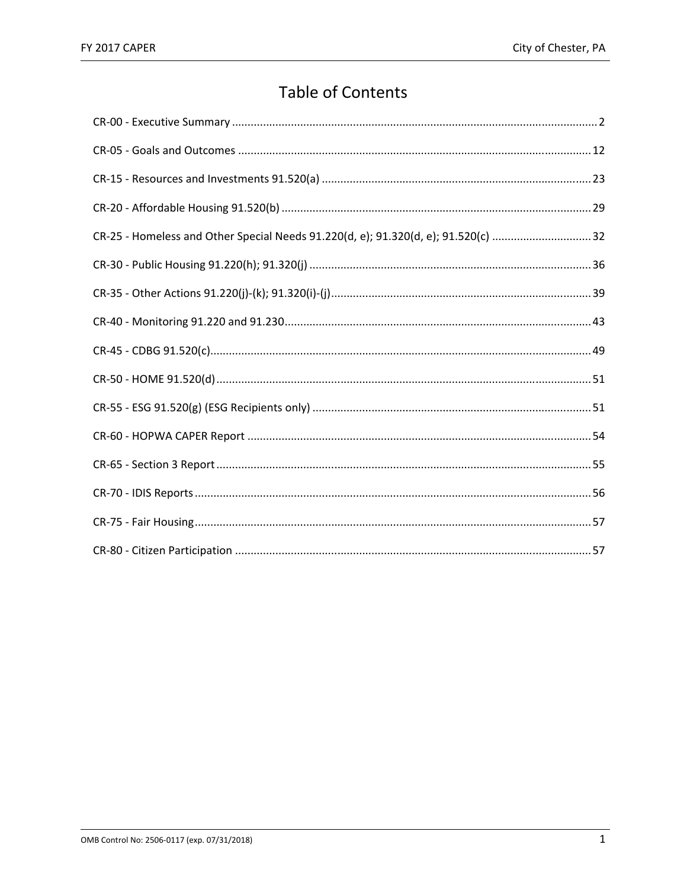# **Table of Contents**

| CR-25 - Homeless and Other Special Needs 91.220(d, e); 91.320(d, e); 91.520(c) 32 |  |
|-----------------------------------------------------------------------------------|--|
|                                                                                   |  |
|                                                                                   |  |
|                                                                                   |  |
|                                                                                   |  |
|                                                                                   |  |
|                                                                                   |  |
|                                                                                   |  |
|                                                                                   |  |
|                                                                                   |  |
|                                                                                   |  |
|                                                                                   |  |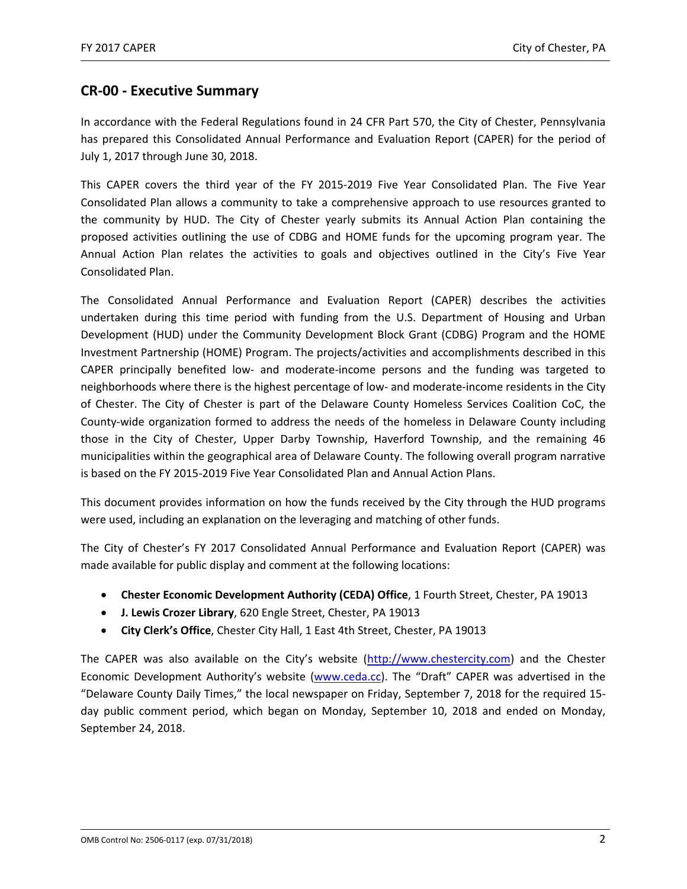### **CR‐00 ‐ Executive Summary**

In accordance with the Federal Regulations found in 24 CFR Part 570, the City of Chester, Pennsylvania has prepared this Consolidated Annual Performance and Evaluation Report (CAPER) for the period of July 1, 2017 through June 30, 2018.

This CAPER covers the third year of the FY 2015‐2019 Five Year Consolidated Plan. The Five Year Consolidated Plan allows a community to take a comprehensive approach to use resources granted to the community by HUD. The City of Chester yearly submits its Annual Action Plan containing the proposed activities outlining the use of CDBG and HOME funds for the upcoming program year. The Annual Action Plan relates the activities to goals and objectives outlined in the City's Five Year Consolidated Plan.

The Consolidated Annual Performance and Evaluation Report (CAPER) describes the activities undertaken during this time period with funding from the U.S. Department of Housing and Urban Development (HUD) under the Community Development Block Grant (CDBG) Program and the HOME Investment Partnership (HOME) Program. The projects/activities and accomplishments described in this CAPER principally benefited low‐ and moderate‐income persons and the funding was targeted to neighborhoods where there is the highest percentage of low‐ and moderate‐income residents in the City of Chester. The City of Chester is part of the Delaware County Homeless Services Coalition CoC, the County‐wide organization formed to address the needs of the homeless in Delaware County including those in the City of Chester, Upper Darby Township, Haverford Township, and the remaining 46 municipalities within the geographical area of Delaware County. The following overall program narrative is based on the FY 2015‐2019 Five Year Consolidated Plan and Annual Action Plans.

This document provides information on how the funds received by the City through the HUD programs were used, including an explanation on the leveraging and matching of other funds.

The City of Chester's FY 2017 Consolidated Annual Performance and Evaluation Report (CAPER) was made available for public display and comment at the following locations:

- **Chester Economic Development Authority (CEDA) Office**, 1 Fourth Street, Chester, PA 19013
- **J. Lewis Crozer Library**, 620 Engle Street, Chester, PA 19013
- **City Clerk's Office**, Chester City Hall, 1 East 4th Street, Chester, PA 19013

The CAPER was also available on the City's website (http://www.chestercity.com) and the Chester Economic Development Authority's website (www.ceda.cc). The "Draft" CAPER was advertised in the "Delaware County Daily Times," the local newspaper on Friday, September 7, 2018 for the required 15‐ day public comment period, which began on Monday, September 10, 2018 and ended on Monday, September 24, 2018.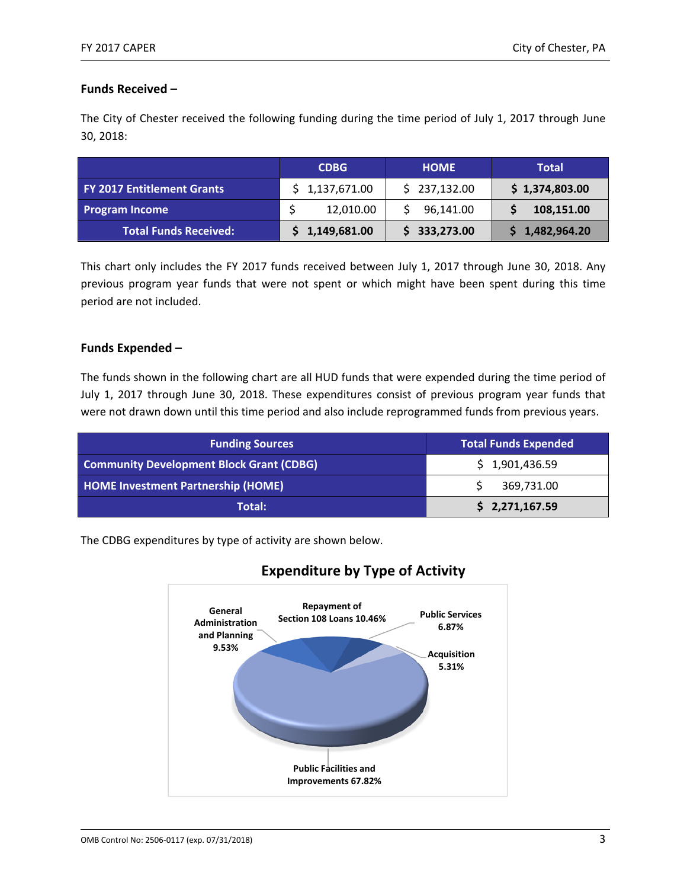#### **Funds Received –**

The City of Chester received the following funding during the time period of July 1, 2017 through June 30, 2018:

|                              | <b>CDBG</b>    | <b>HOME</b>  | Total          |
|------------------------------|----------------|--------------|----------------|
| FY 2017 Entitlement Grants   | \$1,137,671.00 | \$237,132.00 | \$1,374,803.00 |
| <b>Program Income</b>        | 12,010.00      | 96,141.00    | 108,151.00     |
| <b>Total Funds Received:</b> | 1,149,681.00   | 333,273.00   | \$1,482,964.20 |

This chart only includes the FY 2017 funds received between July 1, 2017 through June 30, 2018. Any previous program year funds that were not spent or which might have been spent during this time period are not included.

#### **Funds Expended –**

The funds shown in the following chart are all HUD funds that were expended during the time period of July 1, 2017 through June 30, 2018. These expenditures consist of previous program year funds that were not drawn down until this time period and also include reprogrammed funds from previous years.

| <b>Funding Sources</b>                          | <b>Total Funds Expended</b> |
|-------------------------------------------------|-----------------------------|
| <b>Community Development Block Grant (CDBG)</b> | \$1,901,436.59              |
| <b>HOME Investment Partnership (HOME)</b>       | 369,731.00                  |
| Total:                                          | \$2,271,167.59              |

The CDBG expenditures by type of activity are shown below.



## **Expenditure by Type of Activity**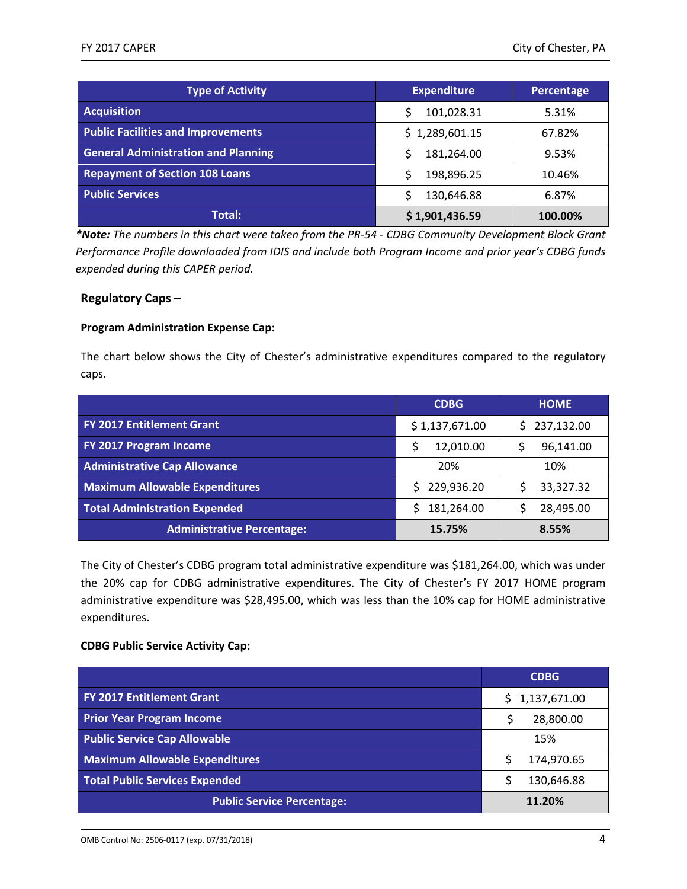| <b>Type of Activity</b>                    | <b>Expenditure</b> | Percentage |  |
|--------------------------------------------|--------------------|------------|--|
| <b>Acquisition</b>                         | 101,028.31<br>Ś    | 5.31%      |  |
| <b>Public Facilities and Improvements</b>  | \$1,289,601.15     | 67.82%     |  |
| <b>General Administration and Planning</b> | 181,264.00<br>S    | 9.53%      |  |
| <b>Repayment of Section 108 Loans</b>      | 198,896.25<br>ς    | 10.46%     |  |
| <b>Public Services</b>                     | 130,646.88<br>ς    | 6.87%      |  |
| Total:                                     | \$1,901,436.59     | 100.00%    |  |

*\*Note: The numbers in this chart were taken from the PR‐54 ‐ CDBG Community Development Block Grant Performance Profile downloaded from IDIS and include both Program Income and prior year's CDBG funds expended during this CAPER period.* 

#### **Regulatory Caps –**

#### **Program Administration Expense Cap:**

The chart below shows the City of Chester's administrative expenditures compared to the regulatory caps.

|                                       | <b>CDBG</b>      | <b>HOME</b>      |  |
|---------------------------------------|------------------|------------------|--|
| <b>FY 2017 Entitlement Grant</b>      | \$1,137,671.00   | 237,132.00<br>S. |  |
| <b>FY 2017 Program Income</b>         | 12,010.00        | 96,141.00        |  |
| <b>Administrative Cap Allowance</b>   | 20%              | 10%              |  |
| <b>Maximum Allowable Expenditures</b> | \$229,936.20     | 33,327.32        |  |
| <b>Total Administration Expended</b>  | 181,264.00<br>S. | 28,495.00        |  |
| <b>Administrative Percentage:</b>     | 15.75%           | 8.55%            |  |

The City of Chester's CDBG program total administrative expenditure was \$181,264.00, which was under the 20% cap for CDBG administrative expenditures. The City of Chester's FY 2017 HOME program administrative expenditure was \$28,495.00, which was less than the 10% cap for HOME administrative expenditures.

#### **CDBG Public Service Activity Cap:**

|                                       | <b>CDBG</b>        |
|---------------------------------------|--------------------|
| <b>FY 2017 Entitlement Grant</b>      | 1,137,671.00<br>S. |
| <b>Prior Year Program Income</b>      | 28,800.00<br>Ś     |
| <b>Public Service Cap Allowable</b>   | 15%                |
| <b>Maximum Allowable Expenditures</b> | 174,970.65         |
| <b>Total Public Services Expended</b> | Ś<br>130,646.88    |
| <b>Public Service Percentage:</b>     | 11.20%             |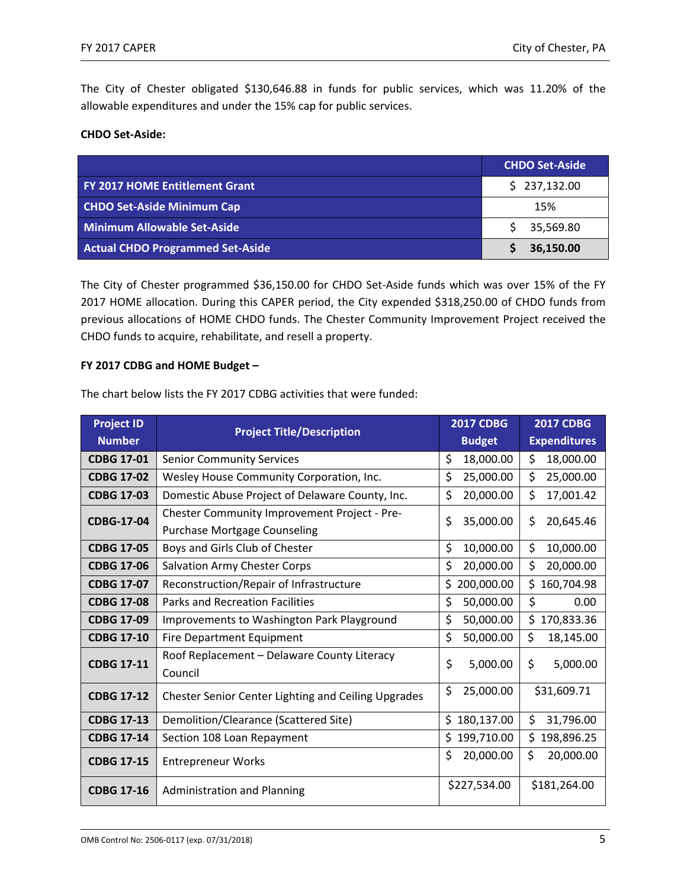The City of Chester obligated \$130,646.88 in funds for public services, which was 11.20% of the allowable expenditures and under the 15% cap for public services.

#### **CHDO Set‐Aside:**

|                                         | <b>CHDO Set-Aside</b> |
|-----------------------------------------|-----------------------|
| <b>FY 2017 HOME Entitlement Grant</b>   | \$237,132.00          |
| <b>CHDO Set-Aside Minimum Cap</b>       | 15%                   |
| <b>Minimum Allowable Set-Aside</b>      | 35,569.80             |
| <b>Actual CHDO Programmed Set-Aside</b> | 36,150.00             |

The City of Chester programmed \$36,150.00 for CHDO Set‐Aside funds which was over 15% of the FY 2017 HOME allocation. During this CAPER period, the City expended \$318,250.00 of CHDO funds from previous allocations of HOME CHDO funds. The Chester Community Improvement Project received the CHDO funds to acquire, rehabilitate, and resell a property.

#### **FY 2017 CDBG and HOME Budget –**

The chart below lists the FY 2017 CDBG activities that were funded:

| <b>Project ID</b> | <b>Project Title/Description</b>                                                    | <b>2017 CDBG</b> | <b>2017 CDBG</b>    |
|-------------------|-------------------------------------------------------------------------------------|------------------|---------------------|
| <b>Number</b>     |                                                                                     | <b>Budget</b>    | <b>Expenditures</b> |
| <b>CDBG 17-01</b> | <b>Senior Community Services</b>                                                    | \$<br>18,000.00  | \$<br>18,000.00     |
| <b>CDBG 17-02</b> | Wesley House Community Corporation, Inc.                                            | \$<br>25,000.00  | \$<br>25,000.00     |
| <b>CDBG 17-03</b> | Domestic Abuse Project of Delaware County, Inc.                                     | \$<br>20,000.00  | \$<br>17,001.42     |
| <b>CDBG-17-04</b> | Chester Community Improvement Project - Pre-<br><b>Purchase Mortgage Counseling</b> | \$<br>35,000.00  | \$<br>20,645.46     |
| <b>CDBG 17-05</b> | Boys and Girls Club of Chester                                                      | \$<br>10,000.00  | \$<br>10,000.00     |
| <b>CDBG 17-06</b> | <b>Salvation Army Chester Corps</b>                                                 | \$<br>20,000.00  | \$<br>20,000.00     |
| <b>CDBG 17-07</b> | Reconstruction/Repair of Infrastructure                                             | \$<br>200,000.00 | \$<br>160,704.98    |
| <b>CDBG 17-08</b> | <b>Parks and Recreation Facilities</b>                                              | \$<br>50,000.00  | \$<br>0.00          |
| <b>CDBG 17-09</b> | Improvements to Washington Park Playground                                          | \$<br>50,000.00  | \$<br>170,833.36    |
| <b>CDBG 17-10</b> | Fire Department Equipment                                                           | \$<br>50,000.00  | \$<br>18,145.00     |
| <b>CDBG 17-11</b> | Roof Replacement - Delaware County Literacy<br>Council                              | \$<br>5,000.00   | \$<br>5,000.00      |
| <b>CDBG 17-12</b> | Chester Senior Center Lighting and Ceiling Upgrades                                 | \$<br>25,000.00  | \$31,609.71         |
| <b>CDBG 17-13</b> | Demolition/Clearance (Scattered Site)                                               | \$<br>180,137.00 | \$<br>31,796.00     |
| <b>CDBG 17-14</b> | Section 108 Loan Repayment                                                          | \$<br>199,710.00 | \$<br>198,896.25    |
| <b>CDBG 17-15</b> | <b>Entrepreneur Works</b>                                                           | \$<br>20,000.00  | \$<br>20,000.00     |
| <b>CDBG 17-16</b> | <b>Administration and Planning</b>                                                  | \$227,534.00     | \$181,264.00        |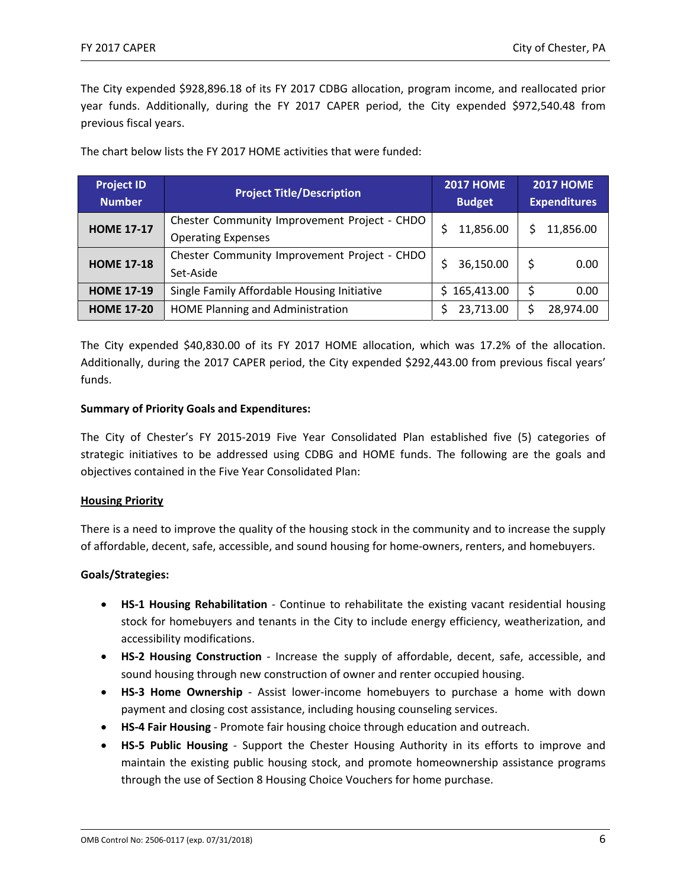The City expended \$928,896.18 of its FY 2017 CDBG allocation, program income, and reallocated prior year funds. Additionally, during the FY 2017 CAPER period, the City expended \$972,540.48 from previous fiscal years.

The chart below lists the FY 2017 HOME activities that were funded:

| <b>Project ID</b><br><b>Number</b> | <b>Project Title/Description</b>                                          | <b>2017 HOME</b><br><b>Budget</b> | <b>2017 HOME</b><br><b>Expenditures</b> |
|------------------------------------|---------------------------------------------------------------------------|-----------------------------------|-----------------------------------------|
| <b>HOME 17-17</b>                  | Chester Community Improvement Project - CHDO<br><b>Operating Expenses</b> | 11,856.00<br>Ś                    | 11,856.00                               |
| <b>HOME 17-18</b>                  | Chester Community Improvement Project - CHDO<br>Set-Aside                 | Ś<br>36,150.00                    | \$<br>0.00                              |
| <b>HOME 17-19</b>                  | Single Family Affordable Housing Initiative                               | \$165,413.00                      | \$<br>0.00                              |
| <b>HOME 17-20</b>                  | HOME Planning and Administration                                          | 23,713.00                         | 28,974.00                               |

The City expended \$40,830.00 of its FY 2017 HOME allocation, which was 17.2% of the allocation. Additionally, during the 2017 CAPER period, the City expended \$292,443.00 from previous fiscal years' funds.

#### **Summary of Priority Goals and Expenditures:**

The City of Chester's FY 2015‐2019 Five Year Consolidated Plan established five (5) categories of strategic initiatives to be addressed using CDBG and HOME funds. The following are the goals and objectives contained in the Five Year Consolidated Plan:

#### **Housing Priority**

There is a need to improve the quality of the housing stock in the community and to increase the supply of affordable, decent, safe, accessible, and sound housing for home‐owners, renters, and homebuyers.

#### **Goals/Strategies:**

- **HS-1 Housing Rehabilitation** Continue to rehabilitate the existing vacant residential housing stock for homebuyers and tenants in the City to include energy efficiency, weatherization, and accessibility modifications.
- **HS-2 Housing Construction** Increase the supply of affordable, decent, safe, accessible, and sound housing through new construction of owner and renter occupied housing.
- **HS-3 Home Ownership** Assist lower-income homebuyers to purchase a home with down payment and closing cost assistance, including housing counseling services.
- **HS‐4 Fair Housing** ‐ Promote fair housing choice through education and outreach.
- **HS-5 Public Housing** Support the Chester Housing Authority in its efforts to improve and maintain the existing public housing stock, and promote homeownership assistance programs through the use of Section 8 Housing Choice Vouchers for home purchase.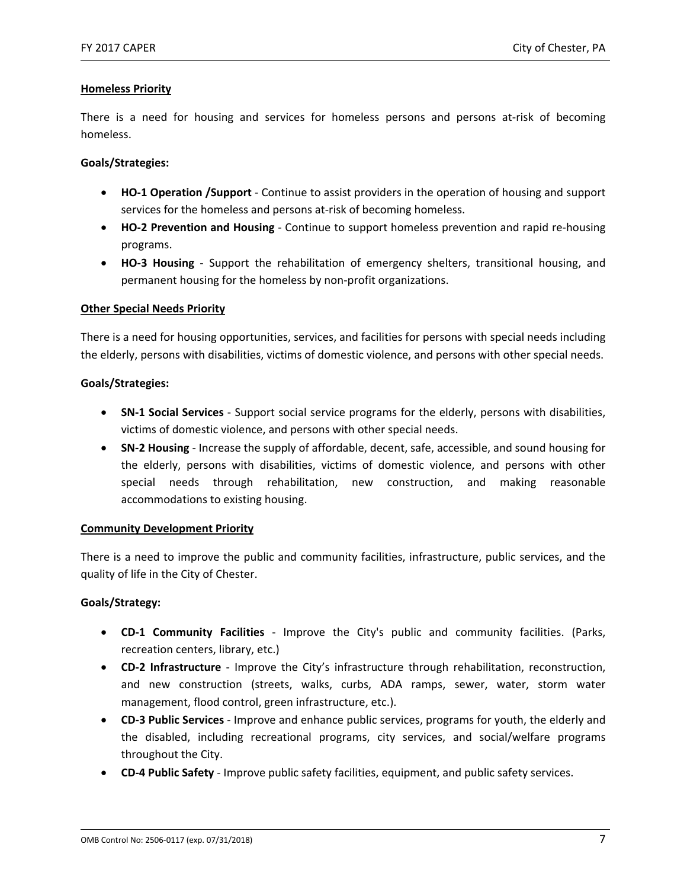#### **Homeless Priority**

There is a need for housing and services for homeless persons and persons at-risk of becoming homeless.

#### **Goals/Strategies:**

- **HO‐1 Operation /Support** ‐ Continue to assist providers in the operation of housing and support services for the homeless and persons at-risk of becoming homeless.
- **HO-2 Prevention and Housing** Continue to support homeless prevention and rapid re-housing programs.
- **HO-3 Housing** Support the rehabilitation of emergency shelters, transitional housing, and permanent housing for the homeless by non‐profit organizations.

#### **Other Special Needs Priority**

There is a need for housing opportunities, services, and facilities for persons with special needs including the elderly, persons with disabilities, victims of domestic violence, and persons with other special needs.

#### **Goals/Strategies:**

- **SN‐1 Social Services** ‐ Support social service programs for the elderly, persons with disabilities, victims of domestic violence, and persons with other special needs.
- **SN‐2 Housing** ‐ Increase the supply of affordable, decent, safe, accessible, and sound housing for the elderly, persons with disabilities, victims of domestic violence, and persons with other special needs through rehabilitation, new construction, and making reasonable accommodations to existing housing.

#### **Community Development Priority**

There is a need to improve the public and community facilities, infrastructure, public services, and the quality of life in the City of Chester.

#### **Goals/Strategy:**

- **CD‐1 Community Facilities** ‐ Improve the City's public and community facilities. (Parks, recreation centers, library, etc.)
- **CD‐2 Infrastructure** ‐ Improve the City's infrastructure through rehabilitation, reconstruction, and new construction (streets, walks, curbs, ADA ramps, sewer, water, storm water management, flood control, green infrastructure, etc.).
- **CD‐3 Public Services** ‐ Improve and enhance public services, programs for youth, the elderly and the disabled, including recreational programs, city services, and social/welfare programs throughout the City.
- **CD‐4 Public Safety** ‐ Improve public safety facilities, equipment, and public safety services.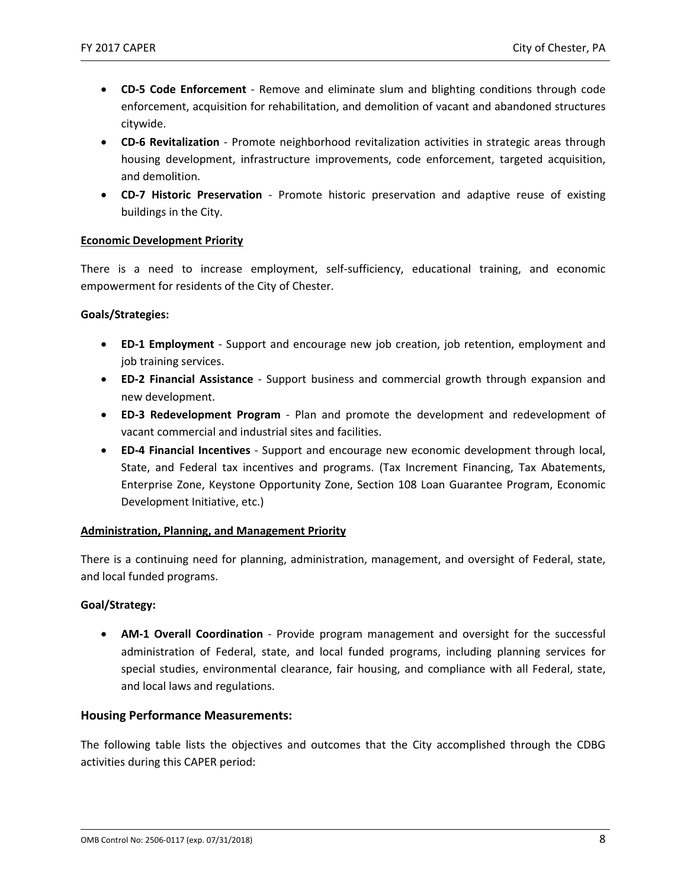- **CD-5 Code Enforcement** Remove and eliminate slum and blighting conditions through code enforcement, acquisition for rehabilitation, and demolition of vacant and abandoned structures citywide.
- **CD-6 Revitalization** Promote neighborhood revitalization activities in strategic areas through housing development, infrastructure improvements, code enforcement, targeted acquisition, and demolition.
- **CD-7 Historic Preservation** Promote historic preservation and adaptive reuse of existing buildings in the City.

#### **Economic Development Priority**

There is a need to increase employment, self-sufficiency, educational training, and economic empowerment for residents of the City of Chester.

#### **Goals/Strategies:**

- **ED-1 Employment** Support and encourage new job creation, job retention, employment and job training services.
- **ED‐2 Financial Assistance** ‐ Support business and commercial growth through expansion and new development.
- **ED‐3 Redevelopment Program** ‐ Plan and promote the development and redevelopment of vacant commercial and industrial sites and facilities.
- **ED‐4 Financial Incentives** ‐ Support and encourage new economic development through local, State, and Federal tax incentives and programs. (Tax Increment Financing, Tax Abatements, Enterprise Zone, Keystone Opportunity Zone, Section 108 Loan Guarantee Program, Economic Development Initiative, etc.)

#### **Administration, Planning, and Management Priority**

There is a continuing need for planning, administration, management, and oversight of Federal, state, and local funded programs.

#### **Goal/Strategy:**

**• AM-1 Overall Coordination** - Provide program management and oversight for the successful administration of Federal, state, and local funded programs, including planning services for special studies, environmental clearance, fair housing, and compliance with all Federal, state, and local laws and regulations.

#### **Housing Performance Measurements:**

The following table lists the objectives and outcomes that the City accomplished through the CDBG activities during this CAPER period: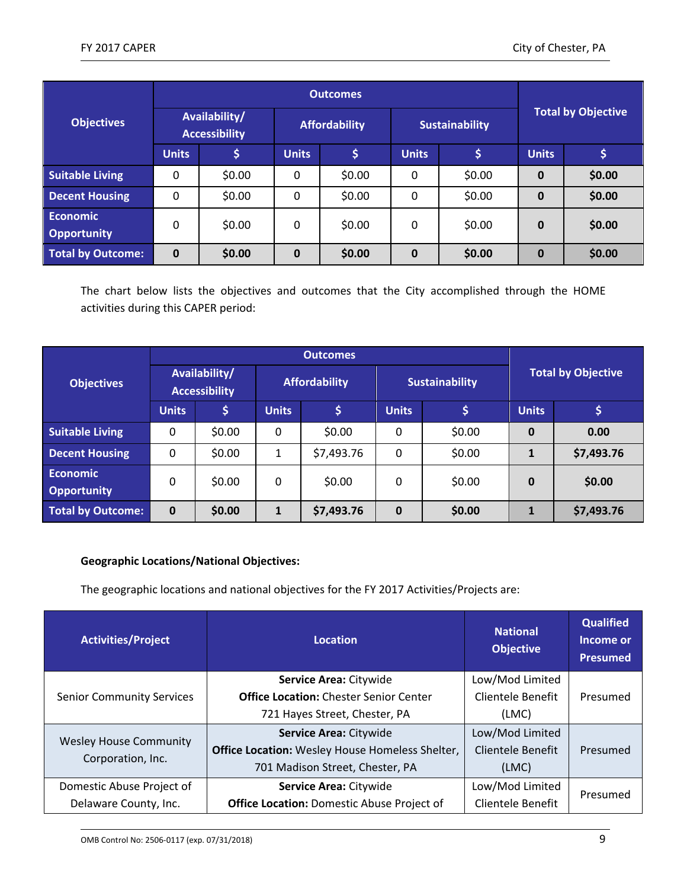|                                       |                                       |        |                      | <b>Outcomes</b> |                       |        |                           |        |
|---------------------------------------|---------------------------------------|--------|----------------------|-----------------|-----------------------|--------|---------------------------|--------|
| <b>Objectives</b>                     | Availability/<br><b>Accessibility</b> |        | <b>Affordability</b> |                 | <b>Sustainability</b> |        | <b>Total by Objective</b> |        |
|                                       | <b>Units</b>                          | \$,    | <b>Units</b>         | \$              | <b>Units</b>          | \$,    | <b>Units</b>              | \$     |
| <b>Suitable Living</b>                | 0                                     | \$0.00 | 0                    | \$0.00          | 0                     | \$0.00 | $\mathbf{0}$              | \$0.00 |
| <b>Decent Housing</b>                 | 0                                     | \$0.00 | 0                    | \$0.00          | 0                     | \$0.00 | $\mathbf 0$               | \$0.00 |
| <b>Economic</b><br><b>Opportunity</b> | 0                                     | \$0.00 | 0                    | \$0.00          | 0                     | \$0.00 | $\mathbf 0$               | \$0.00 |
| <b>Total by Outcome:</b>              | $\mathbf 0$                           | \$0.00 | 0                    | \$0.00          | $\bf{0}$              | \$0.00 | $\mathbf{0}$              | \$0.00 |

The chart below lists the objectives and outcomes that the City accomplished through the HOME activities during this CAPER period:

| <b>Objectives</b>                     |              | Availability/<br><b>Accessibility</b> |              | <b>Affordability</b> |              | <b>Sustainability</b> |              | <b>Total by Objective</b> |  |
|---------------------------------------|--------------|---------------------------------------|--------------|----------------------|--------------|-----------------------|--------------|---------------------------|--|
|                                       | <b>Units</b> | \$                                    | <b>Units</b> | \$                   | <b>Units</b> | \$                    | <b>Units</b> |                           |  |
| <b>Suitable Living</b>                | 0            | \$0.00                                | 0            | \$0.00               | 0            | \$0.00                | 0            | 0.00                      |  |
| <b>Decent Housing</b>                 | 0            | \$0.00                                | 1            | \$7,493.76           | 0            | \$0.00                |              | \$7,493.76                |  |
| <b>Economic</b><br><b>Opportunity</b> | 0            | \$0.00                                | 0            | \$0.00               | 0            | \$0.00                | 0            | \$0.00                    |  |
| <b>Total by Outcome:</b>              | 0            | \$0.00                                | 1            | \$7,493.76           | $\bf{0}$     | \$0.00                |              | \$7,493.76                |  |

#### **Geographic Locations/National Objectives:**

The geographic locations and national objectives for the FY 2017 Activities/Projects are:

| <b>Activities/Project</b>        | Location                                          | <b>National</b><br><b>Objective</b> | <b>Qualified</b><br>Income or<br><b>Presumed</b> |  |
|----------------------------------|---------------------------------------------------|-------------------------------------|--------------------------------------------------|--|
|                                  | Service Area: Citywide                            | Low/Mod Limited                     |                                                  |  |
| <b>Senior Community Services</b> | <b>Office Location: Chester Senior Center</b>     | Clientele Benefit                   | Presumed                                         |  |
|                                  | 721 Hayes Street, Chester, PA                     | (LMC)                               |                                                  |  |
|                                  | Service Area: Citywide                            | Low/Mod Limited                     |                                                  |  |
| <b>Wesley House Community</b>    | Office Location: Wesley House Homeless Shelter,   | Clientele Benefit                   | Presumed                                         |  |
| Corporation, Inc.                | 701 Madison Street, Chester, PA                   | (LMC)                               |                                                  |  |
| Domestic Abuse Project of        | Service Area: Citywide                            | Low/Mod Limited                     | Presumed                                         |  |
| Delaware County, Inc.            | <b>Office Location: Domestic Abuse Project of</b> | Clientele Benefit                   |                                                  |  |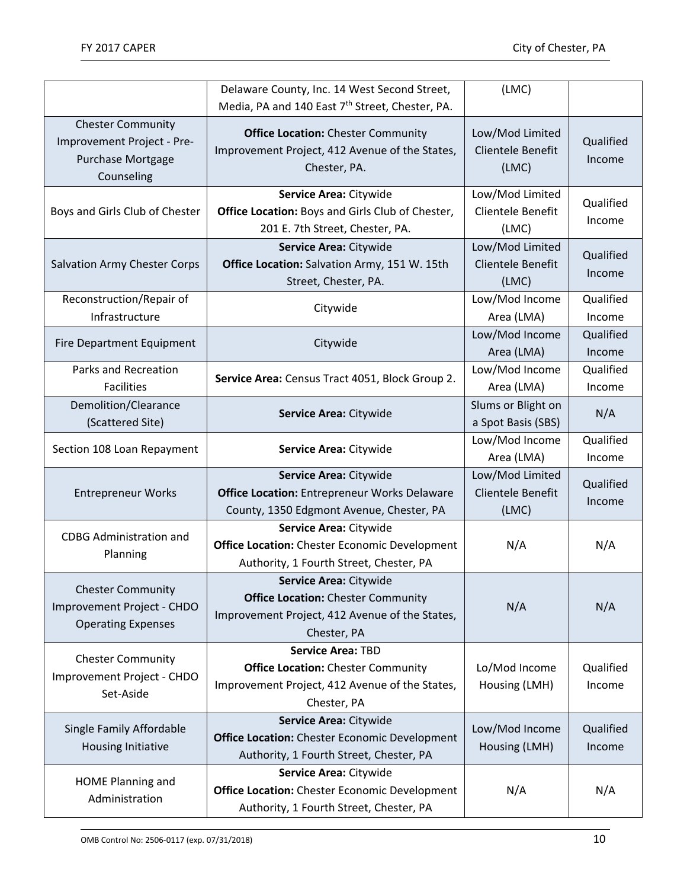|                                                                                           | Delaware County, Inc. 14 West Second Street,                                                                                           | (LMC)                                         |                     |
|-------------------------------------------------------------------------------------------|----------------------------------------------------------------------------------------------------------------------------------------|-----------------------------------------------|---------------------|
|                                                                                           | Media, PA and 140 East 7 <sup>th</sup> Street, Chester, PA.                                                                            |                                               |                     |
| <b>Chester Community</b><br>Improvement Project - Pre-<br>Purchase Mortgage<br>Counseling | <b>Office Location: Chester Community</b><br>Improvement Project, 412 Avenue of the States,<br>Chester, PA.                            | Low/Mod Limited<br>Clientele Benefit<br>(LMC) | Qualified<br>Income |
| Boys and Girls Club of Chester                                                            | Service Area: Citywide<br>Office Location: Boys and Girls Club of Chester,<br>201 E. 7th Street, Chester, PA.                          | Low/Mod Limited<br>Clientele Benefit<br>(LMC) | Qualified<br>Income |
| <b>Salvation Army Chester Corps</b>                                                       | Service Area: Citywide<br>Office Location: Salvation Army, 151 W. 15th<br>Street, Chester, PA.                                         | Low/Mod Limited<br>Clientele Benefit<br>(LMC) | Qualified<br>Income |
| Reconstruction/Repair of<br>Infrastructure                                                | Citywide                                                                                                                               | Low/Mod Income<br>Area (LMA)                  | Qualified<br>Income |
| Fire Department Equipment                                                                 | Citywide                                                                                                                               | Low/Mod Income<br>Area (LMA)                  | Qualified<br>Income |
| Parks and Recreation<br><b>Facilities</b>                                                 | Service Area: Census Tract 4051, Block Group 2.                                                                                        | Low/Mod Income<br>Area (LMA)                  | Qualified<br>Income |
| Demolition/Clearance<br>(Scattered Site)                                                  | Service Area: Citywide                                                                                                                 | Slums or Blight on<br>a Spot Basis (SBS)      | N/A                 |
| Section 108 Loan Repayment                                                                | Service Area: Citywide                                                                                                                 | Low/Mod Income<br>Area (LMA)                  | Qualified<br>Income |
| <b>Entrepreneur Works</b>                                                                 | Service Area: Citywide<br><b>Office Location: Entrepreneur Works Delaware</b><br>County, 1350 Edgmont Avenue, Chester, PA              | Low/Mod Limited<br>Clientele Benefit<br>(LMC) | Qualified<br>Income |
| <b>CDBG Administration and</b><br>Planning                                                | Service Area: Citywide<br><b>Office Location:</b> Chester Economic Development<br>Authority, 1 Fourth Street, Chester, PA              | N/A                                           | N/A                 |
| <b>Chester Community</b><br>Improvement Project - CHDO<br><b>Operating Expenses</b>       | Service Area: Citywide<br><b>Office Location: Chester Community</b><br>Improvement Project, 412 Avenue of the States,<br>Chester, PA   | N/A                                           | N/A                 |
| <b>Chester Community</b><br>Improvement Project - CHDO<br>Set-Aside                       | <b>Service Area: TBD</b><br><b>Office Location: Chester Community</b><br>Improvement Project, 412 Avenue of the States,<br>Chester, PA | Lo/Mod Income<br>Housing (LMH)                | Qualified<br>Income |
| Single Family Affordable<br>Housing Initiative                                            | Service Area: Citywide<br><b>Office Location:</b> Chester Economic Development<br>Authority, 1 Fourth Street, Chester, PA              | Low/Mod Income<br>Housing (LMH)               | Qualified<br>Income |
| HOME Planning and<br>Administration                                                       | Service Area: Citywide<br><b>Office Location:</b> Chester Economic Development<br>Authority, 1 Fourth Street, Chester, PA              | N/A                                           | N/A                 |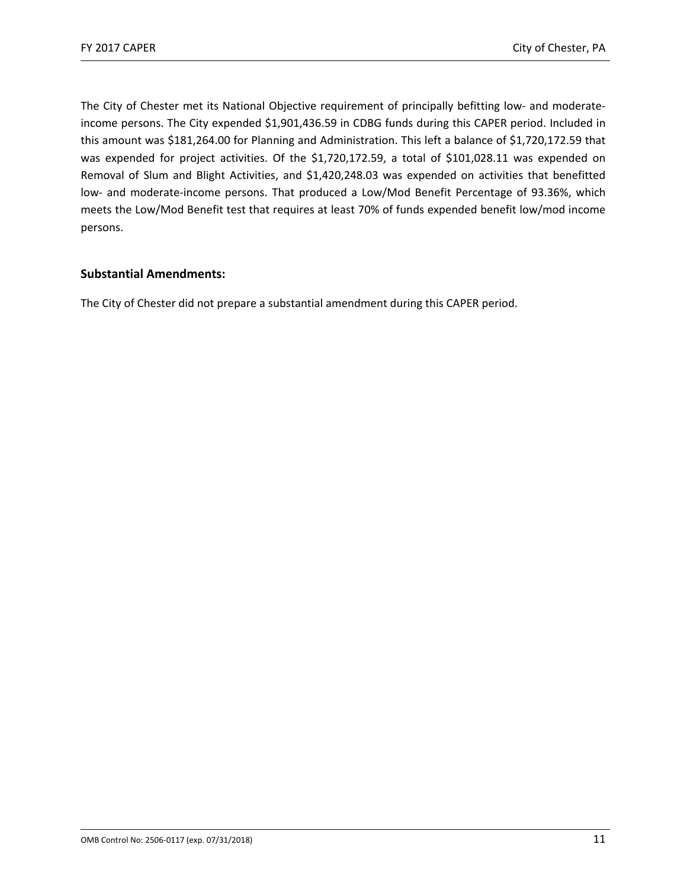The City of Chester met its National Objective requirement of principally befitting low- and moderateincome persons. The City expended \$1,901,436.59 in CDBG funds during this CAPER period. Included in this amount was \$181,264.00 for Planning and Administration. This left a balance of \$1,720,172.59 that was expended for project activities. Of the \$1,720,172.59, a total of \$101,028.11 was expended on Removal of Slum and Blight Activities, and \$1,420,248.03 was expended on activities that benefitted low- and moderate-income persons. That produced a Low/Mod Benefit Percentage of 93.36%, which meets the Low/Mod Benefit test that requires at least 70% of funds expended benefit low/mod income persons.

#### **Substantial Amendments:**

The City of Chester did not prepare a substantial amendment during this CAPER period.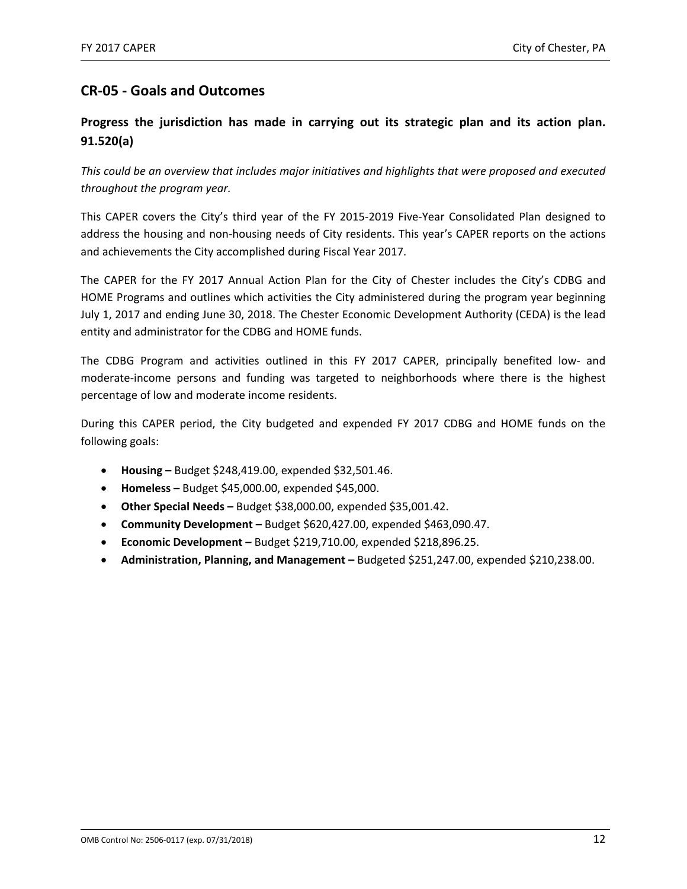### **CR‐05 ‐ Goals and Outcomes**

### **Progress the jurisdiction has made in carrying out its strategic plan and its action plan. 91.520(a)**

*This could be an overview that includes major initiatives and highlights that were proposed and executed throughout the program year.* 

This CAPER covers the City's third year of the FY 2015-2019 Five-Year Consolidated Plan designed to address the housing and non‐housing needs of City residents. This year's CAPER reports on the actions and achievements the City accomplished during Fiscal Year 2017.

The CAPER for the FY 2017 Annual Action Plan for the City of Chester includes the City's CDBG and HOME Programs and outlines which activities the City administered during the program year beginning July 1, 2017 and ending June 30, 2018. The Chester Economic Development Authority (CEDA) is the lead entity and administrator for the CDBG and HOME funds.

The CDBG Program and activities outlined in this FY 2017 CAPER, principally benefited low‐ and moderate-income persons and funding was targeted to neighborhoods where there is the highest percentage of low and moderate income residents.

During this CAPER period, the City budgeted and expended FY 2017 CDBG and HOME funds on the following goals:

- **Housing –** Budget \$248,419.00, expended \$32,501.46.
- **Homeless –** Budget \$45,000.00, expended \$45,000.
- **Other Special Needs –** Budget \$38,000.00, expended \$35,001.42.
- **Community Development** Budget \$620,427.00, expended \$463,090.47.
- **Economic Development –** Budget \$219,710.00, expended \$218,896.25.
- **Administration, Planning, and Management –** Budgeted \$251,247.00, expended \$210,238.00.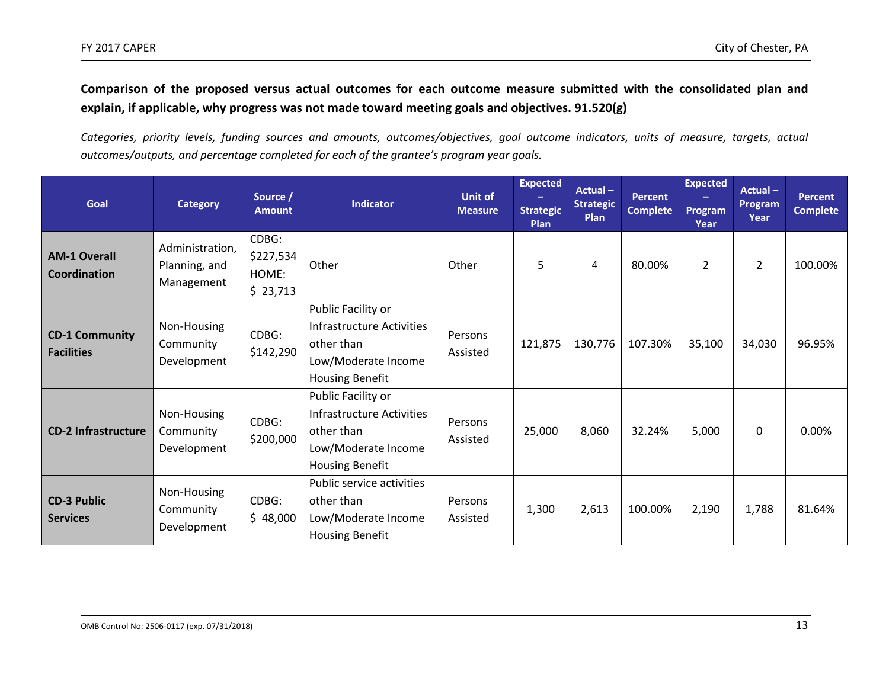## Comparison of the proposed versus actual outcomes for each outcome measure submitted with the consolidated plan and **explain, if applicable, why progress was not made toward meeting goals and objectives. 91.520(g)**

Categories, priority levels, funding sources and amounts, outcomes/objectives, goal outcome indicators, units of measure, targets, actual *outcomes/outputs, and percentage completed for each of the grantee's program year goals.* 

| Goal                                       | <b>Category</b>                                | Source /<br><b>Amount</b>               | <b>Indicator</b>                                                                                               | <b>Unit of</b><br><b>Measure</b> | <b>Expected</b><br><b>Strategic</b><br><b>Plan</b> | <b>Actual -</b><br><b>Strategic</b><br><b>Plan</b> | <b>Percent</b><br><b>Complete</b> | <b>Expected</b><br>Program<br>Year | $Actual -$<br><b>Program</b><br>Year | Percent<br><b>Complete</b> |
|--------------------------------------------|------------------------------------------------|-----------------------------------------|----------------------------------------------------------------------------------------------------------------|----------------------------------|----------------------------------------------------|----------------------------------------------------|-----------------------------------|------------------------------------|--------------------------------------|----------------------------|
| <b>AM-1 Overall</b><br>Coordination        | Administration,<br>Planning, and<br>Management | CDBG:<br>\$227,534<br>HOME:<br>\$23,713 | Other                                                                                                          | Other                            | 5                                                  | 4                                                  | 80.00%                            | $\overline{2}$                     | $\overline{2}$                       | 100.00%                    |
| <b>CD-1 Community</b><br><b>Facilities</b> | Non-Housing<br>Community<br>Development        | CDBG:<br>\$142,290                      | Public Facility or<br>Infrastructure Activities<br>other than<br>Low/Moderate Income<br><b>Housing Benefit</b> | Persons<br>Assisted              | 121,875                                            | 130,776                                            | 107.30%                           | 35,100                             | 34,030                               | 96.95%                     |
| <b>CD-2 Infrastructure</b>                 | Non-Housing<br>Community<br>Development        | CDBG:<br>\$200,000                      | Public Facility or<br>Infrastructure Activities<br>other than<br>Low/Moderate Income<br><b>Housing Benefit</b> | Persons<br>Assisted              | 25,000                                             | 8,060                                              | 32.24%                            | 5,000                              | $\mathbf{0}$                         | 0.00%                      |
| <b>CD-3 Public</b><br><b>Services</b>      | Non-Housing<br>Community<br>Development        | CDBG:<br>\$48,000                       | Public service activities<br>other than<br>Low/Moderate Income<br><b>Housing Benefit</b>                       | Persons<br>Assisted              | 1,300                                              | 2,613                                              | 100.00%                           | 2,190                              | 1,788                                | 81.64%                     |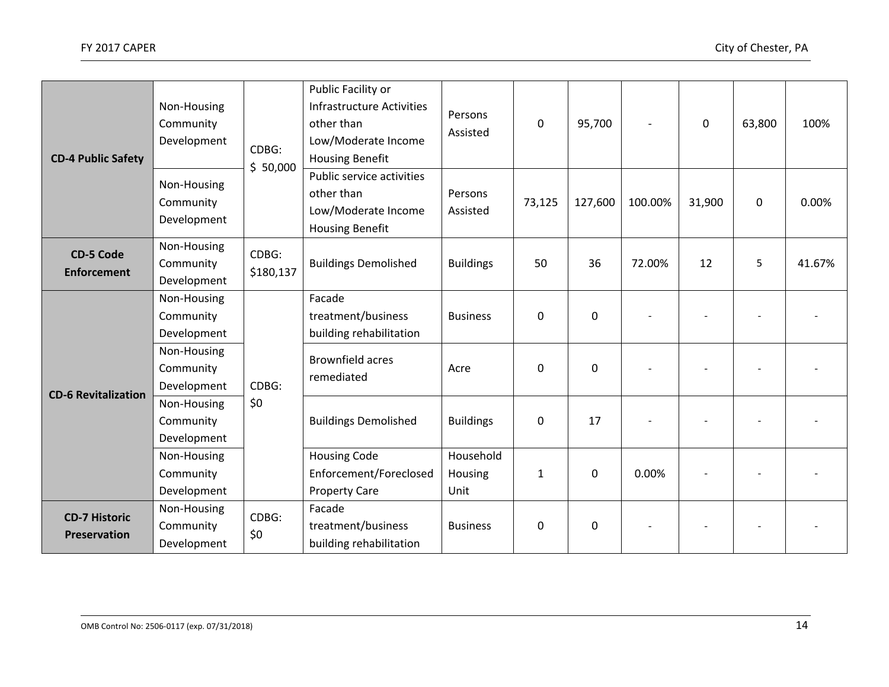| <b>CD-4 Public Safety</b>                   | Non-Housing<br>Community<br>Development | CDBG:<br>\$50,000  | Public Facility or<br><b>Infrastructure Activities</b><br>other than<br>Low/Moderate Income<br><b>Housing Benefit</b> | Persons<br>Assisted          | 0            | 95,700      | $\overline{a}$ | $\mathbf 0$ | 63,800      | 100%   |
|---------------------------------------------|-----------------------------------------|--------------------|-----------------------------------------------------------------------------------------------------------------------|------------------------------|--------------|-------------|----------------|-------------|-------------|--------|
|                                             | Non-Housing<br>Community<br>Development |                    | Public service activities<br>other than<br>Low/Moderate Income<br><b>Housing Benefit</b>                              | Persons<br>Assisted          | 73,125       | 127,600     | 100.00%        | 31,900      | $\mathbf 0$ | 0.00%  |
| <b>CD-5 Code</b><br><b>Enforcement</b>      | Non-Housing<br>Community<br>Development | CDBG:<br>\$180,137 | <b>Buildings Demolished</b>                                                                                           | <b>Buildings</b>             | 50           | 36          | 72.00%         | 12          | 5           | 41.67% |
|                                             | Non-Housing<br>Community<br>Development | CDBG:<br>\$0       | Facade<br>treatment/business<br>building rehabilitation                                                               | <b>Business</b>              | $\mathbf 0$  | $\mathbf 0$ |                |             |             |        |
| <b>CD-6 Revitalization</b>                  | Non-Housing<br>Community<br>Development |                    | <b>Brownfield acres</b><br>remediated                                                                                 | Acre                         | $\mathbf 0$  | $\mathbf 0$ |                |             |             |        |
|                                             | Non-Housing<br>Community<br>Development |                    | <b>Buildings Demolished</b>                                                                                           | <b>Buildings</b>             | 0            | 17          |                |             |             |        |
|                                             | Non-Housing<br>Community<br>Development |                    | <b>Housing Code</b><br>Enforcement/Foreclosed<br><b>Property Care</b>                                                 | Household<br>Housing<br>Unit | $\mathbf{1}$ | $\mathbf 0$ | 0.00%          |             |             |        |
| <b>CD-7 Historic</b><br><b>Preservation</b> | Non-Housing<br>Community<br>Development | CDBG:<br>\$0       | Facade<br>treatment/business<br>building rehabilitation                                                               | <b>Business</b>              | $\mathbf 0$  | $\mathbf 0$ |                |             |             |        |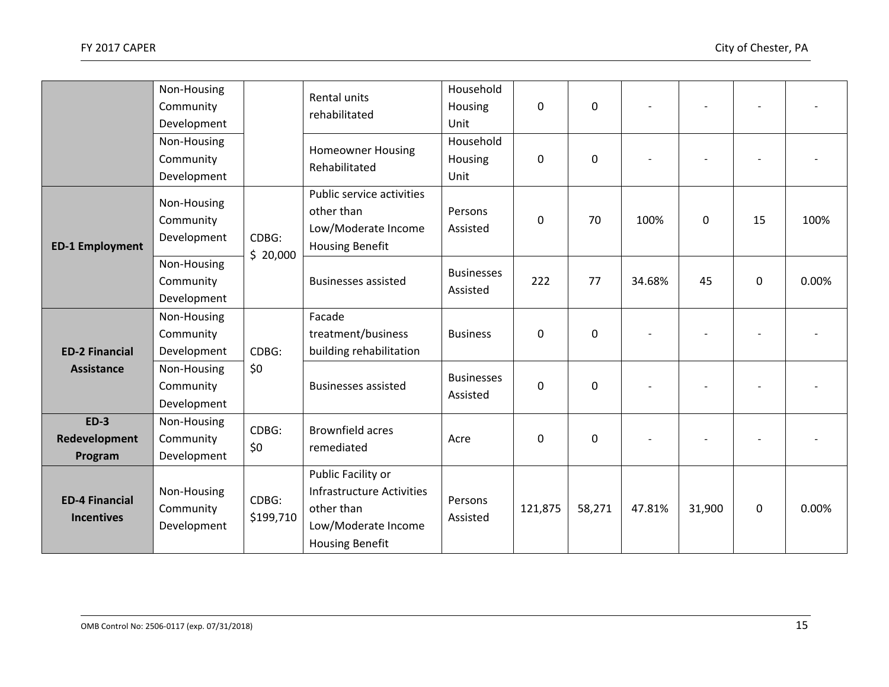|                        | Non-Housing                       |                     | Rental units                     | Household         |             |        |        |              |             |       |
|------------------------|-----------------------------------|---------------------|----------------------------------|-------------------|-------------|--------|--------|--------------|-------------|-------|
|                        | Community                         |                     | rehabilitated                    | Housing           | 0           | 0      |        |              |             |       |
|                        | Development                       |                     |                                  | Unit              |             |        |        |              |             |       |
|                        | Non-Housing                       |                     | <b>Homeowner Housing</b>         | Household         |             |        |        |              |             |       |
|                        | Community                         |                     | Rehabilitated                    | Housing           | 0           | 0      |        |              |             |       |
|                        | Development                       |                     |                                  | Unit              |             |        |        |              |             |       |
|                        | Non-Housing                       |                     | Public service activities        |                   |             |        |        |              |             |       |
|                        | Community<br>Development<br>CDBG: |                     | other than                       | Persons           | 0           | 70     | 100%   | $\mathbf{0}$ | 15          | 100%  |
|                        |                                   |                     | Low/Moderate Income              | Assisted          |             |        |        |              |             |       |
| <b>ED-1 Employment</b> |                                   | \$20,000            | <b>Housing Benefit</b>           |                   |             |        |        |              |             |       |
|                        | Non-Housing                       |                     |                                  | <b>Businesses</b> |             |        |        |              |             | 0.00% |
|                        | Community                         |                     | <b>Businesses assisted</b>       | Assisted          | 222         | 77     | 34.68% | 45           | $\mathbf 0$ |       |
|                        | Development                       |                     |                                  |                   |             |        |        |              |             |       |
|                        | Non-Housing                       |                     | Facade                           |                   |             |        |        |              |             |       |
|                        | Community                         |                     | treatment/business               | <b>Business</b>   | 0           | 0      |        |              |             |       |
| <b>ED-2 Financial</b>  | Development                       | CDBG:               | building rehabilitation          |                   |             |        |        |              |             |       |
| Assistance             | Non-Housing                       | \$0                 |                                  | <b>Businesses</b> |             | 0      |        |              |             |       |
|                        | Community                         |                     | <b>Businesses assisted</b>       | Assisted          | 0           |        |        |              |             |       |
|                        | Development                       |                     |                                  |                   |             |        |        |              |             |       |
| $ED-3$                 | Non-Housing                       | CDBG:               | <b>Brownfield acres</b>          |                   |             |        |        |              |             |       |
| Redevelopment          | Community                         | \$0                 | remediated                       | Acre              | $\mathbf 0$ | 0      |        |              |             |       |
| Program                | Development                       |                     |                                  |                   |             |        |        |              |             |       |
|                        |                                   |                     | Public Facility or               |                   |             |        |        |              |             |       |
| <b>ED-4 Financial</b>  | Non-Housing                       | CDBG:               | <b>Infrastructure Activities</b> |                   |             |        |        |              |             | 0.00% |
| <b>Incentives</b>      | Community                         |                     | other than                       | Persons           | 121,875     | 58,271 | 47.81% | 31,900       | $\Omega$    |       |
|                        | \$199,710<br>Development          | Low/Moderate Income | Assisted                         |                   |             |        |        |              |             |       |
|                        |                                   |                     | <b>Housing Benefit</b>           |                   |             |        |        |              |             |       |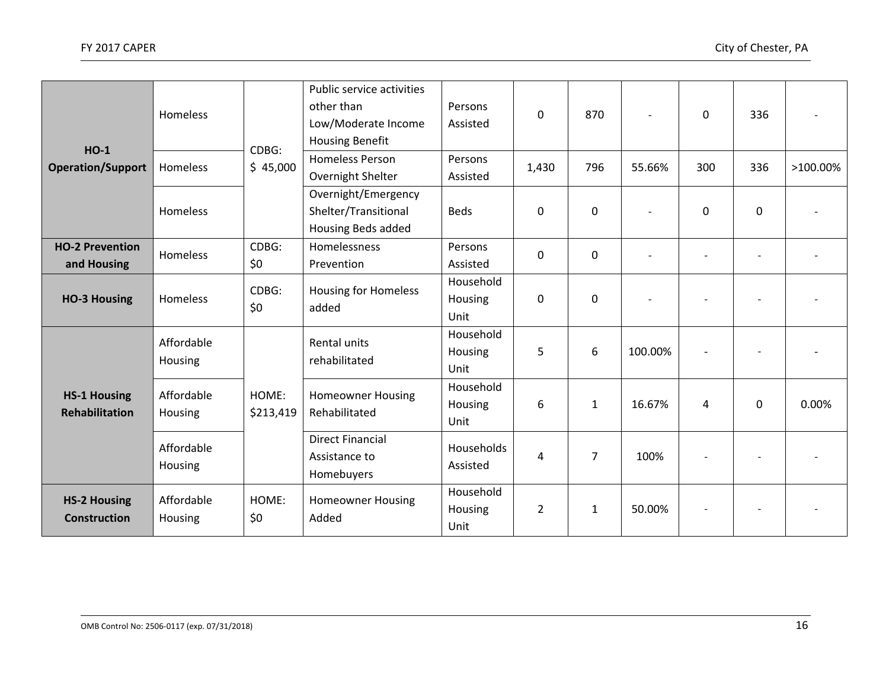| $HO-1$<br><b>Operation/Support</b>           | <b>Homeless</b>       | CDBG:<br>\$45,000  | Public service activities<br>other than<br>Low/Moderate Income<br><b>Housing Benefit</b> | Persons<br>Assisted                         | 0                   | 870            |         | 0              | 336         |       |          |
|----------------------------------------------|-----------------------|--------------------|------------------------------------------------------------------------------------------|---------------------------------------------|---------------------|----------------|---------|----------------|-------------|-------|----------|
|                                              | <b>Homeless</b>       |                    |                                                                                          | <b>Homeless Person</b><br>Overnight Shelter | Persons<br>Assisted | 1,430          | 796     | 55.66%         | 300         | 336   | >100.00% |
|                                              | Homeless              |                    | Overnight/Emergency<br>Shelter/Transitional<br>Housing Beds added                        | <b>Beds</b>                                 | 0                   | 0              |         | $\Omega$       | 0           |       |          |
| <b>HO-2 Prevention</b><br>and Housing        | Homeless              | CDBG:<br>\$0       | Homelessness<br>Prevention                                                               | Persons<br>Assisted                         | 0                   | $\pmb{0}$      |         |                |             |       |          |
| <b>HO-3 Housing</b>                          | Homeless              | CDBG:<br>\$0       | <b>Housing for Homeless</b><br>added                                                     | Household<br>Housing<br>Unit                | 0                   | 0              |         |                |             |       |          |
| <b>HS-1 Housing</b><br><b>Rehabilitation</b> | Affordable<br>Housing |                    | Rental units<br>rehabilitated                                                            | Household<br>Housing<br>Unit                | 5                   | 6              | 100.00% |                |             |       |          |
|                                              | Affordable<br>Housing | HOME:<br>\$213,419 | <b>Homeowner Housing</b><br>Rehabilitated                                                | Household<br>Housing<br>Unit                | 6                   | $\mathbf{1}$   | 16.67%  | 4              | $\mathbf 0$ | 0.00% |          |
|                                              | Affordable<br>Housing |                    | <b>Direct Financial</b><br>Assistance to<br>Homebuyers                                   | Households<br>Assisted                      | 4                   | $\overline{7}$ | 100%    |                |             |       |          |
| <b>HS-2 Housing</b><br><b>Construction</b>   | Affordable<br>Housing | HOME:<br>\$0       | <b>Homeowner Housing</b><br>Added                                                        | Household<br>Housing<br>Unit                | $\overline{2}$      | $\mathbf{1}$   | 50.00%  | $\overline{a}$ |             |       |          |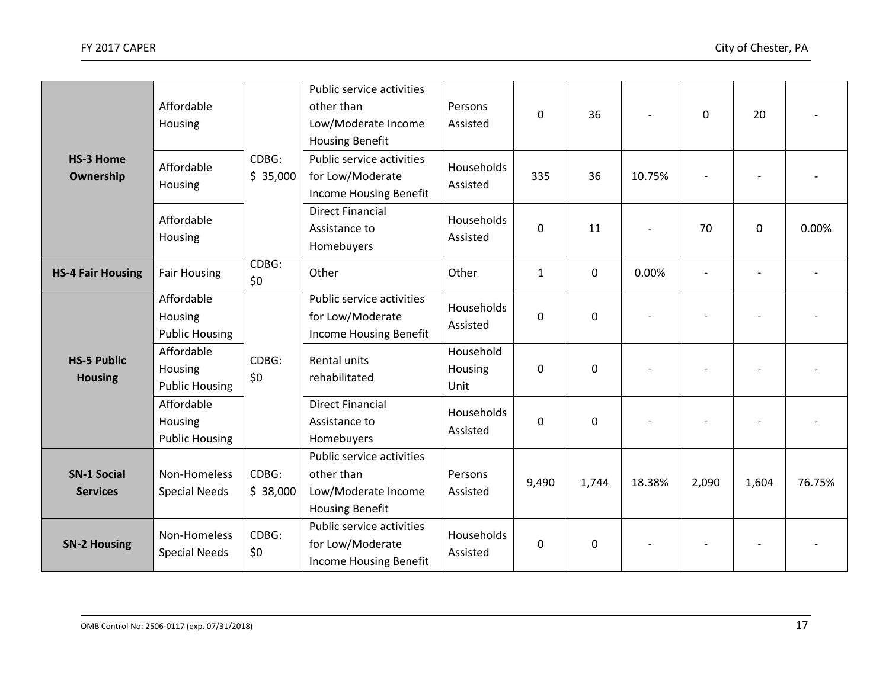| <b>HS-3 Home</b><br>Ownership         | Affordable<br>Housing                          |                   | Public service activities<br>other than<br>Low/Moderate Income<br><b>Housing Benefit</b> | Persons<br>Assisted          | $\pmb{0}$           | 36          | $\overline{a}$ | $\mathbf 0$ | 20                       |        |
|---------------------------------------|------------------------------------------------|-------------------|------------------------------------------------------------------------------------------|------------------------------|---------------------|-------------|----------------|-------------|--------------------------|--------|
|                                       | Affordable<br>Housing                          | CDBG:<br>\$35,000 | Public service activities<br>for Low/Moderate<br>Income Housing Benefit                  | Households<br>Assisted       | 335                 | 36          | 10.75%         |             |                          |        |
|                                       | Affordable<br>Housing                          |                   | <b>Direct Financial</b><br>Assistance to<br>Homebuyers                                   | Households<br>Assisted       | $\mathsf{O}\xspace$ | 11          | $\overline{a}$ | 70          | $\mathbf 0$              | 0.00%  |
| <b>HS-4 Fair Housing</b>              | <b>Fair Housing</b>                            | CDBG:<br>\$0      | Other                                                                                    | Other                        | $\mathbf{1}$        | 0           | 0.00%          |             | $\overline{\phantom{a}}$ |        |
|                                       | Affordable<br>Housing<br><b>Public Housing</b> | CDBG:<br>\$0      | Public service activities<br>for Low/Moderate<br>Income Housing Benefit                  | Households<br>Assisted       | $\pmb{0}$           | $\mathbf 0$ |                |             |                          |        |
| <b>HS-5 Public</b><br><b>Housing</b>  | Affordable<br>Housing<br><b>Public Housing</b> |                   | Rental units<br>rehabilitated                                                            | Household<br>Housing<br>Unit | 0                   | $\mathbf 0$ |                |             |                          |        |
|                                       | Affordable<br>Housing<br><b>Public Housing</b> |                   | <b>Direct Financial</b><br>Assistance to<br>Homebuyers                                   | Households<br>Assisted       | $\mathbf 0$         | $\mathbf 0$ |                |             |                          |        |
| <b>SN-1 Social</b><br><b>Services</b> | Non-Homeless<br><b>Special Needs</b>           | CDBG:<br>\$38,000 | Public service activities<br>other than<br>Low/Moderate Income<br><b>Housing Benefit</b> | Persons<br>Assisted          | 9,490               | 1,744       | 18.38%         | 2,090       | 1,604                    | 76.75% |
| <b>SN-2 Housing</b>                   | Non-Homeless<br><b>Special Needs</b>           | CDBG:<br>\$0      | Public service activities<br>for Low/Moderate<br>Income Housing Benefit                  | Households<br>Assisted       | $\pmb{0}$           | $\mathbf 0$ |                |             |                          |        |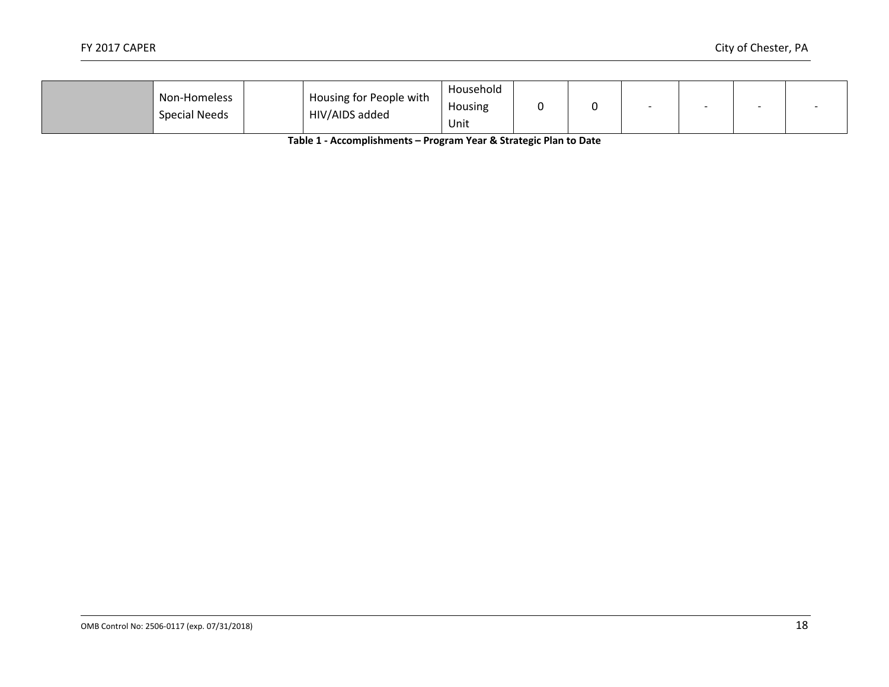| Housing for People with<br>Non-Homeless<br>HIV/AIDS added<br>Special Needs | Household<br>Housing<br>Unit |  |  |  |  |  |  |
|----------------------------------------------------------------------------|------------------------------|--|--|--|--|--|--|
|----------------------------------------------------------------------------|------------------------------|--|--|--|--|--|--|

**Table 1 ‐ Accomplishments – Program Year & Strategic Plan to Date**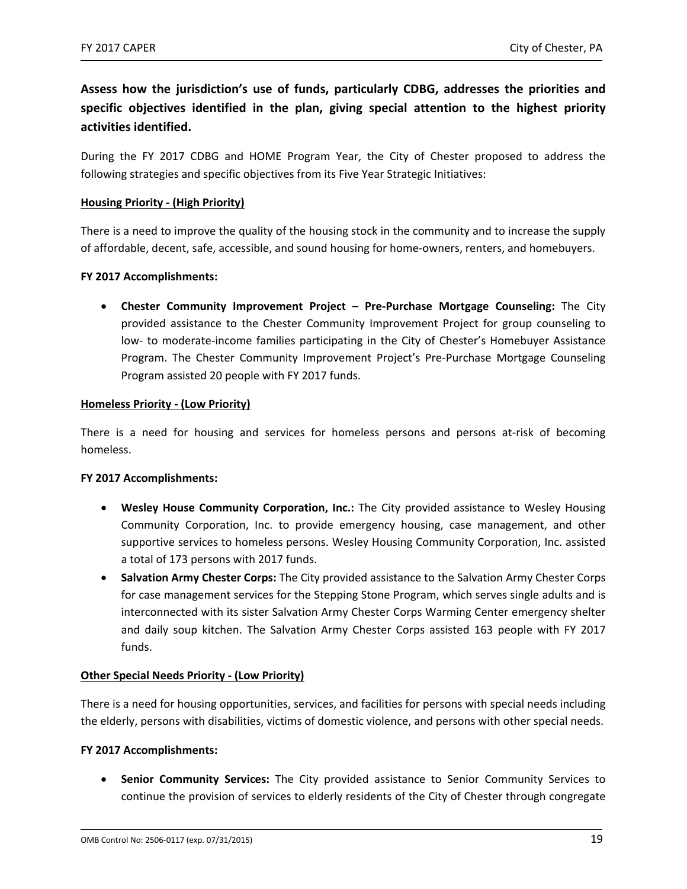## **Assess how the jurisdiction's use of funds, particularly CDBG, addresses the priorities and specific objectives identified in the plan, giving special attention to the highest priority activities identified.**

During the FY 2017 CDBG and HOME Program Year, the City of Chester proposed to address the following strategies and specific objectives from its Five Year Strategic Initiatives:

#### **Housing Priority ‐ (High Priority)**

There is a need to improve the quality of the housing stock in the community and to increase the supply of affordable, decent, safe, accessible, and sound housing for home‐owners, renters, and homebuyers.

#### **FY 2017 Accomplishments:**

**•** Chester Community Improvement Project – Pre-Purchase Mortgage Counseling: The City provided assistance to the Chester Community Improvement Project for group counseling to low- to moderate-income families participating in the City of Chester's Homebuyer Assistance Program. The Chester Community Improvement Project's Pre‐Purchase Mortgage Counseling Program assisted 20 people with FY 2017 funds.

#### **Homeless Priority ‐ (Low Priority)**

There is a need for housing and services for homeless persons and persons at-risk of becoming homeless.

#### **FY 2017 Accomplishments:**

- **Wesley House Community Corporation, Inc.:** The City provided assistance to Wesley Housing Community Corporation, Inc. to provide emergency housing, case management, and other supportive services to homeless persons. Wesley Housing Community Corporation, Inc. assisted a total of 173 persons with 2017 funds.
- **Salvation Army Chester Corps:** The City provided assistance to the Salvation Army Chester Corps for case management services for the Stepping Stone Program, which serves single adults and is interconnected with its sister Salvation Army Chester Corps Warming Center emergency shelter and daily soup kitchen. The Salvation Army Chester Corps assisted 163 people with FY 2017 funds.

#### **Other Special Needs Priority ‐ (Low Priority)**

There is a need for housing opportunities, services, and facilities for persons with special needs including the elderly, persons with disabilities, victims of domestic violence, and persons with other special needs.

#### **FY 2017 Accomplishments:**

**Senior Community Services:** The City provided assistance to Senior Community Services to continue the provision of services to elderly residents of the City of Chester through congregate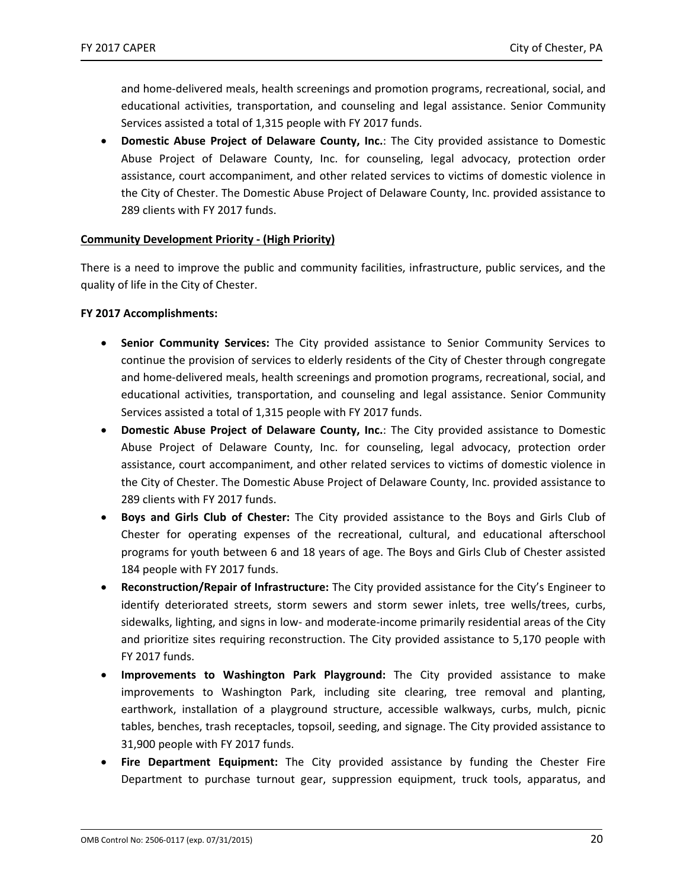and home‐delivered meals, health screenings and promotion programs, recreational, social, and educational activities, transportation, and counseling and legal assistance. Senior Community Services assisted a total of 1,315 people with FY 2017 funds.

**• Domestic Abuse Project of Delaware County, Inc.:** The City provided assistance to Domestic Abuse Project of Delaware County, Inc. for counseling, legal advocacy, protection order assistance, court accompaniment, and other related services to victims of domestic violence in the City of Chester. The Domestic Abuse Project of Delaware County, Inc. provided assistance to 289 clients with FY 2017 funds.

#### **Community Development Priority ‐ (High Priority)**

There is a need to improve the public and community facilities, infrastructure, public services, and the quality of life in the City of Chester.

#### **FY 2017 Accomplishments:**

- **Senior Community Services:** The City provided assistance to Senior Community Services to continue the provision of services to elderly residents of the City of Chester through congregate and home-delivered meals, health screenings and promotion programs, recreational, social, and educational activities, transportation, and counseling and legal assistance. Senior Community Services assisted a total of 1,315 people with FY 2017 funds.
- **Domestic Abuse Project of Delaware County, Inc.:** The City provided assistance to Domestic Abuse Project of Delaware County, Inc. for counseling, legal advocacy, protection order assistance, court accompaniment, and other related services to victims of domestic violence in the City of Chester. The Domestic Abuse Project of Delaware County, Inc. provided assistance to 289 clients with FY 2017 funds.
- **Boys and Girls Club of Chester:**  The City provided assistance to the Boys and Girls Club of Chester for operating expenses of the recreational, cultural, and educational afterschool programs for youth between 6 and 18 years of age. The Boys and Girls Club of Chester assisted 184 people with FY 2017 funds.
- **Reconstruction/Repair of Infrastructure:** The City provided assistance for the City's Engineer to identify deteriorated streets, storm sewers and storm sewer inlets, tree wells/trees, curbs, sidewalks, lighting, and signs in low‐ and moderate‐income primarily residential areas of the City and prioritize sites requiring reconstruction. The City provided assistance to 5,170 people with FY 2017 funds.
- **Improvements to Washington Park Playground:** The City provided assistance to make improvements to Washington Park, including site clearing, tree removal and planting, earthwork, installation of a playground structure, accessible walkways, curbs, mulch, picnic tables, benches, trash receptacles, topsoil, seeding, and signage. The City provided assistance to 31,900 people with FY 2017 funds.
- **Fire Department Equipment:**  The City provided assistance by funding the Chester Fire Department to purchase turnout gear, suppression equipment, truck tools, apparatus, and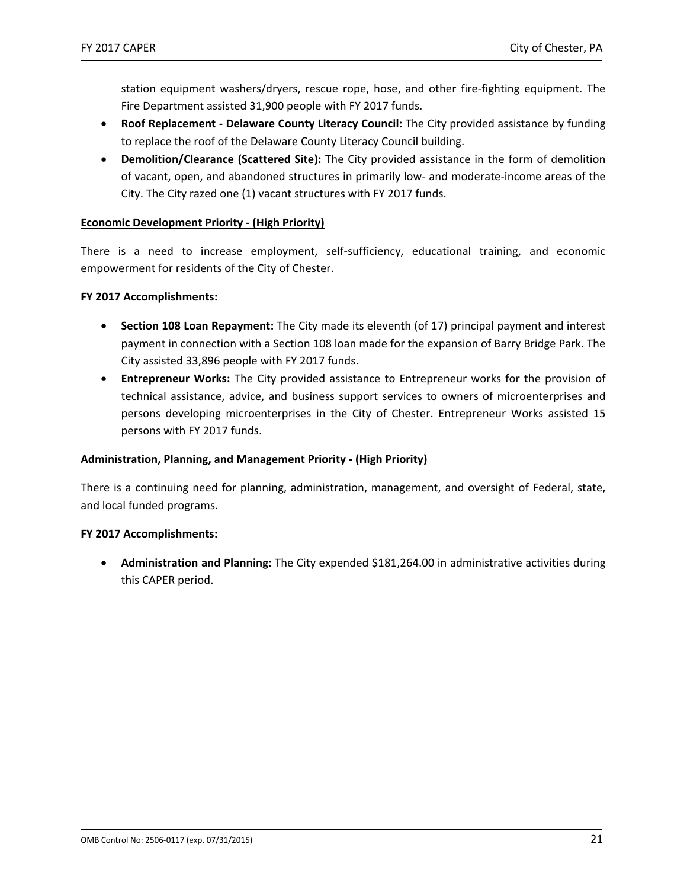station equipment washers/dryers, rescue rope, hose, and other fire‐fighting equipment. The Fire Department assisted 31,900 people with FY 2017 funds.

- **Roof Replacement Delaware County Literacy Council:** The City provided assistance by funding to replace the roof of the Delaware County Literacy Council building.
- **Demolition/Clearance (Scattered Site):** The City provided assistance in the form of demolition of vacant, open, and abandoned structures in primarily low‐ and moderate‐income areas of the City. The City razed one (1) vacant structures with FY 2017 funds.

#### **Economic Development Priority ‐ (High Priority)**

There is a need to increase employment, self-sufficiency, educational training, and economic empowerment for residents of the City of Chester.

#### **FY 2017 Accomplishments:**

- **Section 108 Loan Repayment:** The City made its eleventh (of 17) principal payment and interest payment in connection with a Section 108 loan made for the expansion of Barry Bridge Park. The City assisted 33,896 people with FY 2017 funds.
- **Entrepreneur Works:** The City provided assistance to Entrepreneur works for the provision of technical assistance, advice, and business support services to owners of microenterprises and persons developing microenterprises in the City of Chester. Entrepreneur Works assisted 15 persons with FY 2017 funds.

#### **Administration, Planning, and Management Priority ‐ (High Priority)**

There is a continuing need for planning, administration, management, and oversight of Federal, state, and local funded programs.

#### **FY 2017 Accomplishments:**

 **Administration and Planning:** The City expended \$181,264.00 in administrative activities during this CAPER period.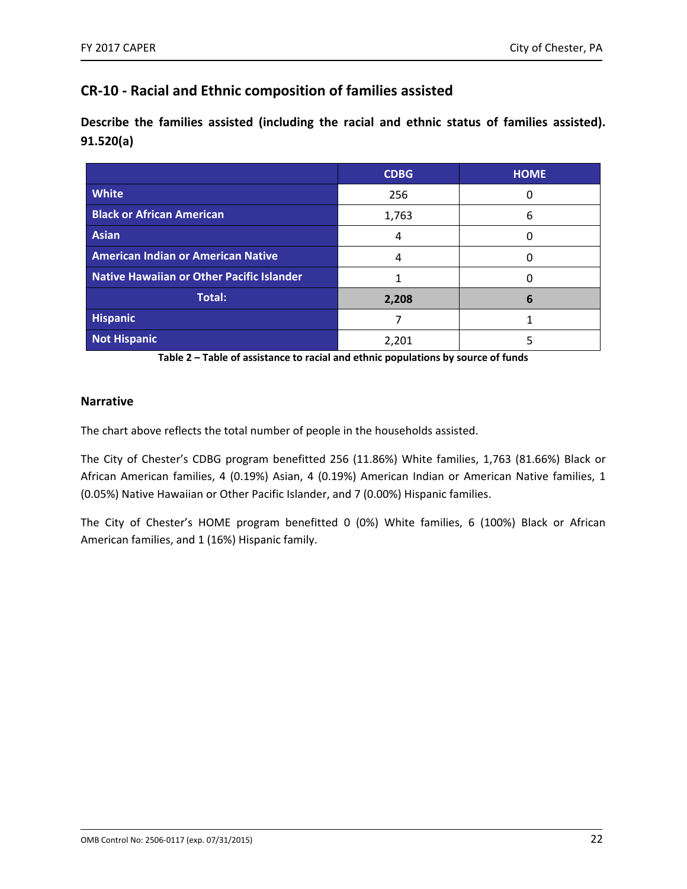## **CR‐10 ‐ Racial and Ethnic composition of families assisted**

**Describe the families assisted (including the racial and ethnic status of families assisted). 91.520(a)** 

|                                           | <b>CDBG</b> | <b>HOME</b> |
|-------------------------------------------|-------------|-------------|
| <b>White</b>                              | 256         |             |
| <b>Black or African American</b>          | 1,763       | 6           |
| Asian                                     | 4           |             |
| <b>American Indian or American Native</b> |             |             |
| Native Hawaiian or Other Pacific Islander |             |             |
| Total:                                    | 2,208       | 6           |
| Hispanic                                  |             |             |
| <b>Not Hispanic</b>                       | 2,201       |             |

**Table 2 – Table of assistance to racial and ethnic populations by source of funds** 

#### **Narrative**

The chart above reflects the total number of people in the households assisted.

The City of Chester's CDBG program benefitted 256 (11.86%) White families, 1,763 (81.66%) Black or African American families, 4 (0.19%) Asian, 4 (0.19%) American Indian or American Native families, 1 (0.05%) Native Hawaiian or Other Pacific Islander, and 7 (0.00%) Hispanic families.

The City of Chester's HOME program benefitted 0 (0%) White families, 6 (100%) Black or African American families, and 1 (16%) Hispanic family.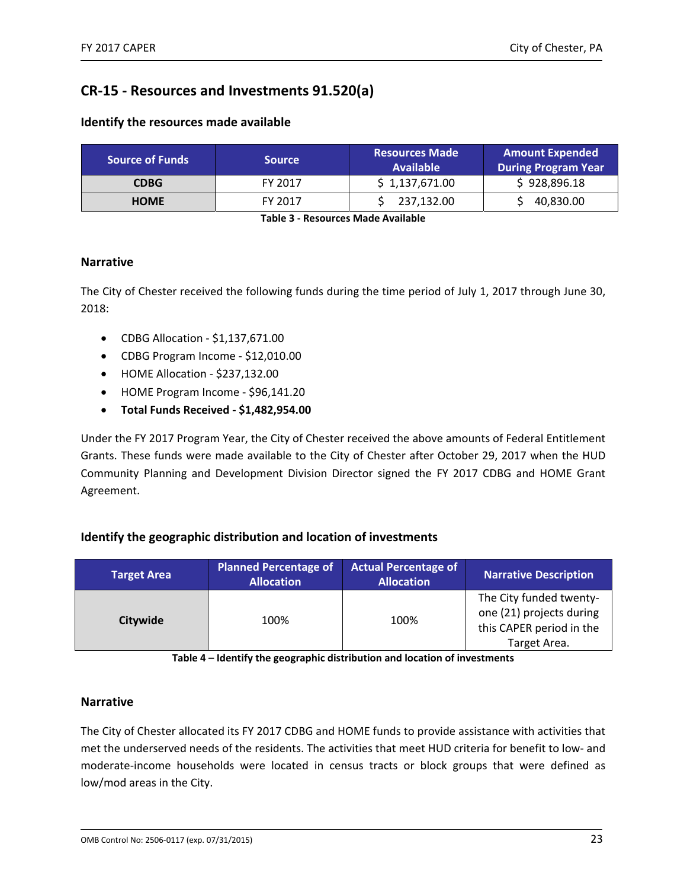## **CR‐15 ‐ Resources and Investments 91.520(a)**

| <b>Source of Funds</b> | <b>Source</b> ' | <b>Resources Made</b><br><b>Available</b> | <b>Amount Expended</b><br><b>During Program Year</b> |  |  |
|------------------------|-----------------|-------------------------------------------|------------------------------------------------------|--|--|
| <b>CDBG</b>            | FY 2017         | \$1,137,671.00                            | \$928,896.18                                         |  |  |
| <b>HOME</b>            | FY 2017         | 237,132.00                                | 40,830.00                                            |  |  |

#### **Identify the resources made available**

**Table 3 ‐ Resources Made Available** 

#### **Narrative**

The City of Chester received the following funds during the time period of July 1, 2017 through June 30, 2018:

- CDBG Allocation \$1,137,671.00
- CDBG Program Income \$12,010.00
- HOME Allocation \$237,132.00
- HOME Program Income \$96,141.20
- **Total Funds Received ‐ \$1,482,954.00**

Under the FY 2017 Program Year, the City of Chester received the above amounts of Federal Entitlement Grants. These funds were made available to the City of Chester after October 29, 2017 when the HUD Community Planning and Development Division Director signed the FY 2017 CDBG and HOME Grant Agreement.

#### **Identify the geographic distribution and location of investments**

| <b>Target Area</b> | <b>Planned Percentage of</b><br><b>Allocation</b> | <b>Actual Percentage of</b><br><b>Allocation</b> | <b>Narrative Description</b>                                                                    |
|--------------------|---------------------------------------------------|--------------------------------------------------|-------------------------------------------------------------------------------------------------|
| Citywide           | 100%                                              | 100%                                             | The City funded twenty-<br>one (21) projects during<br>this CAPER period in the<br>Target Area. |

**Table 4 – Identify the geographic distribution and location of investments** 

#### **Narrative**

The City of Chester allocated its FY 2017 CDBG and HOME funds to provide assistance with activities that met the underserved needs of the residents. The activities that meet HUD criteria for benefit to low‐ and moderate-income households were located in census tracts or block groups that were defined as low/mod areas in the City.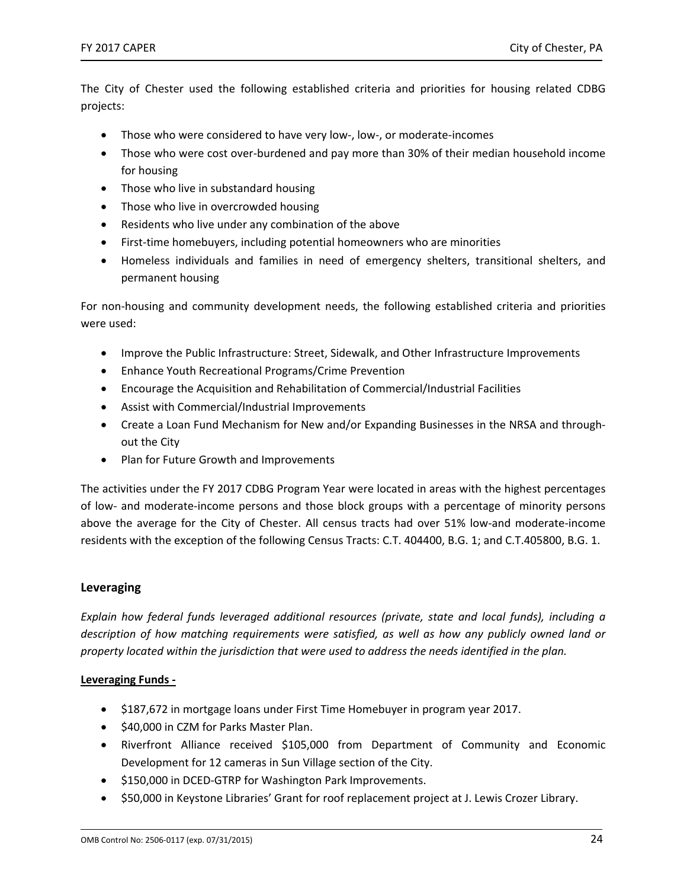The City of Chester used the following established criteria and priorities for housing related CDBG projects:

- Those who were considered to have very low-, low-, or moderate-incomes
- Those who were cost over-burdened and pay more than 30% of their median household income for housing
- Those who live in substandard housing
- Those who live in overcrowded housing
- Residents who live under any combination of the above
- First-time homebuyers, including potential homeowners who are minorities
- Homeless individuals and families in need of emergency shelters, transitional shelters, and permanent housing

For non-housing and community development needs, the following established criteria and priorities were used:

- Improve the Public Infrastructure: Street, Sidewalk, and Other Infrastructure Improvements
- Enhance Youth Recreational Programs/Crime Prevention
- Encourage the Acquisition and Rehabilitation of Commercial/Industrial Facilities
- Assist with Commercial/Industrial Improvements
- Create a Loan Fund Mechanism for New and/or Expanding Businesses in the NRSA and throughout the City
- Plan for Future Growth and Improvements

The activities under the FY 2017 CDBG Program Year were located in areas with the highest percentages of low‐ and moderate‐income persons and those block groups with a percentage of minority persons above the average for the City of Chester. All census tracts had over 51% low-and moderate-income residents with the exception of the following Census Tracts: C.T. 404400, B.G. 1; and C.T.405800, B.G. 1.

#### **Leveraging**

*Explain how federal funds leveraged additional resources (private, state and local funds), including a description of how matching requirements were satisfied, as well as how any publicly owned land or property located within the jurisdiction that were used to address the needs identified in the plan.* 

#### **Leveraging Funds ‐**

- \$187,672 in mortgage loans under First Time Homebuyer in program year 2017.
- $\bullet$  \$40,000 in CZM for Parks Master Plan.
- Riverfront Alliance received \$105,000 from Department of Community and Economic Development for 12 cameras in Sun Village section of the City.
- \$150,000 in DCED-GTRP for Washington Park Improvements.
- \$50,000 in Keystone Libraries' Grant for roof replacement project at J. Lewis Crozer Library.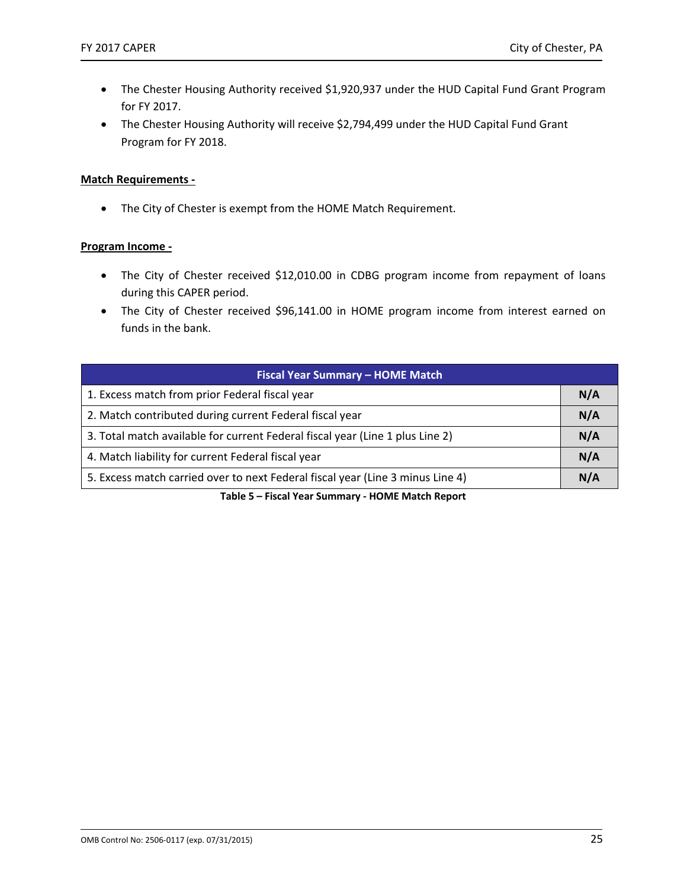- The Chester Housing Authority received \$1,920,937 under the HUD Capital Fund Grant Program for FY 2017.
- The Chester Housing Authority will receive \$2,794,499 under the HUD Capital Fund Grant Program for FY 2018.

#### **Match Requirements ‐**

The City of Chester is exempt from the HOME Match Requirement.

#### **Program Income ‐**

- The City of Chester received \$12,010.00 in CDBG program income from repayment of loans during this CAPER period.
- The City of Chester received \$96,141.00 in HOME program income from interest earned on funds in the bank.

| Fiscal Year Summary - HOME Match                                               |     |
|--------------------------------------------------------------------------------|-----|
| 1. Excess match from prior Federal fiscal year                                 | N/A |
| 2. Match contributed during current Federal fiscal year                        | N/A |
| 3. Total match available for current Federal fiscal year (Line 1 plus Line 2)  | N/A |
| 4. Match liability for current Federal fiscal year                             | N/A |
| 5. Excess match carried over to next Federal fiscal year (Line 3 minus Line 4) | N/A |

**Table 5 – Fiscal Year Summary ‐ HOME Match Report**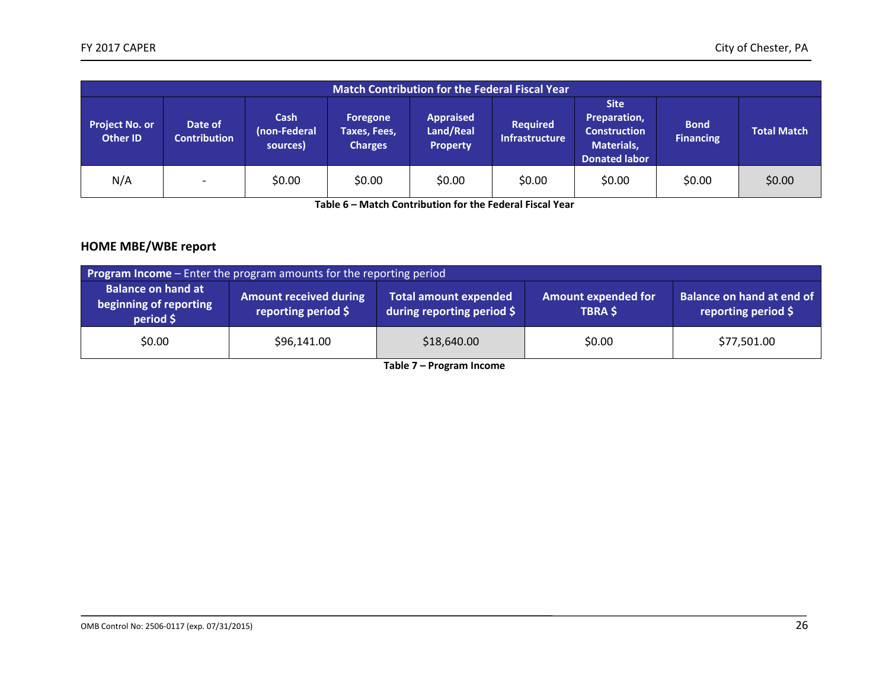| <b>Match Contribution for the Federal Fiscal Year</b> |                                |                                  |                                            |                                                  |                                          |                                                                                          |                                 |                    |  |  |
|-------------------------------------------------------|--------------------------------|----------------------------------|--------------------------------------------|--------------------------------------------------|------------------------------------------|------------------------------------------------------------------------------------------|---------------------------------|--------------------|--|--|
| <b>Project No. or</b><br><b>Other ID</b>              | Date of<br><b>Contribution</b> | Cash<br>(non-Federal<br>sources) | Foregone<br>Taxes, Fees,<br><b>Charges</b> | <b>Appraised</b><br>Land/Real<br><b>Property</b> | <b>Required</b><br><b>Infrastructure</b> | <b>Site</b><br>Preparation,<br><b>Construction</b><br>Materials,<br><b>Donated labor</b> | <b>Bond</b><br><b>Financing</b> | <b>Total Match</b> |  |  |
| N/A                                                   | $\overline{\phantom{a}}$       | \$0.00                           | \$0.00                                     | \$0.00                                           | \$0.00                                   | \$0.00                                                                                   | \$0.00                          | \$0.00             |  |  |

**Table 6 – Match Contribution for the Federal Fiscal Year** 

### **HOME MBE/WBE report**

| <b>Program Income</b> $-$ Enter the program amounts for the reporting period |                                                      |                                                                |                                              |                                                         |  |
|------------------------------------------------------------------------------|------------------------------------------------------|----------------------------------------------------------------|----------------------------------------------|---------------------------------------------------------|--|
| <b>Balance on hand at</b><br>beginning of reporting<br>period \$             | <b>Amount received during</b><br>reporting period \$ | Total amount expended<br>during reporting period $\frac{1}{2}$ | <b>Amount expended for</b><br><b>TBRA \$</b> | <b>Balance on hand at end of</b><br>reporting period \$ |  |
| \$0.00                                                                       | \$96,141.00                                          | \$18,640.00                                                    | \$0.00                                       | \$77,501.00                                             |  |

**Table 7 – Program Income**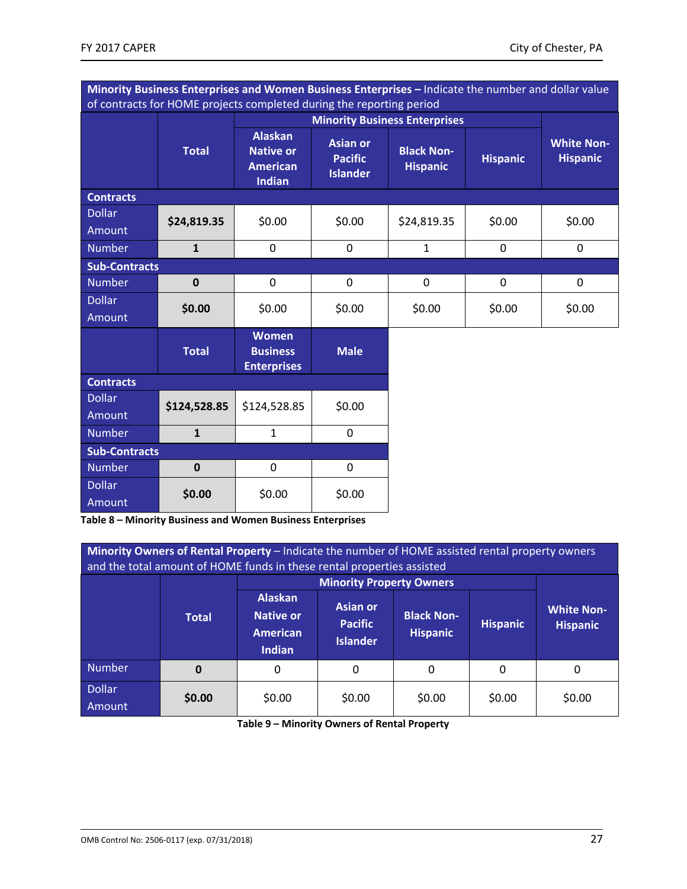| Minority Business Enterprises and Women Business Enterprises - Indicate the number and dollar value<br>of contracts for HOME projects completed during the reporting period |              |                                                                        |                                                      |                                      |                 |                                      |
|-----------------------------------------------------------------------------------------------------------------------------------------------------------------------------|--------------|------------------------------------------------------------------------|------------------------------------------------------|--------------------------------------|-----------------|--------------------------------------|
|                                                                                                                                                                             |              | <b>Minority Business Enterprises</b>                                   |                                                      |                                      |                 |                                      |
|                                                                                                                                                                             | <b>Total</b> | <b>Alaskan</b><br><b>Native or</b><br><b>American</b><br><b>Indian</b> | <b>Asian or</b><br><b>Pacific</b><br><b>Islander</b> | <b>Black Non-</b><br><b>Hispanic</b> | <b>Hispanic</b> | <b>White Non-</b><br><b>Hispanic</b> |
| <b>Contracts</b>                                                                                                                                                            |              |                                                                        |                                                      |                                      |                 |                                      |
| <b>Dollar</b>                                                                                                                                                               | \$24,819.35  | \$0.00                                                                 | \$0.00                                               | \$24,819.35                          | \$0.00          | \$0.00                               |
| Amount                                                                                                                                                                      |              |                                                                        |                                                      |                                      |                 |                                      |
| <b>Number</b>                                                                                                                                                               | $\mathbf{1}$ | 0                                                                      | $\mathbf 0$                                          | $\mathbf{1}$                         | $\mathbf 0$     | 0                                    |
| <b>Sub-Contracts</b>                                                                                                                                                        |              |                                                                        |                                                      |                                      |                 |                                      |
| <b>Number</b>                                                                                                                                                               | $\mathbf 0$  | 0                                                                      | 0                                                    | 0                                    | $\mathbf 0$     | 0                                    |
| <b>Dollar</b><br>Amount                                                                                                                                                     | \$0.00       | \$0.00                                                                 | \$0.00                                               | \$0.00                               | \$0.00          | \$0.00                               |
|                                                                                                                                                                             | <b>Total</b> | <b>Women</b><br><b>Business</b><br><b>Enterprises</b>                  | <b>Male</b>                                          |                                      |                 |                                      |
| <b>Contracts</b>                                                                                                                                                            |              |                                                                        |                                                      |                                      |                 |                                      |
| <b>Dollar</b>                                                                                                                                                               | \$124,528.85 | \$124,528.85                                                           | \$0.00                                               |                                      |                 |                                      |
| Amount                                                                                                                                                                      |              |                                                                        |                                                      |                                      |                 |                                      |
| <b>Number</b>                                                                                                                                                               | $\mathbf{1}$ | $\mathbf 1$                                                            | 0                                                    |                                      |                 |                                      |
| <b>Sub-Contracts</b>                                                                                                                                                        |              |                                                                        |                                                      |                                      |                 |                                      |
| <b>Number</b>                                                                                                                                                               | $\mathbf 0$  | 0                                                                      | 0                                                    |                                      |                 |                                      |
| <b>Dollar</b><br>Amount                                                                                                                                                     | \$0.00       | \$0.00                                                                 | \$0.00                                               |                                      |                 |                                      |

**Table 8 – Minority Business and Women Business Enterprises** 

| Minority Owners of Rental Property - Indicate the number of HOME assisted rental property owners<br>and the total amount of HOME funds in these rental properties assisted |              |                                                                        |                                                      |                                      |                 |                                      |
|----------------------------------------------------------------------------------------------------------------------------------------------------------------------------|--------------|------------------------------------------------------------------------|------------------------------------------------------|--------------------------------------|-----------------|--------------------------------------|
|                                                                                                                                                                            |              | <b>Minority Property Owners</b>                                        |                                                      |                                      |                 |                                      |
|                                                                                                                                                                            | <b>Total</b> | <b>Alaskan</b><br><b>Native or</b><br><b>American</b><br><b>Indian</b> | <b>Asian or</b><br><b>Pacific</b><br><b>Islander</b> | <b>Black Non-</b><br><b>Hispanic</b> | <b>Hispanic</b> | <b>White Non-</b><br><b>Hispanic</b> |
| Number                                                                                                                                                                     | 0            | 0                                                                      | 0                                                    | 0                                    | 0               | 0                                    |
| <b>Dollar</b><br>Amount                                                                                                                                                    | \$0.00       | \$0.00                                                                 | \$0.00                                               | \$0.00                               | \$0.00          | \$0.00                               |

**Table 9 – Minority Owners of Rental Property**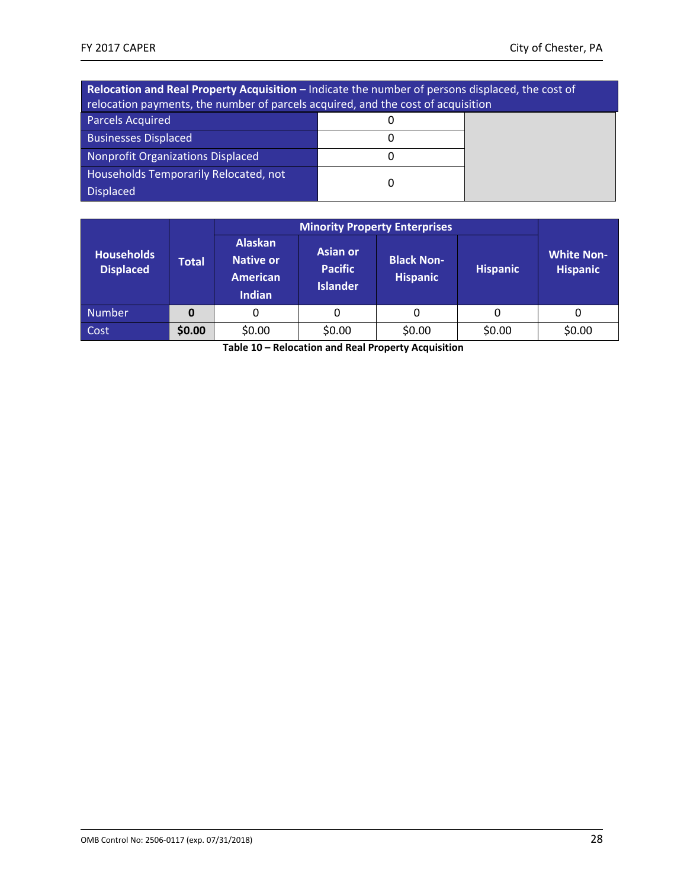| Relocation and Real Property Acquisition - Indicate the number of persons displaced, the cost of<br>relocation payments, the number of parcels acquired, and the cost of acquisition |  |  |  |
|--------------------------------------------------------------------------------------------------------------------------------------------------------------------------------------|--|--|--|
| <b>Parcels Acquired</b>                                                                                                                                                              |  |  |  |
| <b>Businesses Displaced</b>                                                                                                                                                          |  |  |  |
| <b>Nonprofit Organizations Displaced</b>                                                                                                                                             |  |  |  |
| Households Temporarily Relocated, not                                                                                                                                                |  |  |  |
| <b>Displaced</b>                                                                                                                                                                     |  |  |  |

| <b>Households</b><br><b>Displaced</b> | <b>Total</b> | <b>Alaskan</b><br><b>Native or</b><br><b>American</b><br><b>Indian</b> | <b>Asian or</b><br><b>Pacific</b><br><b>Islander</b> | <b>Black Non-</b><br><b>Hispanic</b> | <b>Hispanic</b> | <b>White Non-</b><br><b>Hispanic</b> |
|---------------------------------------|--------------|------------------------------------------------------------------------|------------------------------------------------------|--------------------------------------|-----------------|--------------------------------------|
| <b>Number</b>                         |              | 0                                                                      | 0                                                    | 0                                    |                 |                                      |
| Cost                                  | \$0.00       | \$0.00                                                                 | \$0.00                                               | \$0.00                               | \$0.00          | \$0.00                               |

**Table 10 – Relocation and Real Property Acquisition**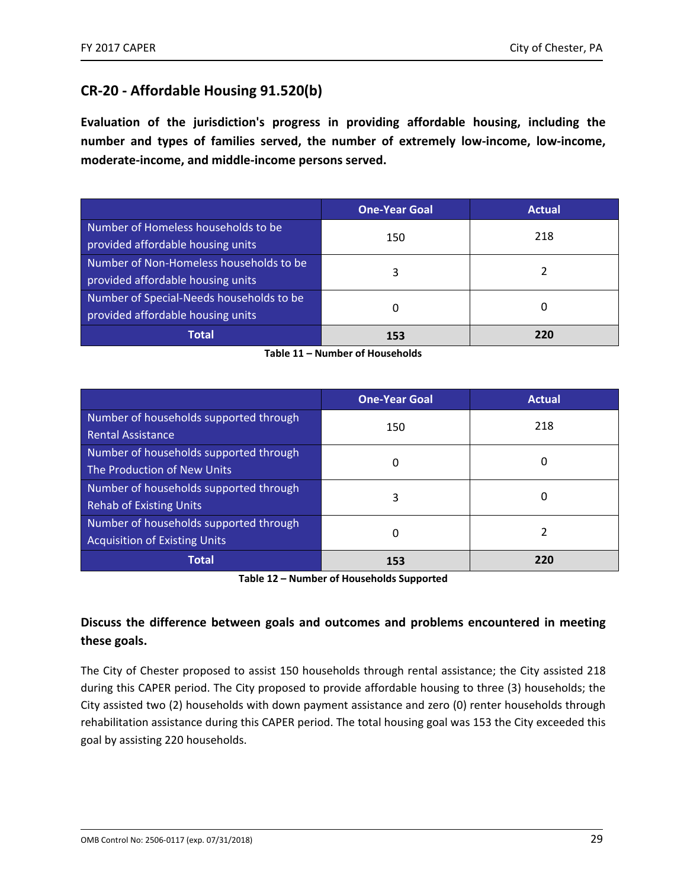## **CR‐20 ‐ Affordable Housing 91.520(b)**

**Evaluation of the jurisdiction's progress in providing affordable housing, including the number and types of families served, the number of extremely low‐income, low‐income, moderate‐income, and middle‐income persons served.** 

|                                          | <b>One-Year Goal</b> | <b>Actual</b> |  |
|------------------------------------------|----------------------|---------------|--|
| Number of Homeless households to be      | 150                  | 218           |  |
| provided affordable housing units        |                      |               |  |
| Number of Non-Homeless households to be  |                      |               |  |
| provided affordable housing units        |                      |               |  |
| Number of Special-Needs households to be |                      |               |  |
| provided affordable housing units        | O                    | U             |  |
| <b>Total</b>                             | 153                  | 220           |  |

|  |  | Table 11 - Number of Households |
|--|--|---------------------------------|
|--|--|---------------------------------|

|                                        | <b>One-Year Goal</b> | <b>Actual</b> |
|----------------------------------------|----------------------|---------------|
| Number of households supported through | 150                  | 218           |
| <b>Rental Assistance</b>               |                      |               |
| Number of households supported through |                      | 0             |
| The Production of New Units            | 0                    |               |
| Number of households supported through |                      | 0             |
| <b>Rehab of Existing Units</b>         | 3                    |               |
| Number of households supported through |                      |               |
| <b>Acquisition of Existing Units</b>   | 0                    |               |
| <b>Total</b>                           | 153                  | 220           |

**Table 12 – Number of Households Supported** 

### **Discuss the difference between goals and outcomes and problems encountered in meeting these goals.**

The City of Chester proposed to assist 150 households through rental assistance; the City assisted 218 during this CAPER period. The City proposed to provide affordable housing to three (3) households; the City assisted two (2) households with down payment assistance and zero (0) renter households through rehabilitation assistance during this CAPER period. The total housing goal was 153 the City exceeded this goal by assisting 220 households.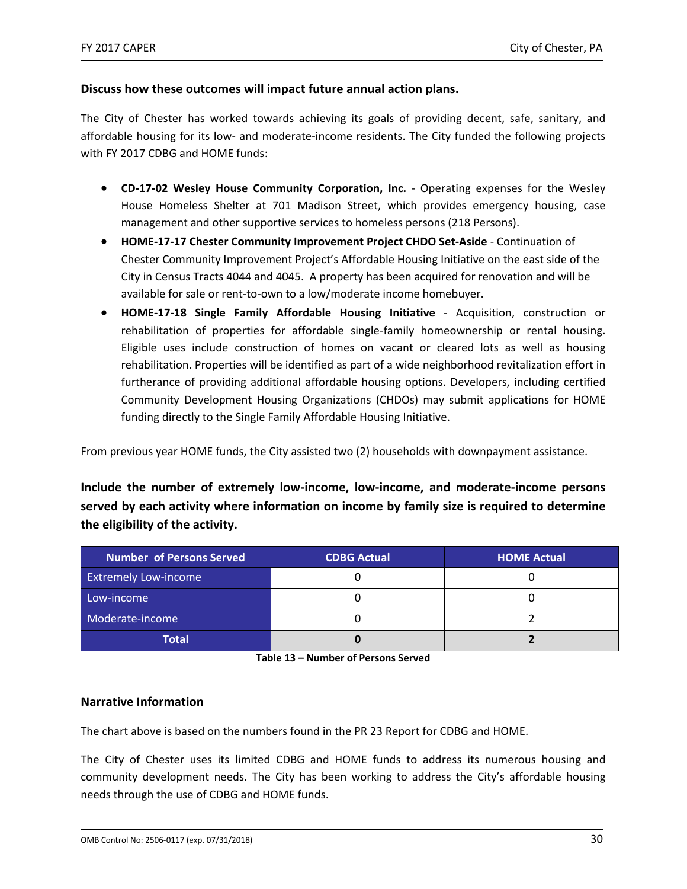#### **Discuss how these outcomes will impact future annual action plans.**

The City of Chester has worked towards achieving its goals of providing decent, safe, sanitary, and affordable housing for its low‐ and moderate‐income residents. The City funded the following projects with FY 2017 CDBG and HOME funds:

- **CD-17-02 Wesley House Community Corporation, Inc.** Operating expenses for the Wesley House Homeless Shelter at 701 Madison Street, which provides emergency housing, case management and other supportive services to homeless persons (218 Persons).
- **HOME‐17‐17 Chester Community Improvement Project CHDO Set‐Aside** ‐ Continuation of Chester Community Improvement Project's Affordable Housing Initiative on the east side of the City in Census Tracts 4044 and 4045. A property has been acquired for renovation and will be available for sale or rent-to-own to a low/moderate income homebuyer.
- **HOME‐17‐18 Single Family Affordable Housing Initiative** ‐ Acquisition, construction or rehabilitation of properties for affordable single-family homeownership or rental housing. Eligible uses include construction of homes on vacant or cleared lots as well as housing rehabilitation. Properties will be identified as part of a wide neighborhood revitalization effort in furtherance of providing additional affordable housing options. Developers, including certified Community Development Housing Organizations (CHDOs) may submit applications for HOME funding directly to the Single Family Affordable Housing Initiative.

From previous year HOME funds, the City assisted two (2) households with downpayment assistance.

**Include the number of extremely low‐income, low‐income, and moderate‐income persons served by each activity where information on income by family size is required to determine the eligibility of the activity.** 

| Number of Persons Served    | <b>CDBG Actual</b> | <b>HOME Actual</b> |
|-----------------------------|--------------------|--------------------|
| <b>Extremely Low-income</b> |                    |                    |
| Low-income                  |                    |                    |
| Moderate-income             |                    |                    |
| Total                       |                    |                    |

**Table 13 – Number of Persons Served** 

#### **Narrative Information**

The chart above is based on the numbers found in the PR 23 Report for CDBG and HOME.

The City of Chester uses its limited CDBG and HOME funds to address its numerous housing and community development needs. The City has been working to address the City's affordable housing needs through the use of CDBG and HOME funds.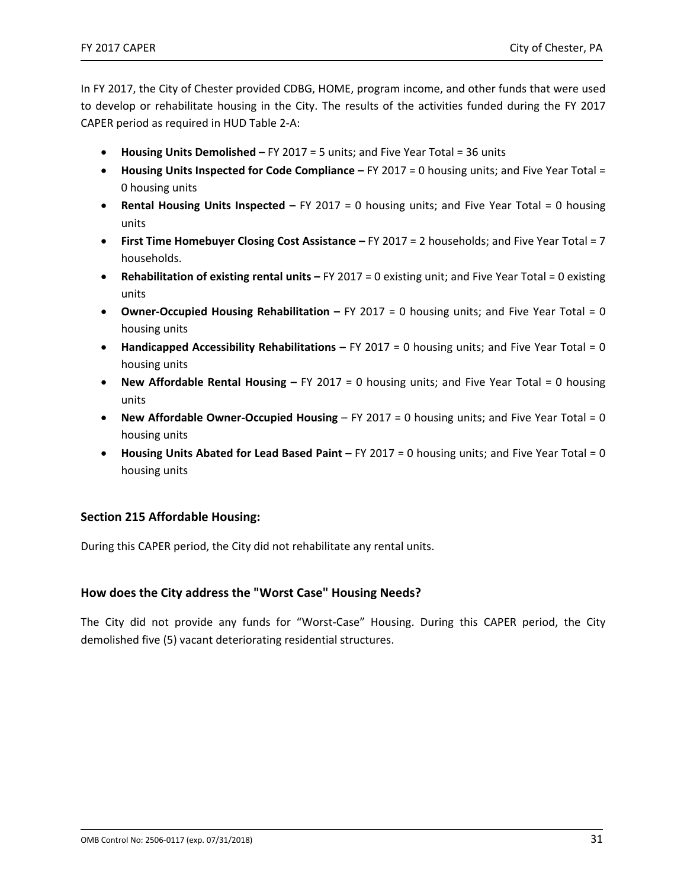In FY 2017, the City of Chester provided CDBG, HOME, program income, and other funds that were used to develop or rehabilitate housing in the City. The results of the activities funded during the FY 2017 CAPER period as required in HUD Table 2‐A:

- **Housing Units Demolished** FY 2017 = 5 units; and Five Year Total = 36 units
- **Housing Units Inspected for Code Compliance** FY 2017 = 0 housing units; and Five Year Total = 0 housing units
- **Rental Housing Units Inspected** FY 2017 = 0 housing units; and Five Year Total = 0 housing units
- **First Time Homebuyer Closing Cost Assistance –** FY 2017 = 2 households; and Five Year Total = 7 households.
- **Rehabilitation of existing rental units –** FY 2017 = 0 existing unit; and Five Year Total = 0 existing units
- **Owner‐Occupied Housing Rehabilitation –** FY 2017 = 0 housing units; and Five Year Total = 0 housing units
- **Handicapped Accessibility Rehabilitations –** FY 2017 = 0 housing units; and Five Year Total = 0 housing units
- **New Affordable Rental Housing –** FY 2017 = 0 housing units; and Five Year Total = 0 housing units
- **New Affordable Owner-Occupied Housing** FY 2017 = 0 housing units; and Five Year Total = 0 housing units
- **Housing Units Abated for Lead Based Paint –** FY 2017 = 0 housing units; and Five Year Total = 0 housing units

#### **Section 215 Affordable Housing:**

During this CAPER period, the City did not rehabilitate any rental units.

#### **How does the City address the "Worst Case" Housing Needs?**

The City did not provide any funds for "Worst‐Case" Housing. During this CAPER period, the City demolished five (5) vacant deteriorating residential structures.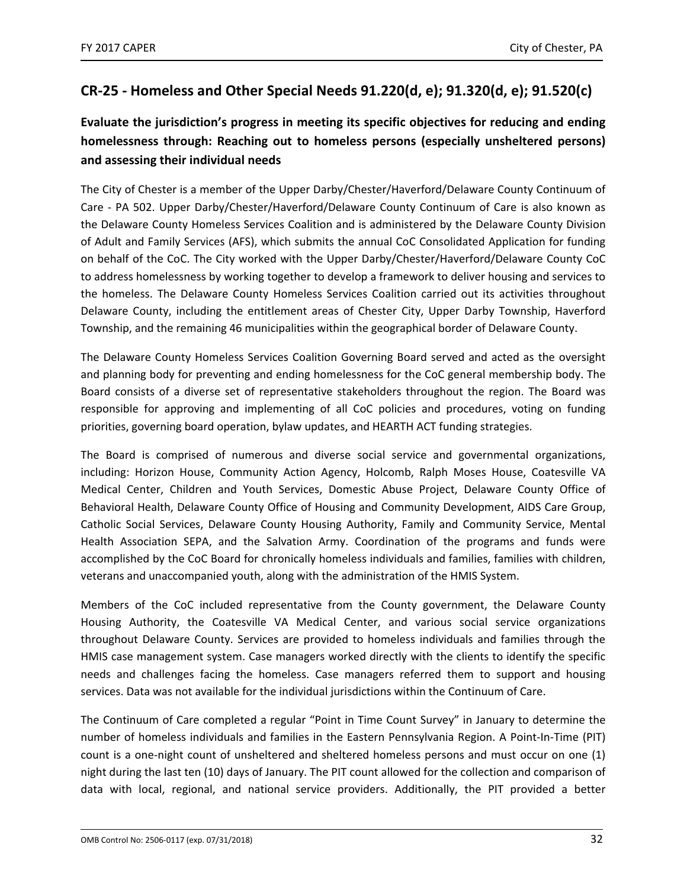## **CR‐25 ‐ Homeless and Other Special Needs 91.220(d, e); 91.320(d, e); 91.520(c)**

## **Evaluate the jurisdiction's progress in meeting its specific objectives for reducing and ending homelessness through: Reaching out to homeless persons (especially unsheltered persons) and assessing their individual needs**

The City of Chester is a member of the Upper Darby/Chester/Haverford/Delaware County Continuum of Care ‐ PA 502. Upper Darby/Chester/Haverford/Delaware County Continuum of Care is also known as the Delaware County Homeless Services Coalition and is administered by the Delaware County Division of Adult and Family Services (AFS), which submits the annual CoC Consolidated Application for funding on behalf of the CoC. The City worked with the Upper Darby/Chester/Haverford/Delaware County CoC to address homelessness by working together to develop a framework to deliver housing and services to the homeless. The Delaware County Homeless Services Coalition carried out its activities throughout Delaware County, including the entitlement areas of Chester City, Upper Darby Township, Haverford Township, and the remaining 46 municipalities within the geographical border of Delaware County.

The Delaware County Homeless Services Coalition Governing Board served and acted as the oversight and planning body for preventing and ending homelessness for the CoC general membership body. The Board consists of a diverse set of representative stakeholders throughout the region. The Board was responsible for approving and implementing of all CoC policies and procedures, voting on funding priorities, governing board operation, bylaw updates, and HEARTH ACT funding strategies.

The Board is comprised of numerous and diverse social service and governmental organizations, including: Horizon House, Community Action Agency, Holcomb, Ralph Moses House, Coatesville VA Medical Center, Children and Youth Services, Domestic Abuse Project, Delaware County Office of Behavioral Health, Delaware County Office of Housing and Community Development, AIDS Care Group, Catholic Social Services, Delaware County Housing Authority, Family and Community Service, Mental Health Association SEPA, and the Salvation Army. Coordination of the programs and funds were accomplished by the CoC Board for chronically homeless individuals and families, families with children, veterans and unaccompanied youth, along with the administration of the HMIS System.

Members of the CoC included representative from the County government, the Delaware County Housing Authority, the Coatesville VA Medical Center, and various social service organizations throughout Delaware County. Services are provided to homeless individuals and families through the HMIS case management system. Case managers worked directly with the clients to identify the specific needs and challenges facing the homeless. Case managers referred them to support and housing services. Data was not available for the individual jurisdictions within the Continuum of Care.

The Continuum of Care completed a regular "Point in Time Count Survey" in January to determine the number of homeless individuals and families in the Eastern Pennsylvania Region. A Point‐In‐Time (PIT) count is a one‐night count of unsheltered and sheltered homeless persons and must occur on one (1) night during the last ten (10) days of January. The PIT count allowed for the collection and comparison of data with local, regional, and national service providers. Additionally, the PIT provided a better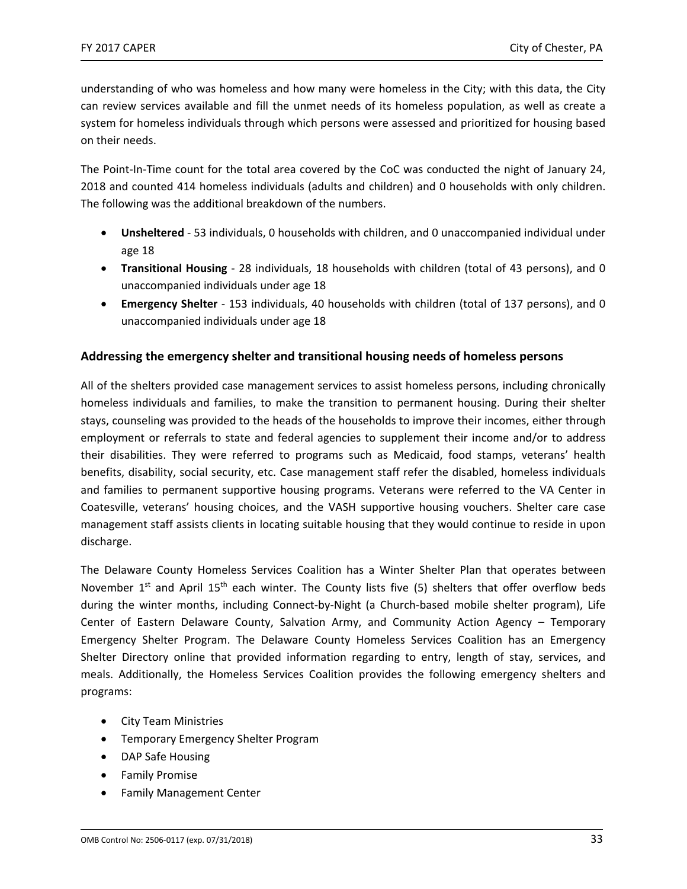understanding of who was homeless and how many were homeless in the City; with this data, the City can review services available and fill the unmet needs of its homeless population, as well as create a system for homeless individuals through which persons were assessed and prioritized for housing based on their needs.

The Point-In-Time count for the total area covered by the CoC was conducted the night of January 24, 2018 and counted 414 homeless individuals (adults and children) and 0 households with only children. The following was the additional breakdown of the numbers.

- **Unsheltered** ‐ 53 individuals, 0 households with children, and 0 unaccompanied individual under age 18
- **Transitional Housing** 28 individuals, 18 households with children (total of 43 persons), and 0 unaccompanied individuals under age 18
- **Emergency Shelter** ‐ 153 individuals, 40 households with children (total of 137 persons), and 0 unaccompanied individuals under age 18

### **Addressing the emergency shelter and transitional housing needs of homeless persons**

All of the shelters provided case management services to assist homeless persons, including chronically homeless individuals and families, to make the transition to permanent housing. During their shelter stays, counseling was provided to the heads of the households to improve their incomes, either through employment or referrals to state and federal agencies to supplement their income and/or to address their disabilities. They were referred to programs such as Medicaid, food stamps, veterans' health benefits, disability, social security, etc. Case management staff refer the disabled, homeless individuals and families to permanent supportive housing programs. Veterans were referred to the VA Center in Coatesville, veterans' housing choices, and the VASH supportive housing vouchers. Shelter care case management staff assists clients in locating suitable housing that they would continue to reside in upon discharge.

The Delaware County Homeless Services Coalition has a Winter Shelter Plan that operates between November  $1^{st}$  and April  $15^{th}$  each winter. The County lists five (5) shelters that offer overflow beds during the winter months, including Connect-by-Night (a Church-based mobile shelter program), Life Center of Eastern Delaware County, Salvation Army, and Community Action Agency – Temporary Emergency Shelter Program. The Delaware County Homeless Services Coalition has an Emergency Shelter Directory online that provided information regarding to entry, length of stay, services, and meals. Additionally, the Homeless Services Coalition provides the following emergency shelters and programs:

- **•** City Team Ministries
- **•** Temporary Emergency Shelter Program
- DAP Safe Housing
- **•** Family Promise
- Family Management Center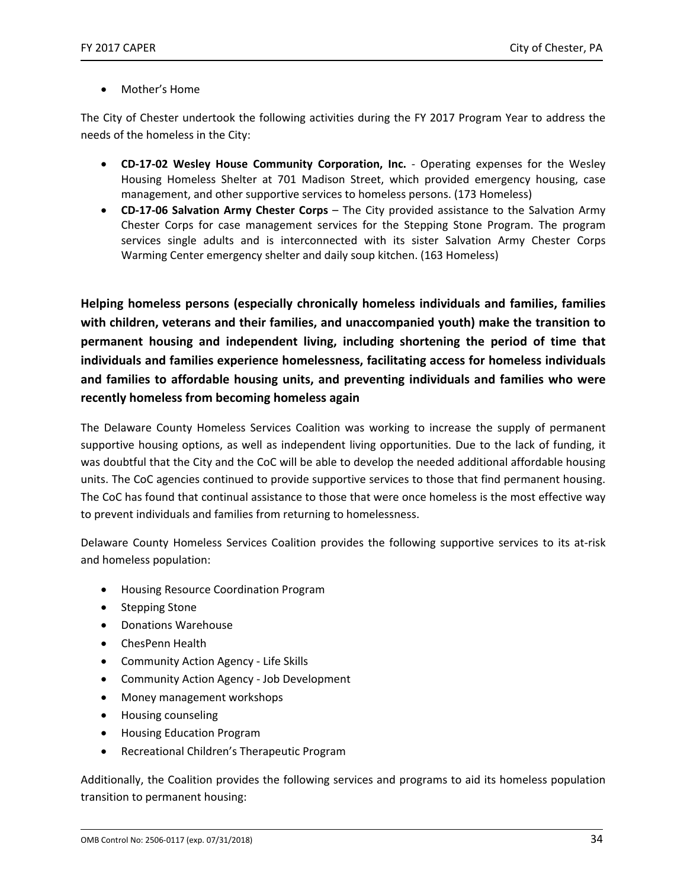Mother's Home

The City of Chester undertook the following activities during the FY 2017 Program Year to address the needs of the homeless in the City:

- **CD-17-02 Wesley House Community Corporation, Inc.** Operating expenses for the Wesley Housing Homeless Shelter at 701 Madison Street, which provided emergency housing, case management, and other supportive services to homeless persons. (173 Homeless)
- **CD‐17‐06 Salvation Army Chester Corps** The City provided assistance to the Salvation Army Chester Corps for case management services for the Stepping Stone Program. The program services single adults and is interconnected with its sister Salvation Army Chester Corps Warming Center emergency shelter and daily soup kitchen. (163 Homeless)

**Helping homeless persons (especially chronically homeless individuals and families, families with children, veterans and their families, and unaccompanied youth) make the transition to permanent housing and independent living, including shortening the period of time that individuals and families experience homelessness, facilitating access for homeless individuals and families to affordable housing units, and preventing individuals and families who were recently homeless from becoming homeless again** 

The Delaware County Homeless Services Coalition was working to increase the supply of permanent supportive housing options, as well as independent living opportunities. Due to the lack of funding, it was doubtful that the City and the CoC will be able to develop the needed additional affordable housing units. The CoC agencies continued to provide supportive services to those that find permanent housing. The CoC has found that continual assistance to those that were once homeless is the most effective way to prevent individuals and families from returning to homelessness.

Delaware County Homeless Services Coalition provides the following supportive services to its at-risk and homeless population:

- Housing Resource Coordination Program
- Stepping Stone
- Donations Warehouse
- ChesPenn Health
- Community Action Agency Life Skills
- Community Action Agency Job Development
- Money management workshops
- Housing counseling
- Housing Education Program
- Recreational Children's Therapeutic Program

Additionally, the Coalition provides the following services and programs to aid its homeless population transition to permanent housing: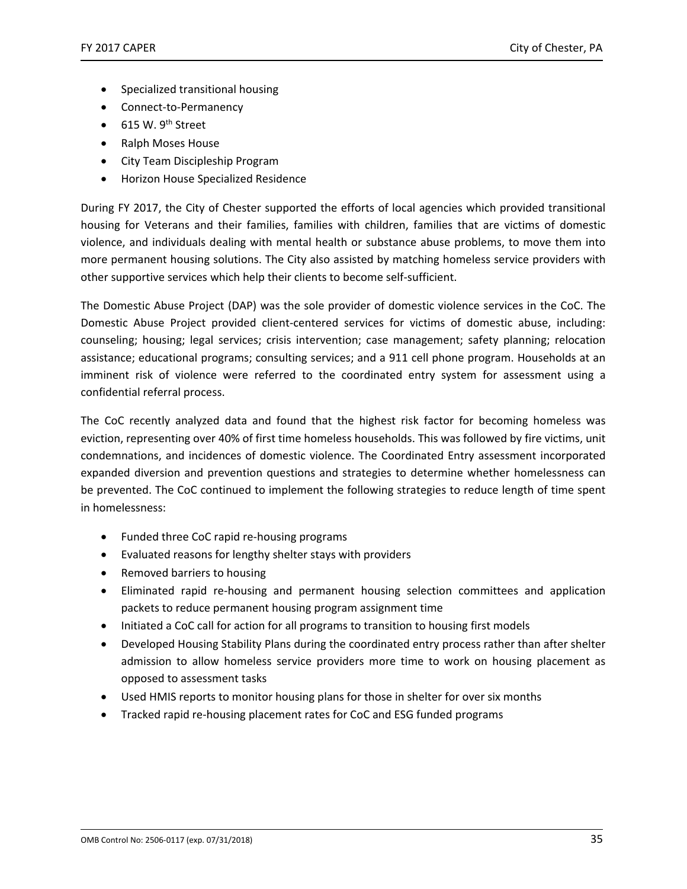- Specialized transitional housing
- Connect-to-Permanency
- $\bullet$  615 W. 9<sup>th</sup> Street
- Ralph Moses House
- City Team Discipleship Program
- Horizon House Specialized Residence

During FY 2017, the City of Chester supported the efforts of local agencies which provided transitional housing for Veterans and their families, families with children, families that are victims of domestic violence, and individuals dealing with mental health or substance abuse problems, to move them into more permanent housing solutions. The City also assisted by matching homeless service providers with other supportive services which help their clients to become self‐sufficient.

The Domestic Abuse Project (DAP) was the sole provider of domestic violence services in the CoC. The Domestic Abuse Project provided client-centered services for victims of domestic abuse, including: counseling; housing; legal services; crisis intervention; case management; safety planning; relocation assistance; educational programs; consulting services; and a 911 cell phone program. Households at an imminent risk of violence were referred to the coordinated entry system for assessment using a confidential referral process.

The CoC recently analyzed data and found that the highest risk factor for becoming homeless was eviction, representing over 40% of first time homeless households. This was followed by fire victims, unit condemnations, and incidences of domestic violence. The Coordinated Entry assessment incorporated expanded diversion and prevention questions and strategies to determine whether homelessness can be prevented. The CoC continued to implement the following strategies to reduce length of time spent in homelessness:

- Funded three CoC rapid re-housing programs
- Evaluated reasons for lengthy shelter stays with providers
- Removed barriers to housing
- Eliminated rapid re‐housing and permanent housing selection committees and application packets to reduce permanent housing program assignment time
- Initiated a CoC call for action for all programs to transition to housing first models
- Developed Housing Stability Plans during the coordinated entry process rather than after shelter admission to allow homeless service providers more time to work on housing placement as opposed to assessment tasks
- Used HMIS reports to monitor housing plans for those in shelter for over six months
- Tracked rapid re‐housing placement rates for CoC and ESG funded programs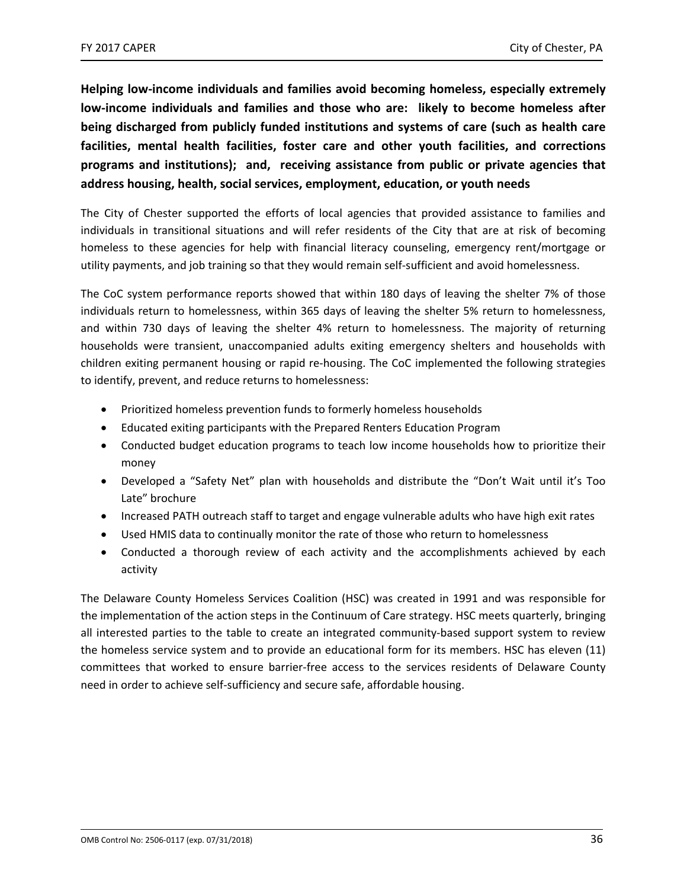**Helping low‐income individuals and families avoid becoming homeless, especially extremely low‐income individuals and families and those who are: likely to become homeless after being discharged from publicly funded institutions and systems of care (such as health care facilities, mental health facilities, foster care and other youth facilities, and corrections programs and institutions); and, receiving assistance from public or private agencies that address housing, health, social services, employment, education, or youth needs** 

The City of Chester supported the efforts of local agencies that provided assistance to families and individuals in transitional situations and will refer residents of the City that are at risk of becoming homeless to these agencies for help with financial literacy counseling, emergency rent/mortgage or utility payments, and job training so that they would remain self‐sufficient and avoid homelessness.

The CoC system performance reports showed that within 180 days of leaving the shelter 7% of those individuals return to homelessness, within 365 days of leaving the shelter 5% return to homelessness, and within 730 days of leaving the shelter 4% return to homelessness. The majority of returning households were transient, unaccompanied adults exiting emergency shelters and households with children exiting permanent housing or rapid re-housing. The CoC implemented the following strategies to identify, prevent, and reduce returns to homelessness:

- Prioritized homeless prevention funds to formerly homeless households
- Educated exiting participants with the Prepared Renters Education Program
- Conducted budget education programs to teach low income households how to prioritize their money
- Developed a "Safety Net" plan with households and distribute the "Don't Wait until it's Too Late" brochure
- Increased PATH outreach staff to target and engage vulnerable adults who have high exit rates
- Used HMIS data to continually monitor the rate of those who return to homelessness
- Conducted a thorough review of each activity and the accomplishments achieved by each activity

The Delaware County Homeless Services Coalition (HSC) was created in 1991 and was responsible for the implementation of the action steps in the Continuum of Care strategy. HSC meets quarterly, bringing all interested parties to the table to create an integrated community-based support system to review the homeless service system and to provide an educational form for its members. HSC has eleven (11) committees that worked to ensure barrier-free access to the services residents of Delaware County need in order to achieve self‐sufficiency and secure safe, affordable housing.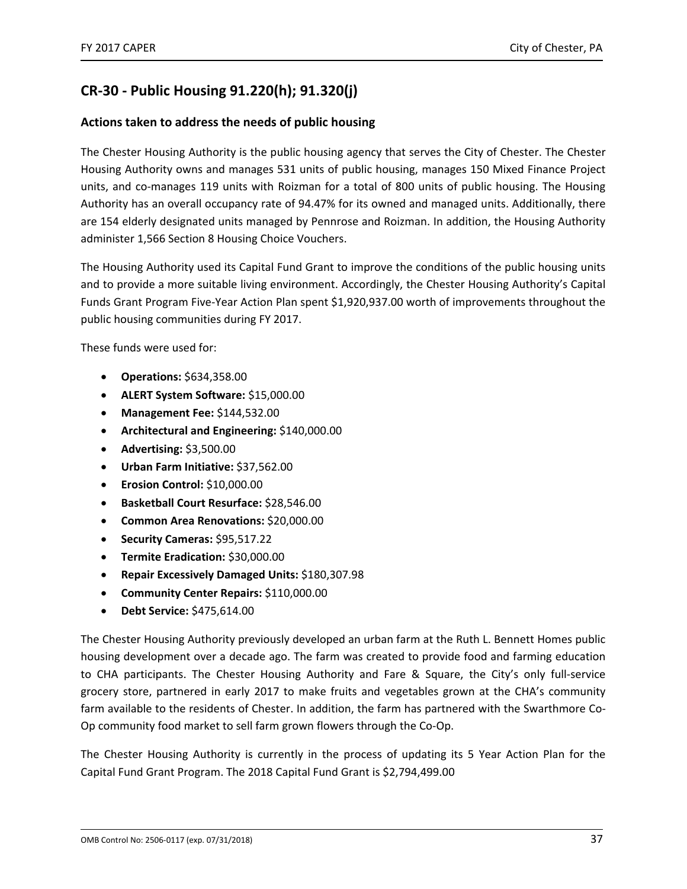## **CR‐30 ‐ Public Housing 91.220(h); 91.320(j)**

#### **Actions taken to address the needs of public housing**

The Chester Housing Authority is the public housing agency that serves the City of Chester. The Chester Housing Authority owns and manages 531 units of public housing, manages 150 Mixed Finance Project units, and co-manages 119 units with Roizman for a total of 800 units of public housing. The Housing Authority has an overall occupancy rate of 94.47% for its owned and managed units. Additionally, there are 154 elderly designated units managed by Pennrose and Roizman. In addition, the Housing Authority administer 1,566 Section 8 Housing Choice Vouchers.

The Housing Authority used its Capital Fund Grant to improve the conditions of the public housing units and to provide a more suitable living environment. Accordingly, the Chester Housing Authority's Capital Funds Grant Program Five‐Year Action Plan spent \$1,920,937.00 worth of improvements throughout the public housing communities during FY 2017.

These funds were used for:

- **Operations:** \$634,358.00
- **ALERT System Software:** \$15,000.00
- **Management Fee:** \$144,532.00
- **Architectural and Engineering:** \$140,000.00
- **Advertising:** \$3,500.00
- **Urban Farm Initiative:** \$37,562.00
- **Erosion Control:** \$10,000.00
- **Basketball Court Resurface:** \$28,546.00
- **Common Area Renovations:** \$20,000.00
- **Security Cameras:** \$95,517.22
- **Termite Eradication:** \$30,000.00
- **Repair Excessively Damaged Units:** \$180,307.98
- **Community Center Repairs:** \$110,000.00
- **Debt Service:** \$475,614.00

The Chester Housing Authority previously developed an urban farm at the Ruth L. Bennett Homes public housing development over a decade ago. The farm was created to provide food and farming education to CHA participants. The Chester Housing Authority and Fare & Square, the City's only full-service grocery store, partnered in early 2017 to make fruits and vegetables grown at the CHA's community farm available to the residents of Chester. In addition, the farm has partnered with the Swarthmore Co‐ Op community food market to sell farm grown flowers through the Co‐Op.

The Chester Housing Authority is currently in the process of updating its 5 Year Action Plan for the Capital Fund Grant Program. The 2018 Capital Fund Grant is \$2,794,499.00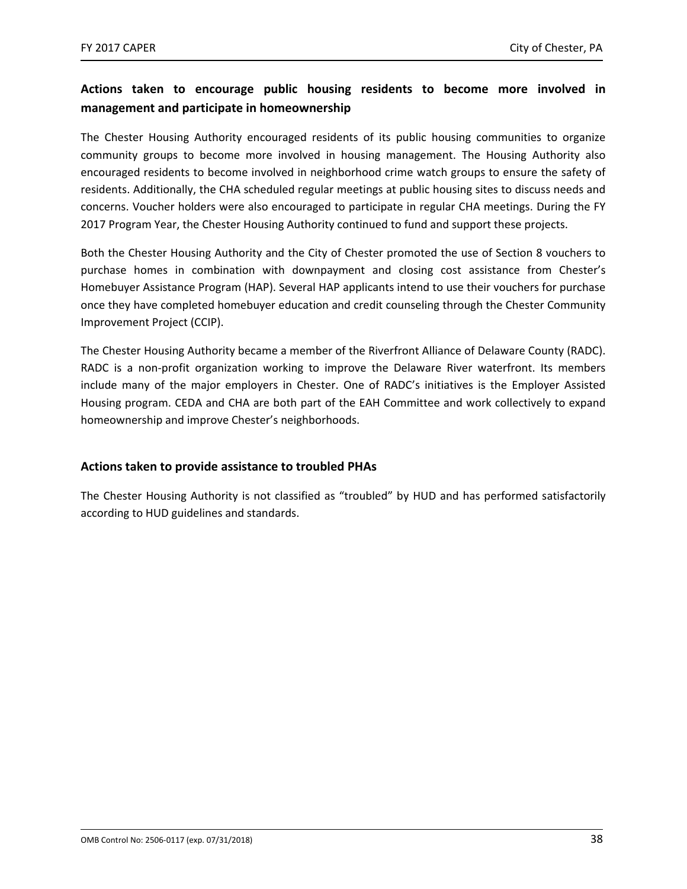### **Actions taken to encourage public housing residents to become more involved in management and participate in homeownership**

The Chester Housing Authority encouraged residents of its public housing communities to organize community groups to become more involved in housing management. The Housing Authority also encouraged residents to become involved in neighborhood crime watch groups to ensure the safety of residents. Additionally, the CHA scheduled regular meetings at public housing sites to discuss needs and concerns. Voucher holders were also encouraged to participate in regular CHA meetings. During the FY 2017 Program Year, the Chester Housing Authority continued to fund and support these projects.

Both the Chester Housing Authority and the City of Chester promoted the use of Section 8 vouchers to purchase homes in combination with downpayment and closing cost assistance from Chester's Homebuyer Assistance Program (HAP). Several HAP applicants intend to use their vouchers for purchase once they have completed homebuyer education and credit counseling through the Chester Community Improvement Project (CCIP).

The Chester Housing Authority became a member of the Riverfront Alliance of Delaware County (RADC). RADC is a non-profit organization working to improve the Delaware River waterfront. Its members include many of the major employers in Chester. One of RADC's initiatives is the Employer Assisted Housing program. CEDA and CHA are both part of the EAH Committee and work collectively to expand homeownership and improve Chester's neighborhoods.

#### **Actions taken to provide assistance to troubled PHAs**

The Chester Housing Authority is not classified as "troubled" by HUD and has performed satisfactorily according to HUD guidelines and standards.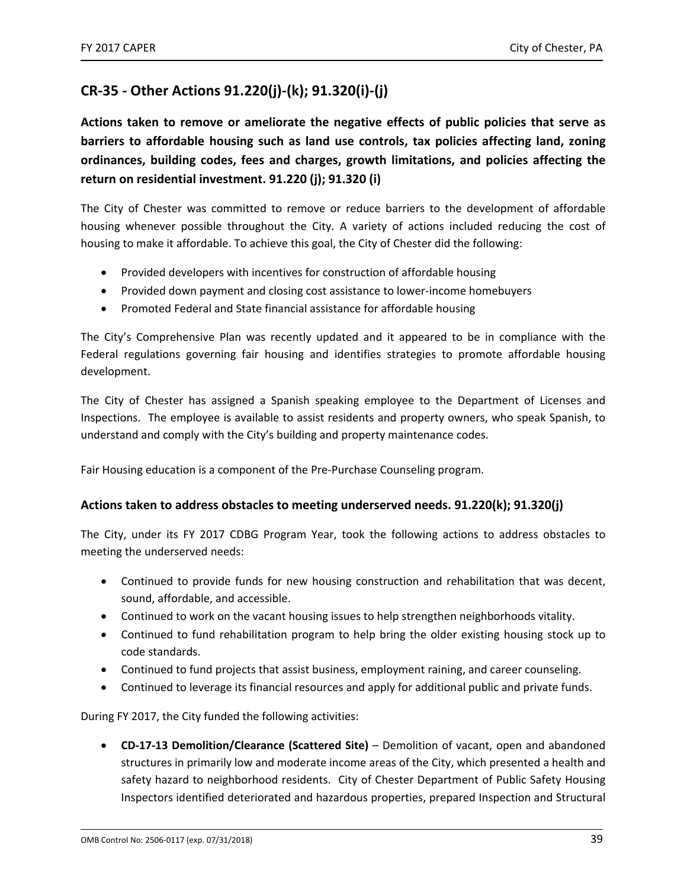## **CR‐35 ‐ Other Actions 91.220(j)‐(k); 91.320(i)‐(j)**

**Actions taken to remove or ameliorate the negative effects of public policies that serve as barriers to affordable housing such as land use controls, tax policies affecting land, zoning ordinances, building codes, fees and charges, growth limitations, and policies affecting the return on residential investment. 91.220 (j); 91.320 (i)** 

The City of Chester was committed to remove or reduce barriers to the development of affordable housing whenever possible throughout the City. A variety of actions included reducing the cost of housing to make it affordable. To achieve this goal, the City of Chester did the following:

- Provided developers with incentives for construction of affordable housing
- Provided down payment and closing cost assistance to lower-income homebuyers
- Promoted Federal and State financial assistance for affordable housing

The City's Comprehensive Plan was recently updated and it appeared to be in compliance with the Federal regulations governing fair housing and identifies strategies to promote affordable housing development.

The City of Chester has assigned a Spanish speaking employee to the Department of Licenses and Inspections. The employee is available to assist residents and property owners, who speak Spanish, to understand and comply with the City's building and property maintenance codes.

Fair Housing education is a component of the Pre‐Purchase Counseling program.

#### **Actions taken to address obstacles to meeting underserved needs. 91.220(k); 91.320(j)**

The City, under its FY 2017 CDBG Program Year, took the following actions to address obstacles to meeting the underserved needs:

- Continued to provide funds for new housing construction and rehabilitation that was decent, sound, affordable, and accessible.
- Continued to work on the vacant housing issues to help strengthen neighborhoods vitality.
- Continued to fund rehabilitation program to help bring the older existing housing stock up to code standards.
- Continued to fund projects that assist business, employment raining, and career counseling.
- Continued to leverage its financial resources and apply for additional public and private funds.

During FY 2017, the City funded the following activities:

 **CD‐17‐13 Demolition/Clearance (Scattered Site)** – Demolition of vacant, open and abandoned structures in primarily low and moderate income areas of the City, which presented a health and safety hazard to neighborhood residents. City of Chester Department of Public Safety Housing Inspectors identified deteriorated and hazardous properties, prepared Inspection and Structural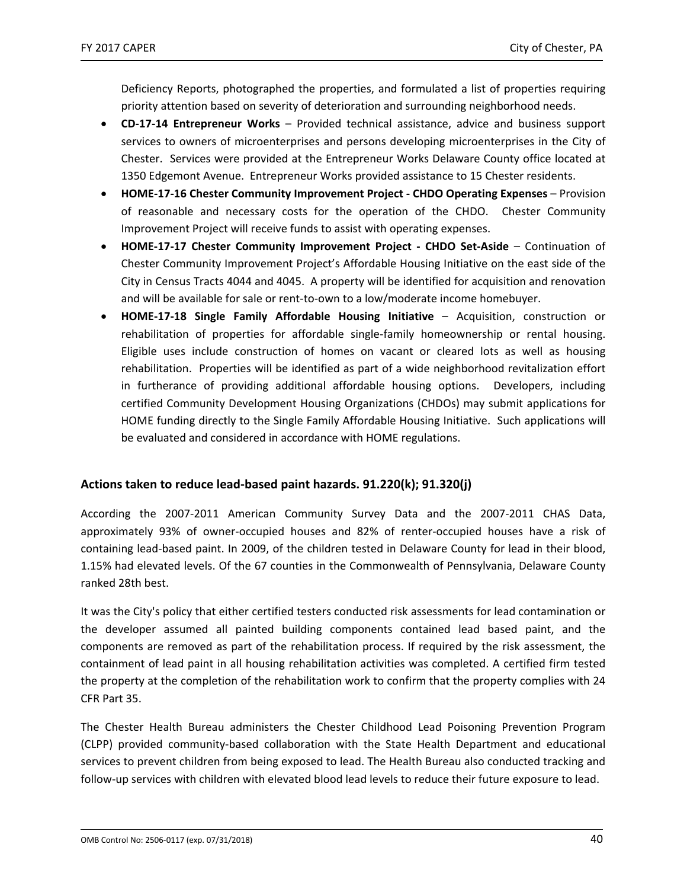Deficiency Reports, photographed the properties, and formulated a list of properties requiring priority attention based on severity of deterioration and surrounding neighborhood needs.

- **CD‐17‐14 Entrepreneur Works** – Provided technical assistance, advice and business support services to owners of microenterprises and persons developing microenterprises in the City of Chester. Services were provided at the Entrepreneur Works Delaware County office located at 1350 Edgemont Avenue. Entrepreneur Works provided assistance to 15 Chester residents.
- **HOME‐17‐16 Chester Community Improvement Project ‐ CHDO Operating Expenses** Provision of reasonable and necessary costs for the operation of the CHDO. Chester Community Improvement Project will receive funds to assist with operating expenses.
- HOME-17-17 Chester Community Improvement Project CHDO Set-Aside Continuation of Chester Community Improvement Project's Affordable Housing Initiative on the east side of the City in Census Tracts 4044 and 4045. A property will be identified for acquisition and renovation and will be available for sale or rent-to-own to a low/moderate income homebuyer.
- **HOME‐17‐18 Single Family Affordable Housing Initiative** – Acquisition, construction or rehabilitation of properties for affordable single-family homeownership or rental housing. Eligible uses include construction of homes on vacant or cleared lots as well as housing rehabilitation. Properties will be identified as part of a wide neighborhood revitalization effort in furtherance of providing additional affordable housing options. Developers, including certified Community Development Housing Organizations (CHDOs) may submit applications for HOME funding directly to the Single Family Affordable Housing Initiative. Such applications will be evaluated and considered in accordance with HOME regulations.

#### **Actions taken to reduce lead‐based paint hazards. 91.220(k); 91.320(j)**

According the 2007‐2011 American Community Survey Data and the 2007‐2011 CHAS Data, approximately 93% of owner‐occupied houses and 82% of renter‐occupied houses have a risk of containing lead‐based paint. In 2009, of the children tested in Delaware County for lead in their blood, 1.15% had elevated levels. Of the 67 counties in the Commonwealth of Pennsylvania, Delaware County ranked 28th best.

It was the City's policy that either certified testers conducted risk assessments for lead contamination or the developer assumed all painted building components contained lead based paint, and the components are removed as part of the rehabilitation process. If required by the risk assessment, the containment of lead paint in all housing rehabilitation activities was completed. A certified firm tested the property at the completion of the rehabilitation work to confirm that the property complies with 24 CFR Part 35.

The Chester Health Bureau administers the Chester Childhood Lead Poisoning Prevention Program (CLPP) provided community‐based collaboration with the State Health Department and educational services to prevent children from being exposed to lead. The Health Bureau also conducted tracking and follow‐up services with children with elevated blood lead levels to reduce their future exposure to lead.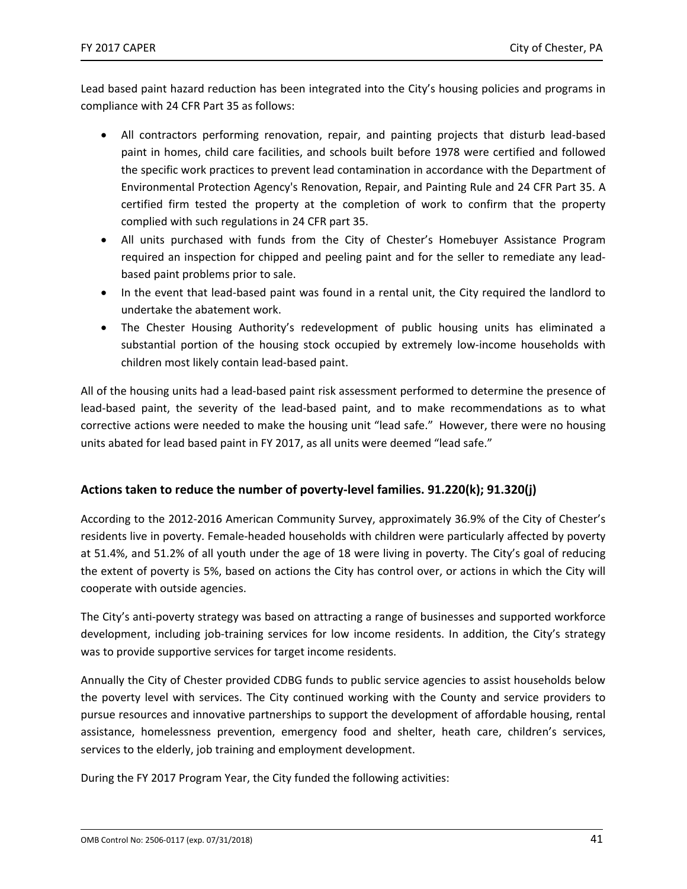Lead based paint hazard reduction has been integrated into the City's housing policies and programs in compliance with 24 CFR Part 35 as follows:

- All contractors performing renovation, repair, and painting projects that disturb lead-based paint in homes, child care facilities, and schools built before 1978 were certified and followed the specific work practices to prevent lead contamination in accordance with the Department of Environmental Protection Agency's Renovation, Repair, and Painting Rule and 24 CFR Part 35. A certified firm tested the property at the completion of work to confirm that the property complied with such regulations in 24 CFR part 35.
- All units purchased with funds from the City of Chester's Homebuyer Assistance Program required an inspection for chipped and peeling paint and for the seller to remediate any lead‐ based paint problems prior to sale.
- In the event that lead-based paint was found in a rental unit, the City required the landlord to undertake the abatement work.
- The Chester Housing Authority's redevelopment of public housing units has eliminated a substantial portion of the housing stock occupied by extremely low-income households with children most likely contain lead‐based paint.

All of the housing units had a lead‐based paint risk assessment performed to determine the presence of lead-based paint, the severity of the lead-based paint, and to make recommendations as to what corrective actions were needed to make the housing unit "lead safe." However, there were no housing units abated for lead based paint in FY 2017, as all units were deemed "lead safe."

#### **Actions taken to reduce the number of poverty‐level families. 91.220(k); 91.320(j)**

According to the 2012‐2016 American Community Survey, approximately 36.9% of the City of Chester's residents live in poverty. Female-headed households with children were particularly affected by poverty at 51.4%, and 51.2% of all youth under the age of 18 were living in poverty. The City's goal of reducing the extent of poverty is 5%, based on actions the City has control over, or actions in which the City will cooperate with outside agencies.

The City's anti-poverty strategy was based on attracting a range of businesses and supported workforce development, including job-training services for low income residents. In addition, the City's strategy was to provide supportive services for target income residents.

Annually the City of Chester provided CDBG funds to public service agencies to assist households below the poverty level with services. The City continued working with the County and service providers to pursue resources and innovative partnerships to support the development of affordable housing, rental assistance, homelessness prevention, emergency food and shelter, heath care, children's services, services to the elderly, job training and employment development.

During the FY 2017 Program Year, the City funded the following activities: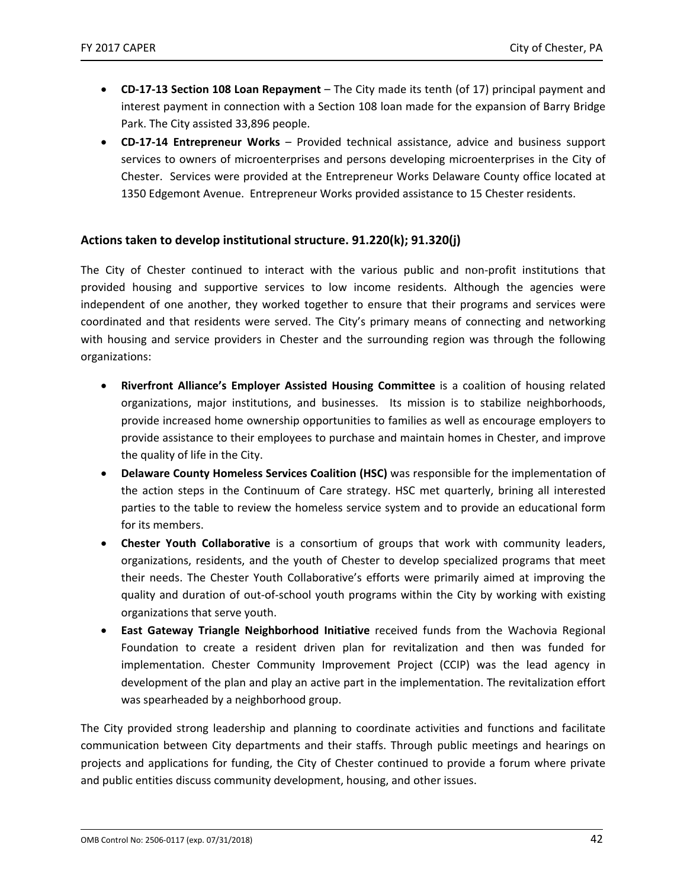- **CD‐17‐13 Section 108 Loan Repayment** The City made its tenth (of 17) principal payment and interest payment in connection with a Section 108 loan made for the expansion of Barry Bridge Park. The City assisted 33,896 people.
- **CD‐17‐14 Entrepreneur Works** – Provided technical assistance, advice and business support services to owners of microenterprises and persons developing microenterprises in the City of Chester. Services were provided at the Entrepreneur Works Delaware County office located at 1350 Edgemont Avenue. Entrepreneur Works provided assistance to 15 Chester residents.

#### **Actions taken to develop institutional structure. 91.220(k); 91.320(j)**

The City of Chester continued to interact with the various public and non‐profit institutions that provided housing and supportive services to low income residents. Although the agencies were independent of one another, they worked together to ensure that their programs and services were coordinated and that residents were served. The City's primary means of connecting and networking with housing and service providers in Chester and the surrounding region was through the following organizations:

- **Riverfront Alliance's Employer Assisted Housing Committee** is a coalition of housing related organizations, major institutions, and businesses. Its mission is to stabilize neighborhoods, provide increased home ownership opportunities to families as well as encourage employers to provide assistance to their employees to purchase and maintain homes in Chester, and improve the quality of life in the City.
- **Delaware County Homeless Services Coalition (HSC)** was responsible for the implementation of the action steps in the Continuum of Care strategy. HSC met quarterly, brining all interested parties to the table to review the homeless service system and to provide an educational form for its members.
- **Chester Youth Collaborative** is a consortium of groups that work with community leaders, organizations, residents, and the youth of Chester to develop specialized programs that meet their needs. The Chester Youth Collaborative's efforts were primarily aimed at improving the quality and duration of out‐of‐school youth programs within the City by working with existing organizations that serve youth.
- **East Gateway Triangle Neighborhood Initiative** received funds from the Wachovia Regional Foundation to create a resident driven plan for revitalization and then was funded for implementation. Chester Community Improvement Project (CCIP) was the lead agency in development of the plan and play an active part in the implementation. The revitalization effort was spearheaded by a neighborhood group.

The City provided strong leadership and planning to coordinate activities and functions and facilitate communication between City departments and their staffs. Through public meetings and hearings on projects and applications for funding, the City of Chester continued to provide a forum where private and public entities discuss community development, housing, and other issues.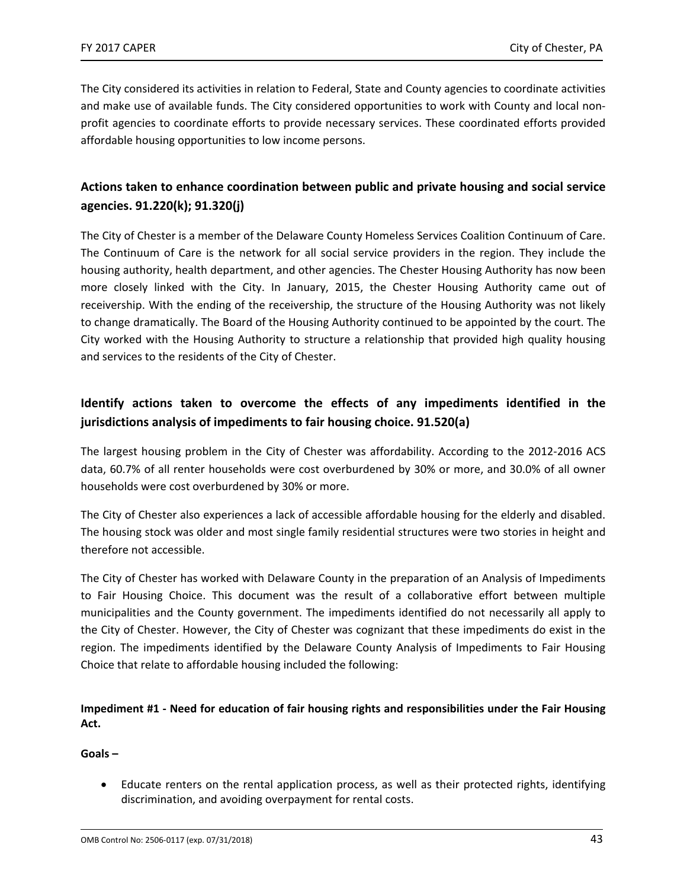The City considered its activities in relation to Federal, State and County agencies to coordinate activities and make use of available funds. The City considered opportunities to work with County and local non‐ profit agencies to coordinate efforts to provide necessary services. These coordinated efforts provided affordable housing opportunities to low income persons.

### **Actions taken to enhance coordination between public and private housing and social service agencies. 91.220(k); 91.320(j)**

The City of Chester is a member of the Delaware County Homeless Services Coalition Continuum of Care. The Continuum of Care is the network for all social service providers in the region. They include the housing authority, health department, and other agencies. The Chester Housing Authority has now been more closely linked with the City. In January, 2015, the Chester Housing Authority came out of receivership. With the ending of the receivership, the structure of the Housing Authority was not likely to change dramatically. The Board of the Housing Authority continued to be appointed by the court. The City worked with the Housing Authority to structure a relationship that provided high quality housing and services to the residents of the City of Chester.

## **Identify actions taken to overcome the effects of any impediments identified in the jurisdictions analysis of impediments to fair housing choice. 91.520(a)**

The largest housing problem in the City of Chester was affordability. According to the 2012‐2016 ACS data, 60.7% of all renter households were cost overburdened by 30% or more, and 30.0% of all owner households were cost overburdened by 30% or more.

The City of Chester also experiences a lack of accessible affordable housing for the elderly and disabled. The housing stock was older and most single family residential structures were two stories in height and therefore not accessible.

The City of Chester has worked with Delaware County in the preparation of an Analysis of Impediments to Fair Housing Choice. This document was the result of a collaborative effort between multiple municipalities and the County government. The impediments identified do not necessarily all apply to the City of Chester. However, the City of Chester was cognizant that these impediments do exist in the region. The impediments identified by the Delaware County Analysis of Impediments to Fair Housing Choice that relate to affordable housing included the following:

**Impediment #1 ‐ Need for education of fair housing rights and responsibilities under the Fair Housing Act.** 

#### **Goals –**

 Educate renters on the rental application process, as well as their protected rights, identifying discrimination, and avoiding overpayment for rental costs.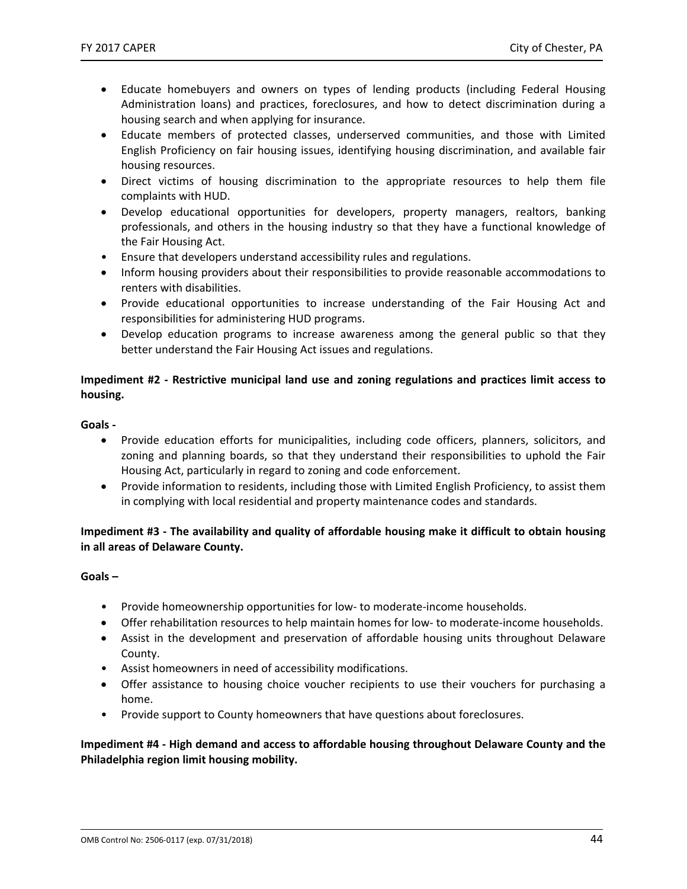- Educate homebuyers and owners on types of lending products (including Federal Housing Administration loans) and practices, foreclosures, and how to detect discrimination during a housing search and when applying for insurance.
- Educate members of protected classes, underserved communities, and those with Limited English Proficiency on fair housing issues, identifying housing discrimination, and available fair housing resources.
- Direct victims of housing discrimination to the appropriate resources to help them file complaints with HUD.
- Develop educational opportunities for developers, property managers, realtors, banking professionals, and others in the housing industry so that they have a functional knowledge of the Fair Housing Act.
- Ensure that developers understand accessibility rules and regulations.
- Inform housing providers about their responsibilities to provide reasonable accommodations to renters with disabilities.
- Provide educational opportunities to increase understanding of the Fair Housing Act and responsibilities for administering HUD programs.
- Develop education programs to increase awareness among the general public so that they better understand the Fair Housing Act issues and regulations.

#### **Impediment #2 ‐ Restrictive municipal land use and zoning regulations and practices limit access to housing.**

#### **Goals ‐**

- Provide education efforts for municipalities, including code officers, planners, solicitors, and zoning and planning boards, so that they understand their responsibilities to uphold the Fair Housing Act, particularly in regard to zoning and code enforcement.
- Provide information to residents, including those with Limited English Proficiency, to assist them in complying with local residential and property maintenance codes and standards.

#### **Impediment #3 ‐ The availability and quality of affordable housing make it difficult to obtain housing in all areas of Delaware County.**

#### **Goals –**

- Provide homeownership opportunities for low‐ to moderate‐income households.
- Offer rehabilitation resources to help maintain homes for low- to moderate-income households.
- Assist in the development and preservation of affordable housing units throughout Delaware County.
- Assist homeowners in need of accessibility modifications.
- Offer assistance to housing choice voucher recipients to use their vouchers for purchasing a home.
- Provide support to County homeowners that have questions about foreclosures.

#### **Impediment #4 ‐ High demand and access to affordable housing throughout Delaware County and the Philadelphia region limit housing mobility.**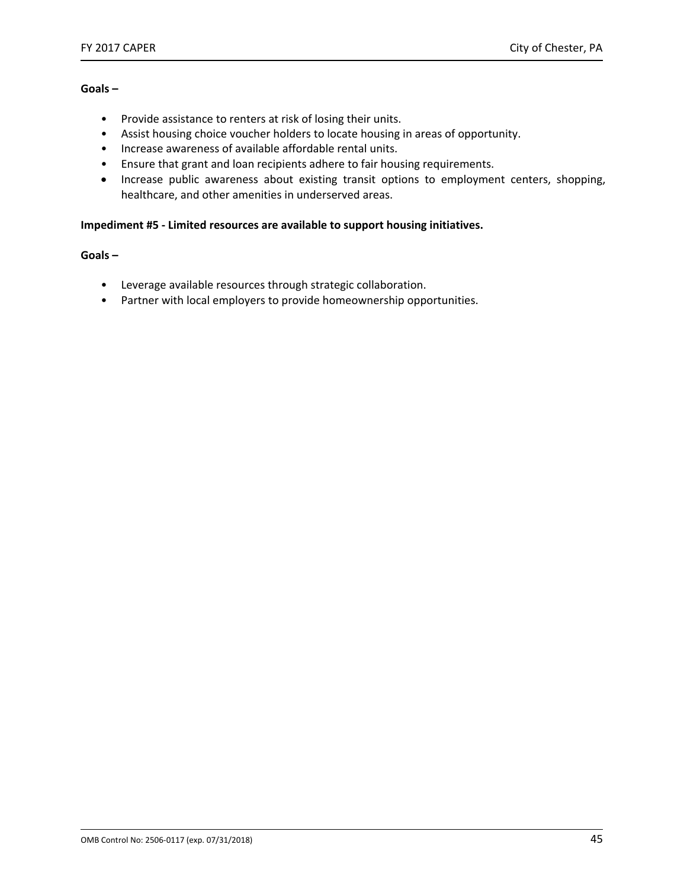#### **Goals –**

- Provide assistance to renters at risk of losing their units.
- Assist housing choice voucher holders to locate housing in areas of opportunity.
- Increase awareness of available affordable rental units.
- Ensure that grant and loan recipients adhere to fair housing requirements.
- Increase public awareness about existing transit options to employment centers, shopping, healthcare, and other amenities in underserved areas.

#### **Impediment #5 ‐ Limited resources are available to support housing initiatives.**

#### **Goals –**

- Leverage available resources through strategic collaboration.
- Partner with local employers to provide homeownership opportunities.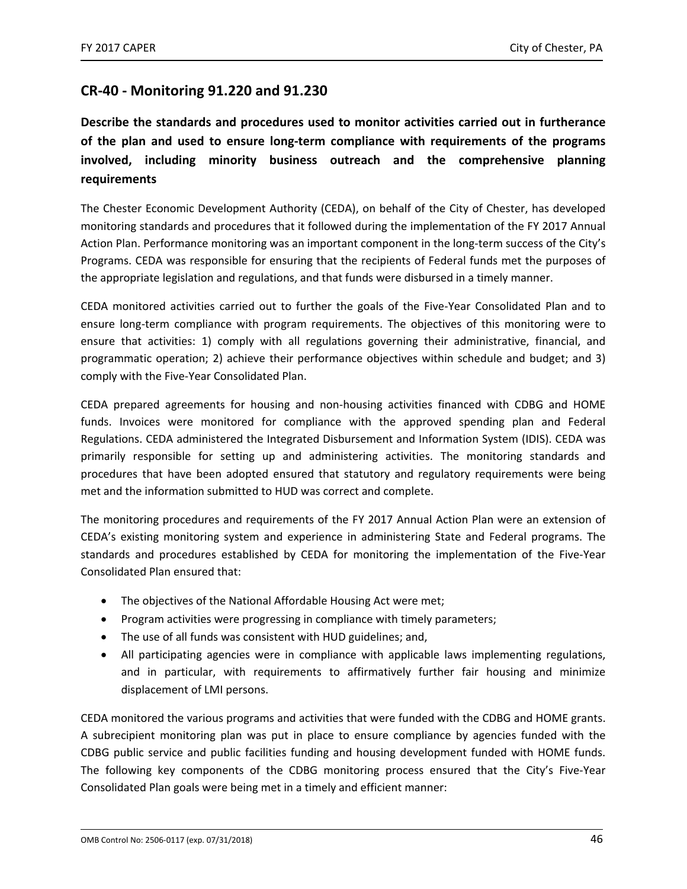### **CR‐40 ‐ Monitoring 91.220 and 91.230**

**Describe the standards and procedures used to monitor activities carried out in furtherance of the plan and used to ensure long‐term compliance with requirements of the programs involved, including minority business outreach and the comprehensive planning requirements** 

The Chester Economic Development Authority (CEDA), on behalf of the City of Chester, has developed monitoring standards and procedures that it followed during the implementation of the FY 2017 Annual Action Plan. Performance monitoring was an important component in the long-term success of the City's Programs. CEDA was responsible for ensuring that the recipients of Federal funds met the purposes of the appropriate legislation and regulations, and that funds were disbursed in a timely manner.

CEDA monitored activities carried out to further the goals of the Five‐Year Consolidated Plan and to ensure long-term compliance with program requirements. The objectives of this monitoring were to ensure that activities: 1) comply with all regulations governing their administrative, financial, and programmatic operation; 2) achieve their performance objectives within schedule and budget; and 3) comply with the Five‐Year Consolidated Plan.

CEDA prepared agreements for housing and non‐housing activities financed with CDBG and HOME funds. Invoices were monitored for compliance with the approved spending plan and Federal Regulations. CEDA administered the Integrated Disbursement and Information System (IDIS). CEDA was primarily responsible for setting up and administering activities. The monitoring standards and procedures that have been adopted ensured that statutory and regulatory requirements were being met and the information submitted to HUD was correct and complete.

The monitoring procedures and requirements of the FY 2017 Annual Action Plan were an extension of CEDA's existing monitoring system and experience in administering State and Federal programs. The standards and procedures established by CEDA for monitoring the implementation of the Five-Year Consolidated Plan ensured that:

- The objectives of the National Affordable Housing Act were met;
- Program activities were progressing in compliance with timely parameters;
- The use of all funds was consistent with HUD guidelines; and,
- All participating agencies were in compliance with applicable laws implementing regulations, and in particular, with requirements to affirmatively further fair housing and minimize displacement of LMI persons.

CEDA monitored the various programs and activities that were funded with the CDBG and HOME grants. A subrecipient monitoring plan was put in place to ensure compliance by agencies funded with the CDBG public service and public facilities funding and housing development funded with HOME funds. The following key components of the CDBG monitoring process ensured that the City's Five-Year Consolidated Plan goals were being met in a timely and efficient manner: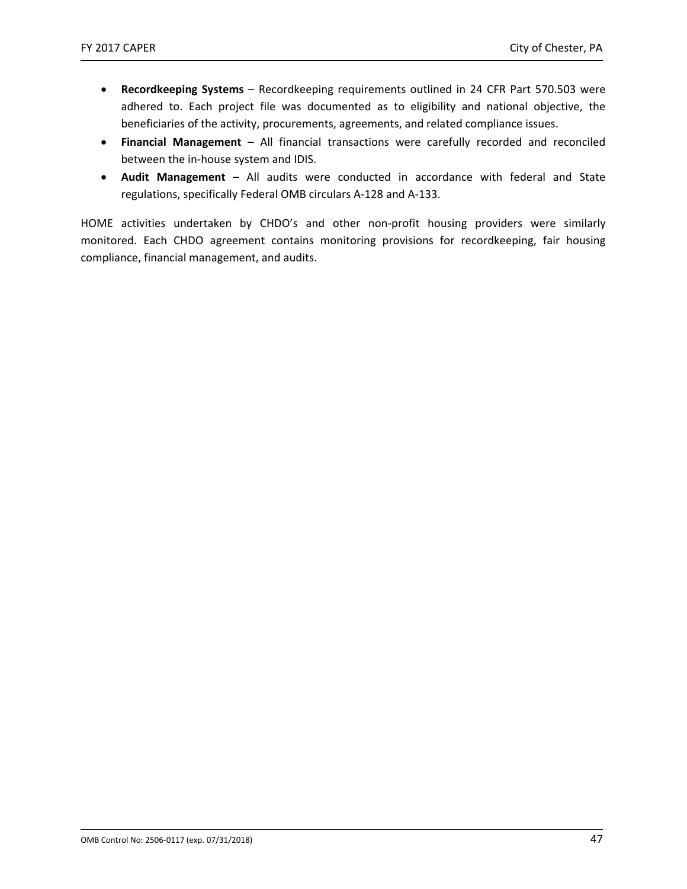- **Recordkeeping Systems** – Recordkeeping requirements outlined in 24 CFR Part 570.503 were adhered to. Each project file was documented as to eligibility and national objective, the beneficiaries of the activity, procurements, agreements, and related compliance issues.
- **Financial Management** – All financial transactions were carefully recorded and reconciled between the in‐house system and IDIS.
- **Audit Management** – All audits were conducted in accordance with federal and State regulations, specifically Federal OMB circulars A‐128 and A‐133.

HOME activities undertaken by CHDO's and other non-profit housing providers were similarly monitored. Each CHDO agreement contains monitoring provisions for recordkeeping, fair housing compliance, financial management, and audits.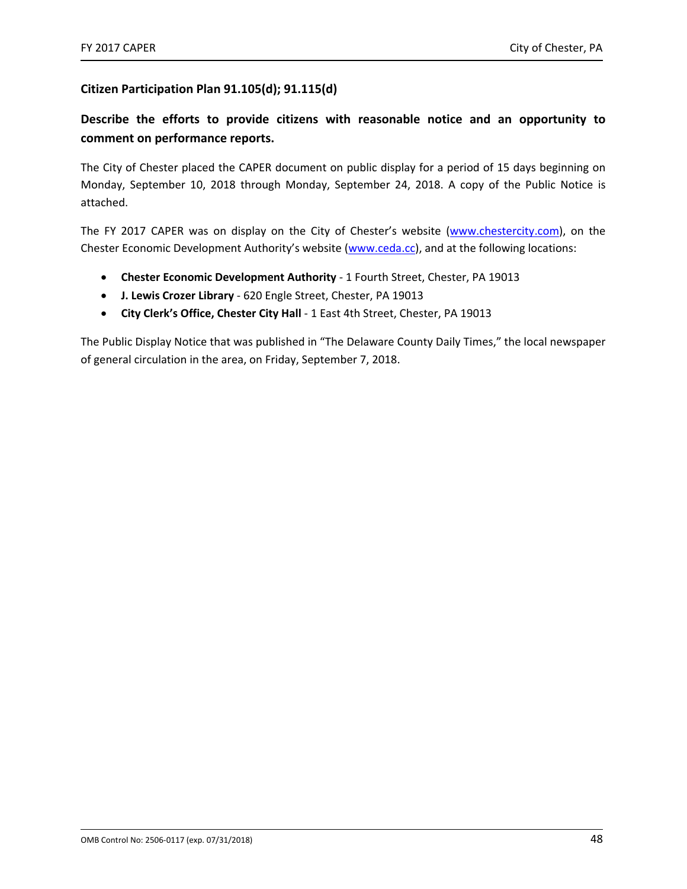### **Citizen Participation Plan 91.105(d); 91.115(d)**

### **Describe the efforts to provide citizens with reasonable notice and an opportunity to comment on performance reports.**

The City of Chester placed the CAPER document on public display for a period of 15 days beginning on Monday, September 10, 2018 through Monday, September 24, 2018. A copy of the Public Notice is attached.

The FY 2017 CAPER was on display on the City of Chester's website (www.chestercity.com), on the Chester Economic Development Authority's website (www.ceda.cc), and at the following locations:

- **Chester Economic Development Authority** ‐ 1 Fourth Street, Chester, PA 19013
- **J. Lewis Crozer Library** ‐ 620 Engle Street, Chester, PA 19013
- **City Clerk's Office, Chester City Hall** ‐ 1 East 4th Street, Chester, PA 19013

The Public Display Notice that was published in "The Delaware County Daily Times," the local newspaper of general circulation in the area, on Friday, September 7, 2018.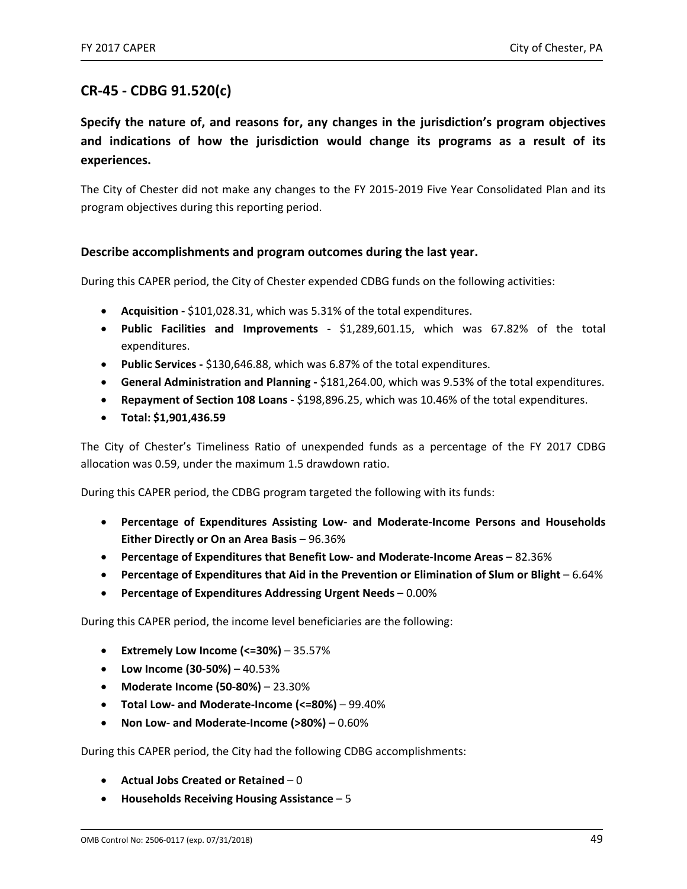### **CR‐45 ‐ CDBG 91.520(c)**

## **Specify the nature of, and reasons for, any changes in the jurisdiction's program objectives and indications of how the jurisdiction would change its programs as a result of its experiences.**

The City of Chester did not make any changes to the FY 2015-2019 Five Year Consolidated Plan and its program objectives during this reporting period.

#### **Describe accomplishments and program outcomes during the last year.**

During this CAPER period, the City of Chester expended CDBG funds on the following activities:

- **Acquisition** \$101,028.31, which was 5.31% of the total expenditures.
- **•** Public Facilities and Improvements \$1,289,601.15, which was 67.82% of the total expenditures.
- **Public Services ‐** \$130,646.88, which was 6.87% of the total expenditures.
- **General Administration and Planning \$181,264.00, which was 9.53% of the total expenditures.**
- **Repayment of Section 108 Loans ‐** \$198,896.25, which was 10.46% of the total expenditures.
- **Total: \$1,901,436.59**

The City of Chester's Timeliness Ratio of unexpended funds as a percentage of the FY 2017 CDBG allocation was 0.59, under the maximum 1.5 drawdown ratio.

During this CAPER period, the CDBG program targeted the following with its funds:

- **Percentage of Expenditures Assisting Low‐ and Moderate‐Income Persons and Households Either Directly or On an Area Basis** – 96.36%
- **Percentage of Expenditures that Benefit Low‐ and Moderate‐Income Areas** 82.36%
- **Percentage of Expenditures that Aid in the Prevention or Elimination of Slum or Blight** 6.64%
- **Percentage of Expenditures Addressing Urgent Needs** 0.00%

During this CAPER period, the income level beneficiaries are the following:

- **Extremely Low Income (<=30%)** 35.57%
- **Low Income (30‐50%)** 40.53%
- **Moderate Income (50‐80%)** 23.30%
- **Total Low‐ and Moderate‐Income (<=80%)** 99.40%
- **Non Low‐ and Moderate‐Income (>80%)** 0.60%

During this CAPER period, the City had the following CDBG accomplishments:

- **Actual Jobs Created or Retained**  0
- **Households Receiving Housing Assistance** 5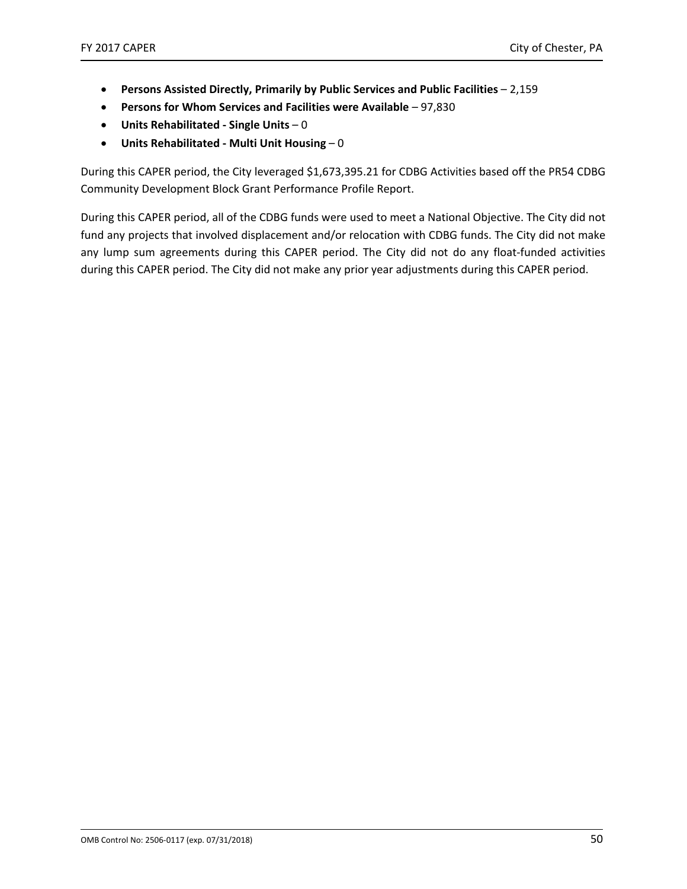- **Persons Assisted Directly, Primarily by Public Services and Public Facilities** 2,159
- **Persons for Whom Services and Facilities were Available** 97,830
- **Units Rehabilitated ‐ Single Units** 0
- **Units Rehabilitated ‐ Multi Unit Housing**  0

During this CAPER period, the City leveraged \$1,673,395.21 for CDBG Activities based off the PR54 CDBG Community Development Block Grant Performance Profile Report.

During this CAPER period, all of the CDBG funds were used to meet a National Objective. The City did not fund any projects that involved displacement and/or relocation with CDBG funds. The City did not make any lump sum agreements during this CAPER period. The City did not do any float-funded activities during this CAPER period. The City did not make any prior year adjustments during this CAPER period.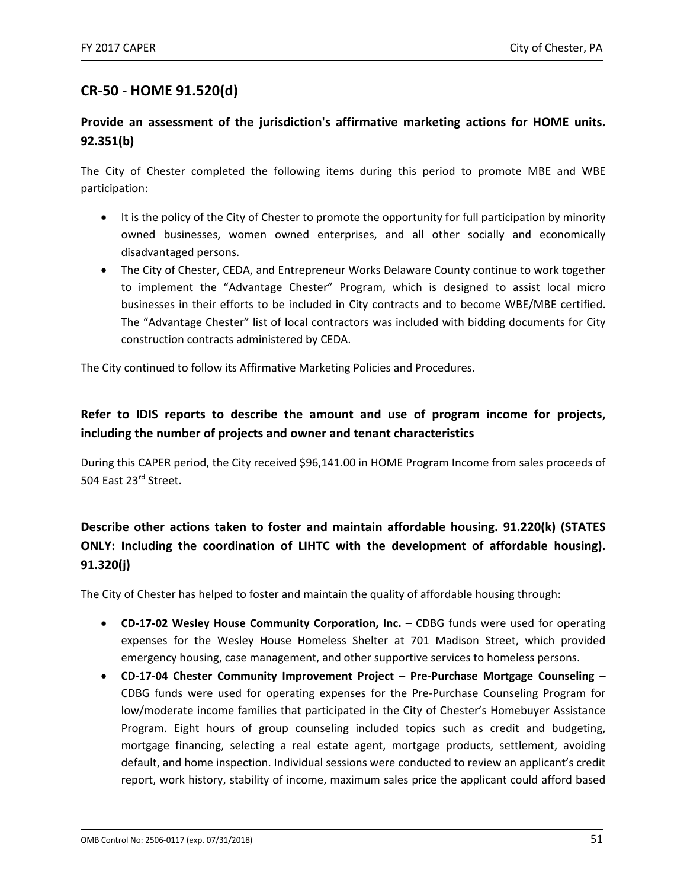### **CR‐50 ‐ HOME 91.520(d)**

### **Provide an assessment of the jurisdiction's affirmative marketing actions for HOME units. 92.351(b)**

The City of Chester completed the following items during this period to promote MBE and WBE participation:

- It is the policy of the City of Chester to promote the opportunity for full participation by minority owned businesses, women owned enterprises, and all other socially and economically disadvantaged persons.
- The City of Chester, CEDA, and Entrepreneur Works Delaware County continue to work together to implement the "Advantage Chester" Program, which is designed to assist local micro businesses in their efforts to be included in City contracts and to become WBE/MBE certified. The "Advantage Chester" list of local contractors was included with bidding documents for City construction contracts administered by CEDA.

The City continued to follow its Affirmative Marketing Policies and Procedures.

### **Refer to IDIS reports to describe the amount and use of program income for projects, including the number of projects and owner and tenant characteristics**

During this CAPER period, the City received \$96,141.00 in HOME Program Income from sales proceeds of 504 East 23rd Street.

## **Describe other actions taken to foster and maintain affordable housing. 91.220(k) (STATES ONLY: Including the coordination of LIHTC with the development of affordable housing). 91.320(j)**

The City of Chester has helped to foster and maintain the quality of affordable housing through:

- **CD‐17‐02 Wesley House Community Corporation, Inc.** CDBG funds were used for operating expenses for the Wesley House Homeless Shelter at 701 Madison Street, which provided emergency housing, case management, and other supportive services to homeless persons.
- **CD‐17‐04 Chester Community Improvement Project Pre‐Purchase Mortgage Counseling –** CDBG funds were used for operating expenses for the Pre‐Purchase Counseling Program for low/moderate income families that participated in the City of Chester's Homebuyer Assistance Program. Eight hours of group counseling included topics such as credit and budgeting, mortgage financing, selecting a real estate agent, mortgage products, settlement, avoiding default, and home inspection. Individual sessions were conducted to review an applicant's credit report, work history, stability of income, maximum sales price the applicant could afford based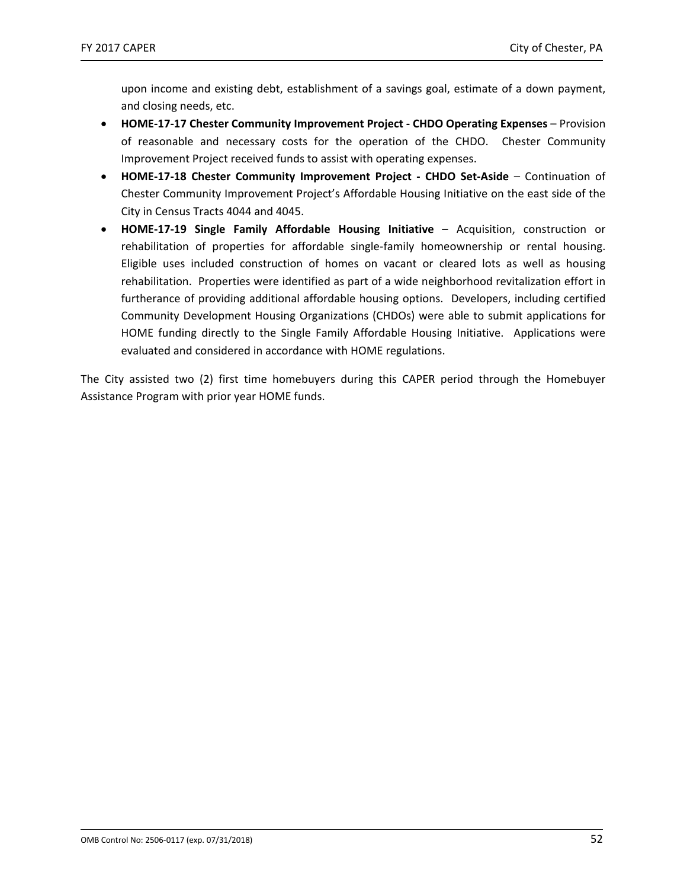upon income and existing debt, establishment of a savings goal, estimate of a down payment, and closing needs, etc.

- **HOME‐17‐17 Chester Community Improvement Project ‐ CHDO Operating Expenses** Provision of reasonable and necessary costs for the operation of the CHDO. Chester Community Improvement Project received funds to assist with operating expenses.
- **HOME‐17‐18 Chester Community Improvement Project ‐ CHDO Set‐Aside** – Continuation of Chester Community Improvement Project's Affordable Housing Initiative on the east side of the City in Census Tracts 4044 and 4045.
- **HOME‐17‐19 Single Family Affordable Housing Initiative** – Acquisition, construction or rehabilitation of properties for affordable single-family homeownership or rental housing. Eligible uses included construction of homes on vacant or cleared lots as well as housing rehabilitation. Properties were identified as part of a wide neighborhood revitalization effort in furtherance of providing additional affordable housing options. Developers, including certified Community Development Housing Organizations (CHDOs) were able to submit applications for HOME funding directly to the Single Family Affordable Housing Initiative. Applications were evaluated and considered in accordance with HOME regulations.

The City assisted two (2) first time homebuyers during this CAPER period through the Homebuyer Assistance Program with prior year HOME funds.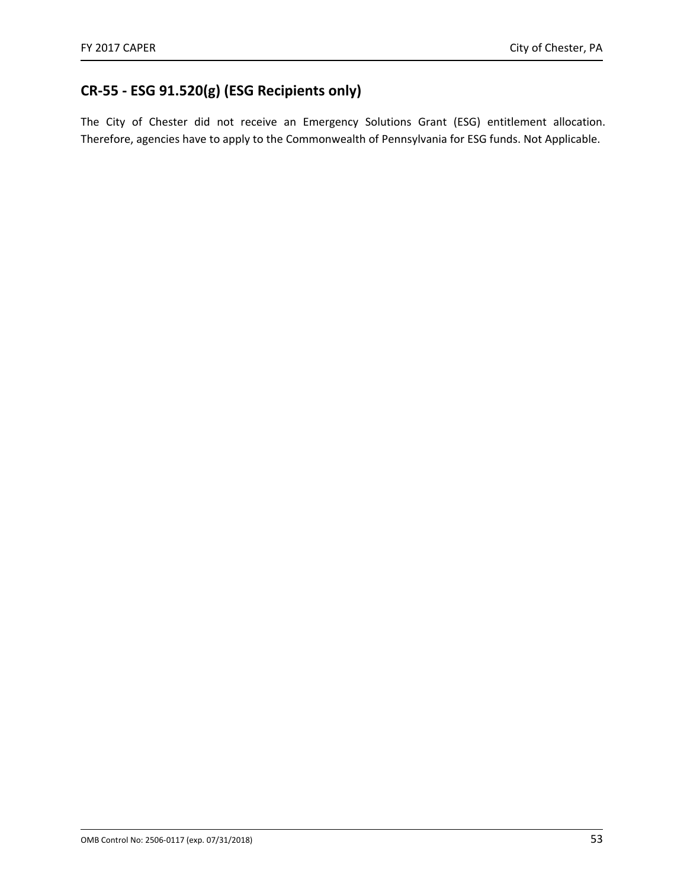# **CR‐55 ‐ ESG 91.520(g) (ESG Recipients only)**

The City of Chester did not receive an Emergency Solutions Grant (ESG) entitlement allocation. Therefore, agencies have to apply to the Commonwealth of Pennsylvania for ESG funds. Not Applicable.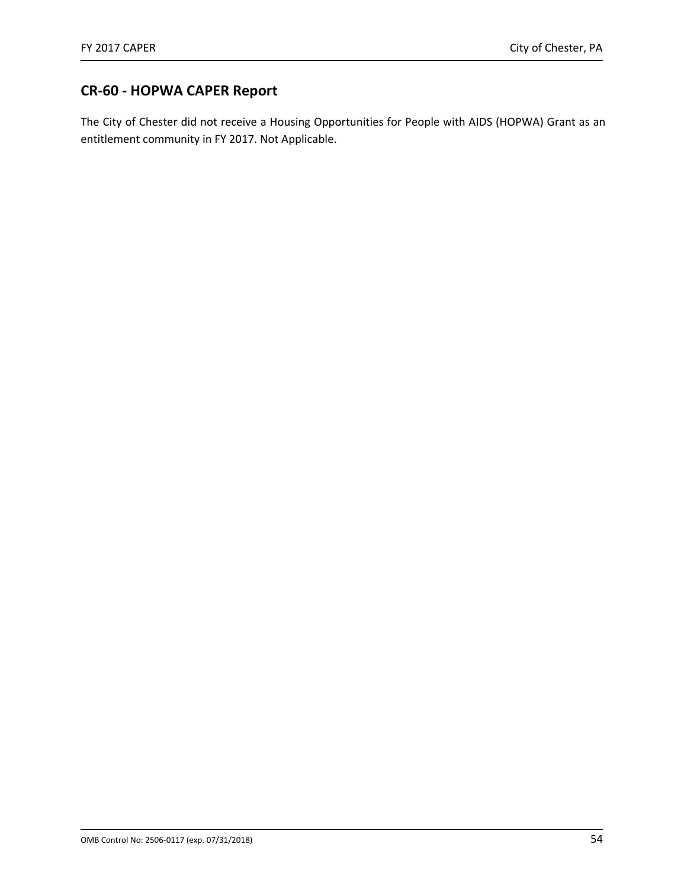## **CR‐60 ‐ HOPWA CAPER Report**

The City of Chester did not receive a Housing Opportunities for People with AIDS (HOPWA) Grant as an entitlement community in FY 2017. Not Applicable.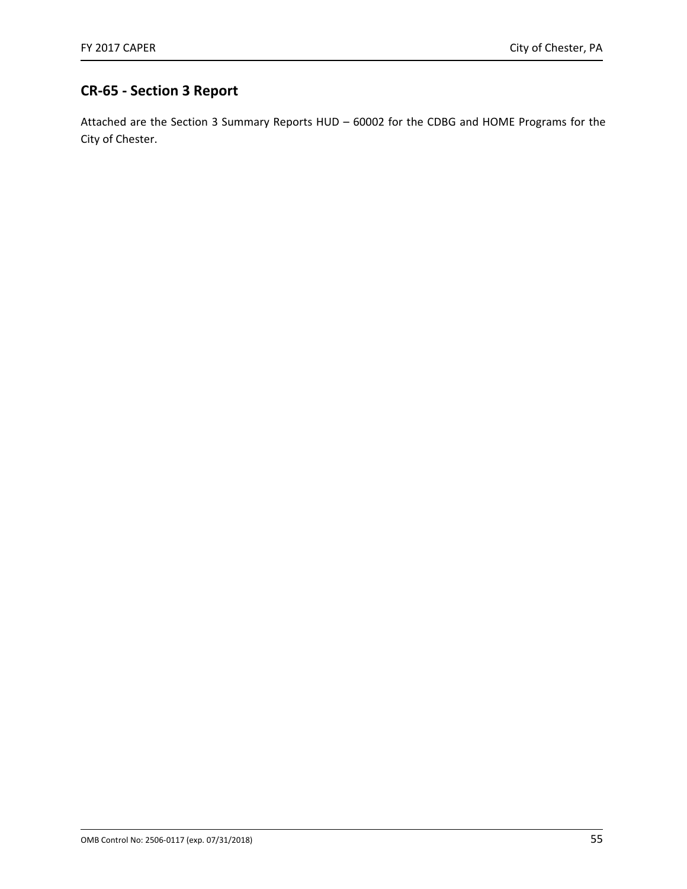## **CR‐65 ‐ Section 3 Report**

Attached are the Section 3 Summary Reports HUD – 60002 for the CDBG and HOME Programs for the City of Chester.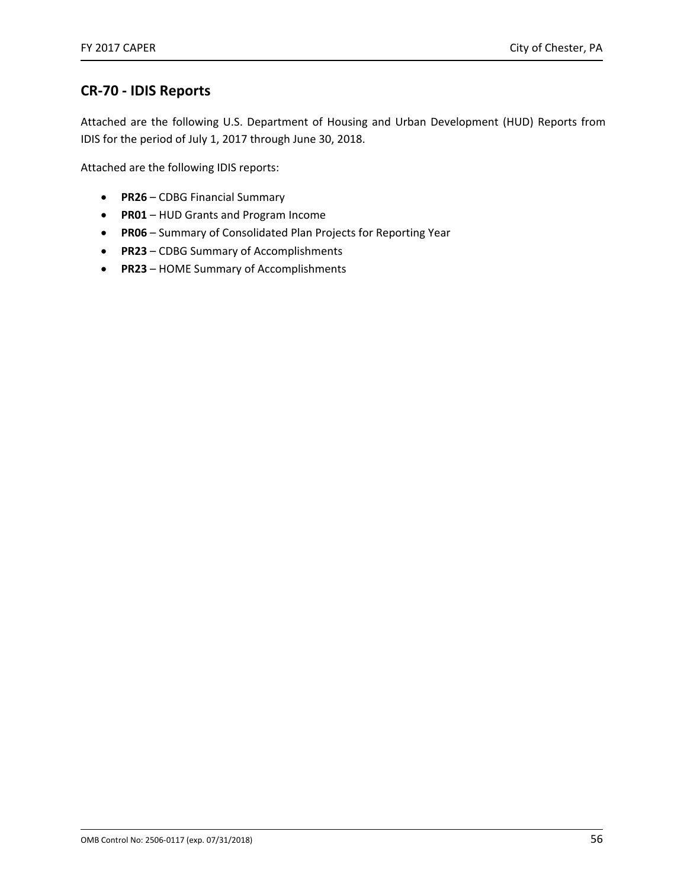### **CR‐70 ‐ IDIS Reports**

Attached are the following U.S. Department of Housing and Urban Development (HUD) Reports from IDIS for the period of July 1, 2017 through June 30, 2018.

Attached are the following IDIS reports:

- **PR26** CDBG Financial Summary
- **PR01** HUD Grants and Program Income
- **PR06**  Summary of Consolidated Plan Projects for Reporting Year
- **PR23** CDBG Summary of Accomplishments
- **PR23** HOME Summary of Accomplishments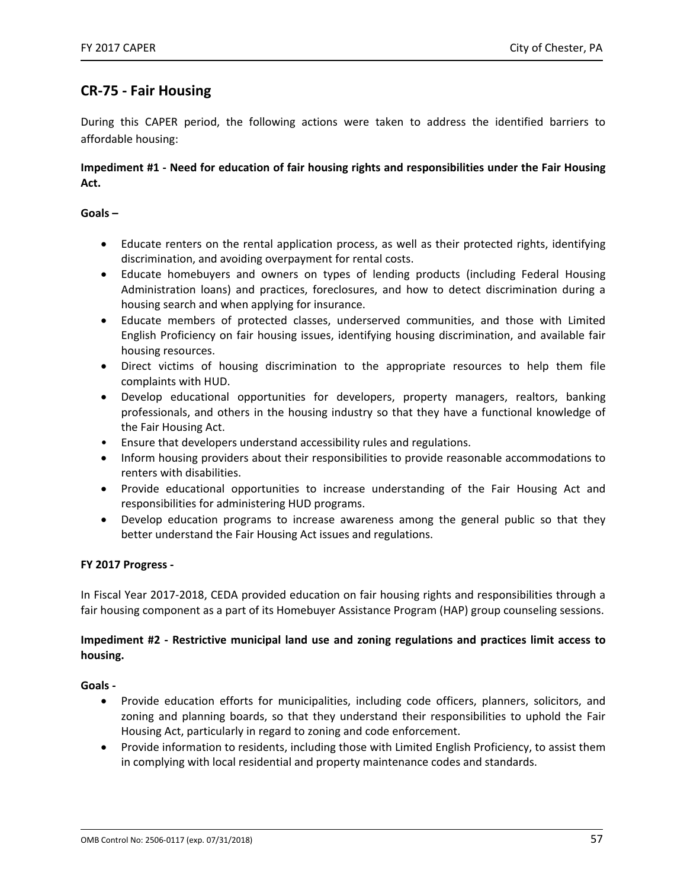### **CR‐75 ‐ Fair Housing**

During this CAPER period, the following actions were taken to address the identified barriers to affordable housing:

#### **Impediment #1 ‐ Need for education of fair housing rights and responsibilities under the Fair Housing Act.**

**Goals –** 

- Educate renters on the rental application process, as well as their protected rights, identifying discrimination, and avoiding overpayment for rental costs.
- Educate homebuyers and owners on types of lending products (including Federal Housing Administration loans) and practices, foreclosures, and how to detect discrimination during a housing search and when applying for insurance.
- Educate members of protected classes, underserved communities, and those with Limited English Proficiency on fair housing issues, identifying housing discrimination, and available fair housing resources.
- Direct victims of housing discrimination to the appropriate resources to help them file complaints with HUD.
- Develop educational opportunities for developers, property managers, realtors, banking professionals, and others in the housing industry so that they have a functional knowledge of the Fair Housing Act.
- Ensure that developers understand accessibility rules and regulations.
- Inform housing providers about their responsibilities to provide reasonable accommodations to renters with disabilities.
- Provide educational opportunities to increase understanding of the Fair Housing Act and responsibilities for administering HUD programs.
- Develop education programs to increase awareness among the general public so that they better understand the Fair Housing Act issues and regulations.

#### **FY 2017 Progress ‐**

In Fiscal Year 2017‐2018, CEDA provided education on fair housing rights and responsibilities through a fair housing component as a part of its Homebuyer Assistance Program (HAP) group counseling sessions.

#### **Impediment #2 ‐ Restrictive municipal land use and zoning regulations and practices limit access to housing.**

#### **Goals ‐**

- Provide education efforts for municipalities, including code officers, planners, solicitors, and zoning and planning boards, so that they understand their responsibilities to uphold the Fair Housing Act, particularly in regard to zoning and code enforcement.
- Provide information to residents, including those with Limited English Proficiency, to assist them in complying with local residential and property maintenance codes and standards.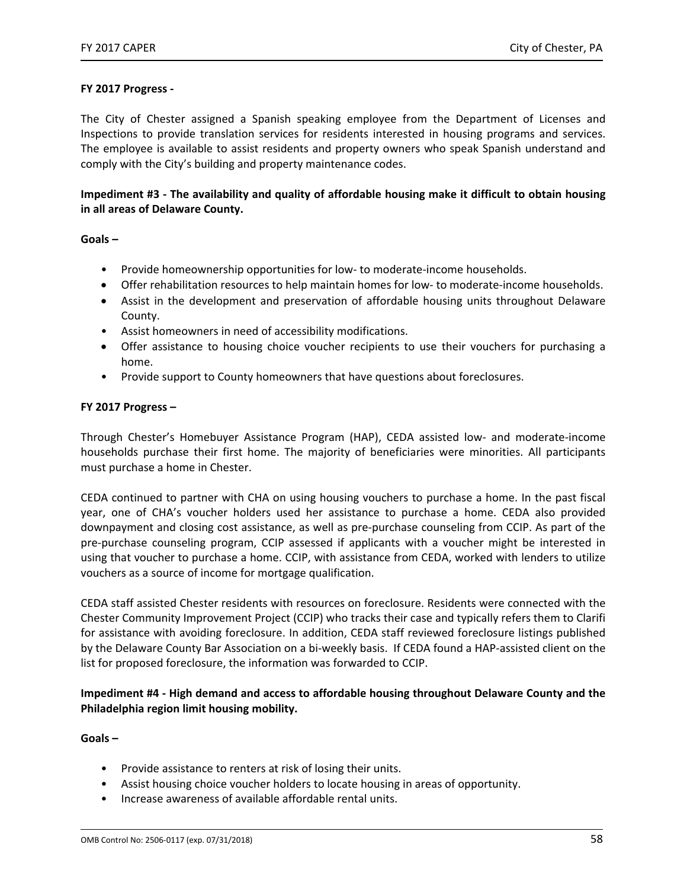#### **FY 2017 Progress ‐**

The City of Chester assigned a Spanish speaking employee from the Department of Licenses and Inspections to provide translation services for residents interested in housing programs and services. The employee is available to assist residents and property owners who speak Spanish understand and comply with the City's building and property maintenance codes.

**Impediment #3 ‐ The availability and quality of affordable housing make it difficult to obtain housing in all areas of Delaware County.** 

**Goals –** 

- Provide homeownership opportunities for low- to moderate-income households.
- Offer rehabilitation resources to help maintain homes for low- to moderate-income households.
- Assist in the development and preservation of affordable housing units throughout Delaware County.
- Assist homeowners in need of accessibility modifications.
- Offer assistance to housing choice voucher recipients to use their vouchers for purchasing a home.
- Provide support to County homeowners that have questions about foreclosures.

#### **FY 2017 Progress –**

Through Chester's Homebuyer Assistance Program (HAP), CEDA assisted low‐ and moderate‐income households purchase their first home. The majority of beneficiaries were minorities. All participants must purchase a home in Chester.

CEDA continued to partner with CHA on using housing vouchers to purchase a home. In the past fiscal year, one of CHA's voucher holders used her assistance to purchase a home. CEDA also provided downpayment and closing cost assistance, as well as pre‐purchase counseling from CCIP. As part of the pre‐purchase counseling program, CCIP assessed if applicants with a voucher might be interested in using that voucher to purchase a home. CCIP, with assistance from CEDA, worked with lenders to utilize vouchers as a source of income for mortgage qualification.

CEDA staff assisted Chester residents with resources on foreclosure. Residents were connected with the Chester Community Improvement Project (CCIP) who tracks their case and typically refers them to Clarifi for assistance with avoiding foreclosure. In addition, CEDA staff reviewed foreclosure listings published by the Delaware County Bar Association on a bi‐weekly basis. If CEDA found a HAP‐assisted client on the list for proposed foreclosure, the information was forwarded to CCIP.

**Impediment #4 ‐ High demand and access to affordable housing throughout Delaware County and the Philadelphia region limit housing mobility.** 

**Goals –** 

- Provide assistance to renters at risk of losing their units.
- Assist housing choice voucher holders to locate housing in areas of opportunity.
- Increase awareness of available affordable rental units.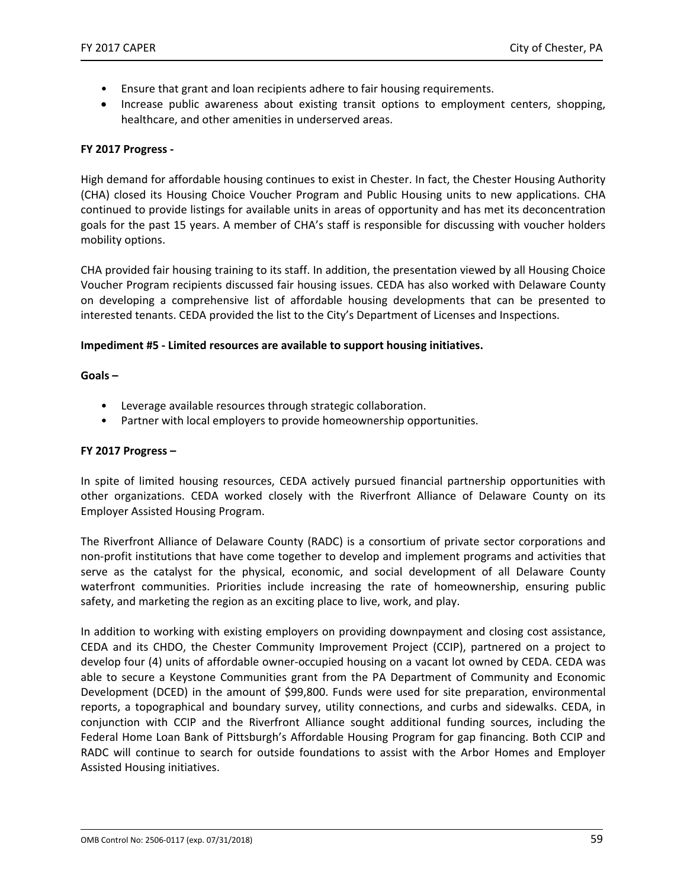- Ensure that grant and loan recipients adhere to fair housing requirements.
- Increase public awareness about existing transit options to employment centers, shopping, healthcare, and other amenities in underserved areas.

#### **FY 2017 Progress ‐**

High demand for affordable housing continues to exist in Chester. In fact, the Chester Housing Authority (CHA) closed its Housing Choice Voucher Program and Public Housing units to new applications. CHA continued to provide listings for available units in areas of opportunity and has met its deconcentration goals for the past 15 years. A member of CHA's staff is responsible for discussing with voucher holders mobility options.

CHA provided fair housing training to its staff. In addition, the presentation viewed by all Housing Choice Voucher Program recipients discussed fair housing issues. CEDA has also worked with Delaware County on developing a comprehensive list of affordable housing developments that can be presented to interested tenants. CEDA provided the list to the City's Department of Licenses and Inspections.

#### **Impediment #5 ‐ Limited resources are available to support housing initiatives.**

#### **Goals –**

- Leverage available resources through strategic collaboration.
- Partner with local employers to provide homeownership opportunities.

#### **FY 2017 Progress –**

In spite of limited housing resources, CEDA actively pursued financial partnership opportunities with other organizations. CEDA worked closely with the Riverfront Alliance of Delaware County on its Employer Assisted Housing Program.

The Riverfront Alliance of Delaware County (RADC) is a consortium of private sector corporations and non‐profit institutions that have come together to develop and implement programs and activities that serve as the catalyst for the physical, economic, and social development of all Delaware County waterfront communities. Priorities include increasing the rate of homeownership, ensuring public safety, and marketing the region as an exciting place to live, work, and play.

In addition to working with existing employers on providing downpayment and closing cost assistance, CEDA and its CHDO, the Chester Community Improvement Project (CCIP), partnered on a project to develop four (4) units of affordable owner‐occupied housing on a vacant lot owned by CEDA. CEDA was able to secure a Keystone Communities grant from the PA Department of Community and Economic Development (DCED) in the amount of \$99,800. Funds were used for site preparation, environmental reports, a topographical and boundary survey, utility connections, and curbs and sidewalks. CEDA, in conjunction with CCIP and the Riverfront Alliance sought additional funding sources, including the Federal Home Loan Bank of Pittsburgh's Affordable Housing Program for gap financing. Both CCIP and RADC will continue to search for outside foundations to assist with the Arbor Homes and Employer Assisted Housing initiatives.